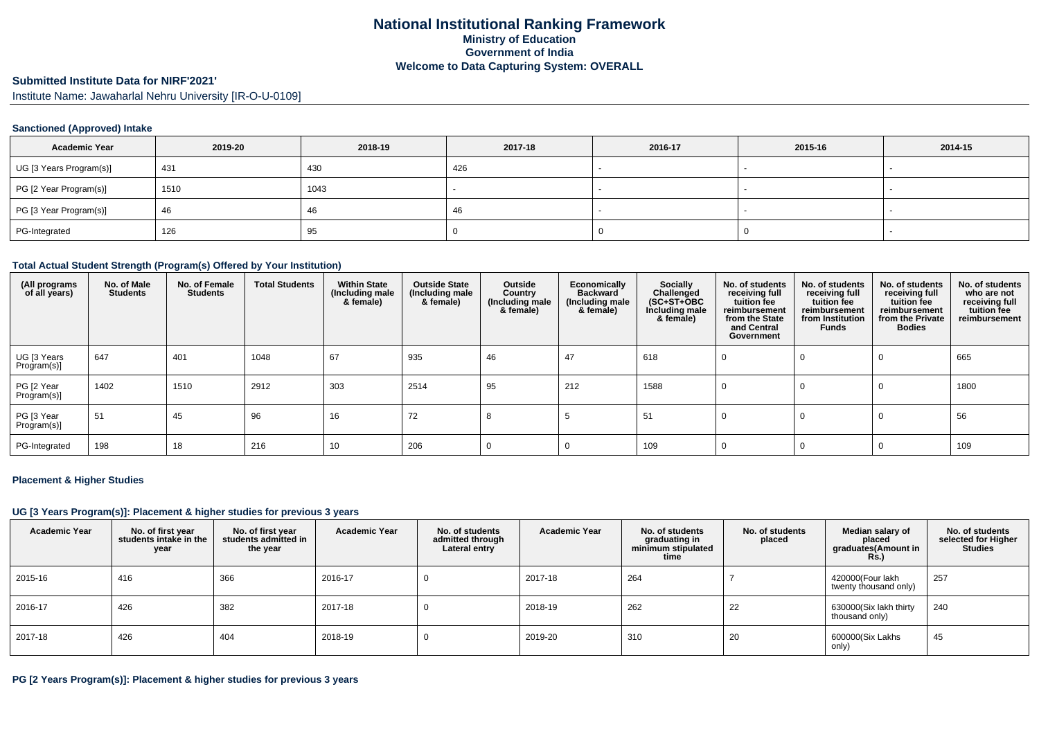#### **Submitted Institute Data for NIRF'2021'**

Institute Name: Jawaharlal Nehru University [IR-O-U-0109]

#### **Sanctioned (Approved) Intake**

| <b>Academic Year</b>    | 2019-20 | 2018-19 | 2017-18 | 2016-17 | 2015-16 | 2014-15 |
|-------------------------|---------|---------|---------|---------|---------|---------|
| UG [3 Years Program(s)] | 431     | 430     | 426     |         |         |         |
| PG [2 Year Program(s)]  | 1510    | 1043    |         |         |         |         |
| PG [3 Year Program(s)]  | 46      | 46      | -4t     |         |         |         |
| PG-Integrated           | 126     | 95      |         |         |         |         |

#### **Total Actual Student Strength (Program(s) Offered by Your Institution)**

| (All programs<br>of all years) | No. of Male<br><b>Students</b> | No. of Female<br><b>Students</b> | <b>Total Students</b> | <b>Within State</b><br>(Including male<br>& female) | <b>Outside State</b><br>(Including male<br>& female) | Outside<br>Country<br>(Including male<br>& female) | Economically<br><b>Backward</b><br>(Including male<br>& female) | Socially<br>Challenged<br>$(SC+ST+OBC)$<br>Including male<br>& female) | No. of students<br>receiving full<br>tuition fee<br>reimbursement<br>from the State<br>and Central<br>Government | No. of students<br>receiving full<br>tuition fee<br>reimbursement<br>from Institution<br><b>Funds</b> | No. of students<br>receiving full<br>tuition fee<br>reimbursement<br>from the Private<br><b>Bodies</b> | No. of students<br>who are not<br>receiving full<br>tuition fee<br>reimbursement |
|--------------------------------|--------------------------------|----------------------------------|-----------------------|-----------------------------------------------------|------------------------------------------------------|----------------------------------------------------|-----------------------------------------------------------------|------------------------------------------------------------------------|------------------------------------------------------------------------------------------------------------------|-------------------------------------------------------------------------------------------------------|--------------------------------------------------------------------------------------------------------|----------------------------------------------------------------------------------|
| UG [3 Years<br>Program(s)]     | 647                            | 401                              | 1048                  | 67                                                  | 935                                                  | 46                                                 | 47                                                              | 618                                                                    |                                                                                                                  | 0                                                                                                     | 0                                                                                                      | 665                                                                              |
| PG [2 Year<br>Program(s)]      | 1402                           | 1510                             | 2912                  | 303                                                 | 2514                                                 | 95                                                 | 212                                                             | 1588                                                                   | U                                                                                                                |                                                                                                       | 0                                                                                                      | 1800                                                                             |
| PG [3 Year<br>Program(s)]      | 51                             | 45                               | 96                    | 16                                                  | 72                                                   |                                                    |                                                                 | 51                                                                     |                                                                                                                  |                                                                                                       | 0                                                                                                      | 56                                                                               |
| PG-Integrated                  | 198                            | 18                               | 216                   | 10                                                  | 206                                                  |                                                    |                                                                 | 109                                                                    |                                                                                                                  |                                                                                                       |                                                                                                        | 109                                                                              |

#### **Placement & Higher Studies**

## **UG [3 Years Program(s)]: Placement & higher studies for previous 3 years**

| <b>Academic Year</b> | No. of first year<br>students intake in the<br>year | No. of first vear<br>students admitted in<br>the year | <b>Academic Year</b> | No. of students<br>admitted through<br>Lateral entry | <b>Academic Year</b> | No. of students<br>graduating in<br>minimum stipulated<br>time | No. of students<br>placed | Median salary of<br>placed<br>graduates(Amount in<br><b>Rs.)</b> | No. of students<br>selected for Higher<br><b>Studies</b> |
|----------------------|-----------------------------------------------------|-------------------------------------------------------|----------------------|------------------------------------------------------|----------------------|----------------------------------------------------------------|---------------------------|------------------------------------------------------------------|----------------------------------------------------------|
| 2015-16              | 416                                                 | 366                                                   | 2016-17              |                                                      | 2017-18              | 264                                                            |                           | 420000(Four lakh<br>twenty thousand only)                        | 257                                                      |
| 2016-17              | 426                                                 | 382                                                   | 2017-18              |                                                      | 2018-19              | 262                                                            | 22                        | 630000(Six lakh thirty<br>thousand only)                         | 240                                                      |
| 2017-18              | 426                                                 | 404                                                   | 2018-19              |                                                      | 2019-20              | 310                                                            | 20                        | 600000(Six Lakhs<br>only)                                        | 45                                                       |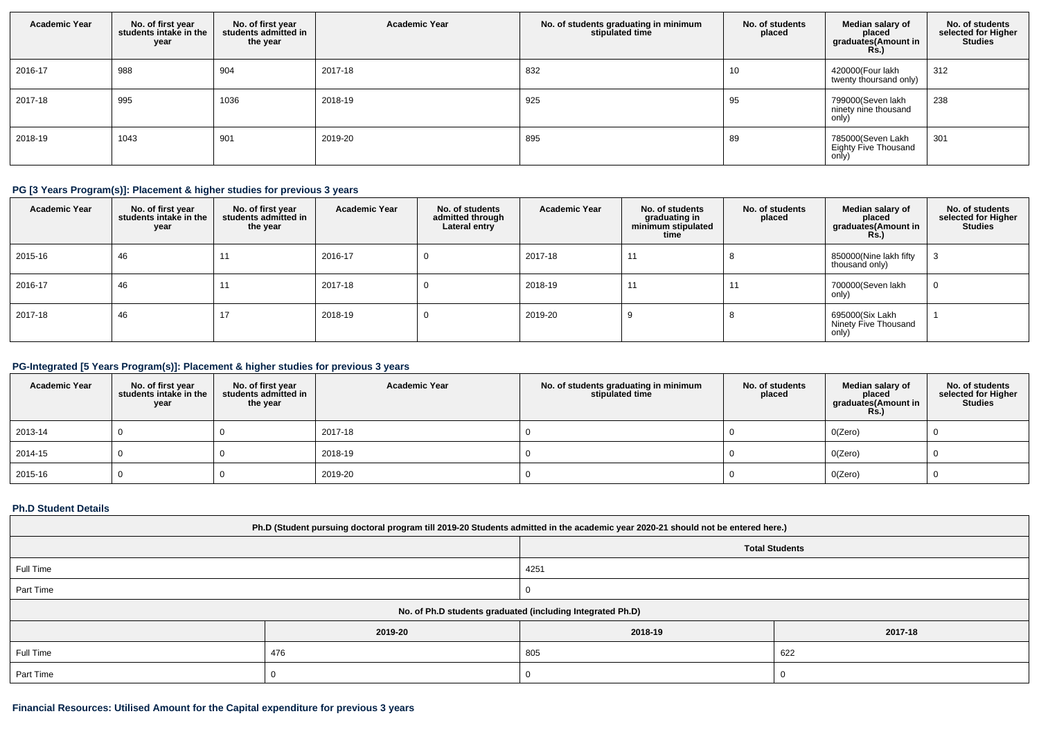| <b>Academic Year</b> | No. of first year<br>students intake in the<br>year | No. of first year<br>students admitted in<br>the year | <b>Academic Year</b> | No. of students graduating in minimum<br>stipulated time | No. of students<br>placed | Median salary of<br>placed<br>graduates(Amount in<br><b>Rs.</b> ) | No. of students<br>selected for Higher<br><b>Studies</b> |
|----------------------|-----------------------------------------------------|-------------------------------------------------------|----------------------|----------------------------------------------------------|---------------------------|-------------------------------------------------------------------|----------------------------------------------------------|
| 2016-17              | 988                                                 | 904                                                   | 2017-18              | 832                                                      | 10                        | 420000(Four lakh<br>twenty thoursand only)                        | 312                                                      |
| 2017-18              | 995                                                 | 1036                                                  | 2018-19              | 925                                                      | 95                        | 799000(Seven lakh<br>ninety nine thousand<br>only)                | 238                                                      |
| 2018-19              | 1043                                                | 901                                                   | 2019-20              | 895                                                      | 89                        | 785000(Seven Lakh<br>Eighty Five Thousand<br>only)                | 301                                                      |

## **PG [3 Years Program(s)]: Placement & higher studies for previous 3 years**

| <b>Academic Year</b> | No. of first year<br>students intake in the<br>year | No. of first year<br>students admitted in<br>the year | <b>Academic Year</b> | No. of students<br>admitted through<br>Lateral entry | <b>Academic Year</b> | No. of students<br>graduating in<br>minimum stipulated<br>time | No. of students<br>placed | Median salary of<br>placed<br>graduates(Amount in<br><b>Rs.)</b> | No. of students<br>selected for Higher<br><b>Studies</b> |
|----------------------|-----------------------------------------------------|-------------------------------------------------------|----------------------|------------------------------------------------------|----------------------|----------------------------------------------------------------|---------------------------|------------------------------------------------------------------|----------------------------------------------------------|
| 2015-16              | 46                                                  | 11                                                    | 2016-17              |                                                      | 2017-18              | 11                                                             |                           | 850000(Nine lakh fifty<br>thousand only)                         |                                                          |
| 2016-17              | 46                                                  | 11                                                    | 2017-18              | -0                                                   | 2018-19              | 11                                                             | 11                        | 700000(Seven lakh<br>only)                                       |                                                          |
| 2017-18              | 46                                                  | 17                                                    | 2018-19              | -0                                                   | 2019-20              |                                                                |                           | 695000(Six Lakh<br>Ninety Five Thousand<br>only)                 |                                                          |

## **PG-Integrated [5 Years Program(s)]: Placement & higher studies for previous 3 years**

| <b>Academic Year</b> | No. of first year<br>students intake in the I<br>year | No. of first year<br>students admitted in<br>the year | <b>Academic Year</b> | No. of students graduating in minimum<br>stipulated time | No. of students<br>placed | Median salary of<br>placed<br>graduates(Amount in<br><b>Rs.)</b> | No. of students<br>selected for Higher<br><b>Studies</b> |
|----------------------|-------------------------------------------------------|-------------------------------------------------------|----------------------|----------------------------------------------------------|---------------------------|------------------------------------------------------------------|----------------------------------------------------------|
| 2013-14              |                                                       |                                                       | 2017-18              |                                                          |                           | O(Zero)                                                          |                                                          |
| 2014-15              |                                                       |                                                       | 2018-19              |                                                          |                           | O(Zero)                                                          |                                                          |
| 2015-16              |                                                       |                                                       | 2019-20              |                                                          |                           | O(Zero)                                                          |                                                          |

### **Ph.D Student Details**

| Ph.D (Student pursuing doctoral program till 2019-20 Students admitted in the academic year 2020-21 should not be entered here.) |                                                            |         |         |  |  |  |
|----------------------------------------------------------------------------------------------------------------------------------|------------------------------------------------------------|---------|---------|--|--|--|
| <b>Total Students</b>                                                                                                            |                                                            |         |         |  |  |  |
| Full Time<br>4251                                                                                                                |                                                            |         |         |  |  |  |
| Part Time                                                                                                                        |                                                            |         |         |  |  |  |
|                                                                                                                                  | No. of Ph.D students graduated (including Integrated Ph.D) |         |         |  |  |  |
|                                                                                                                                  | 2019-20                                                    | 2018-19 | 2017-18 |  |  |  |
| Full Time                                                                                                                        | 476                                                        | 805     | 622     |  |  |  |
| Part Time                                                                                                                        |                                                            |         |         |  |  |  |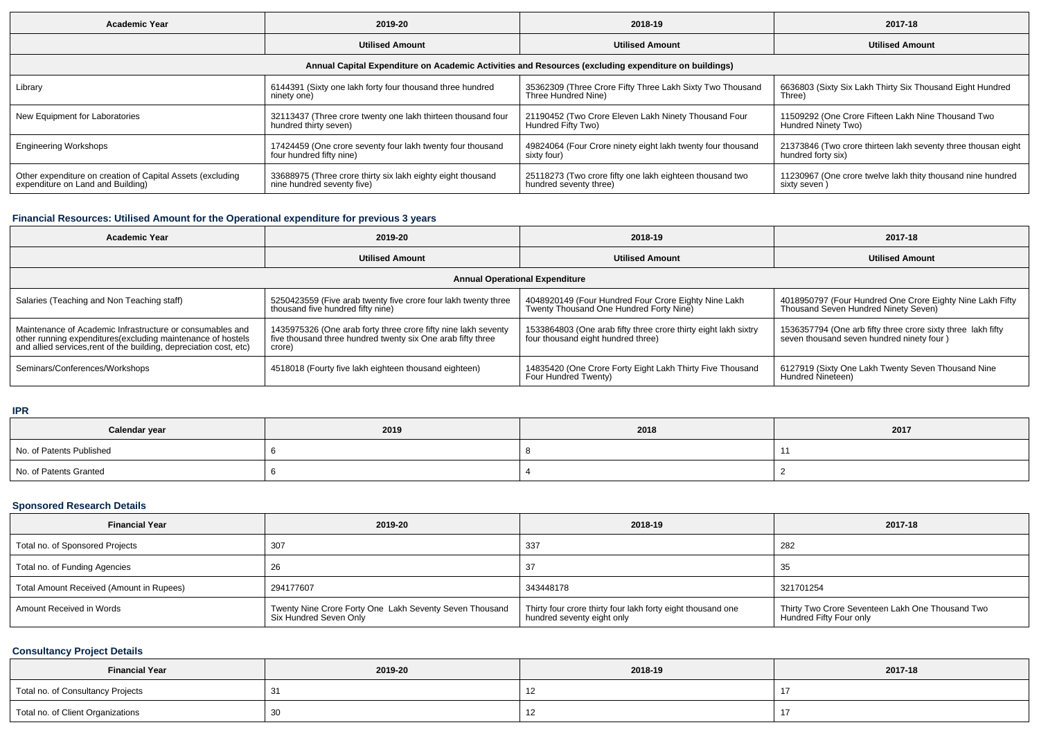| Academic Year                                              | 2019-20                                                      | 2018-19                                                                                              | 2017-18                                                       |  |
|------------------------------------------------------------|--------------------------------------------------------------|------------------------------------------------------------------------------------------------------|---------------------------------------------------------------|--|
|                                                            | <b>Utilised Amount</b>                                       | <b>Utilised Amount</b>                                                                               | <b>Utilised Amount</b>                                        |  |
|                                                            |                                                              | Annual Capital Expenditure on Academic Activities and Resources (excluding expenditure on buildings) |                                                               |  |
| Library                                                    | 6144391 (Sixty one lakh forty four thousand three hundred    | 35362309 (Three Crore Fifty Three Lakh Sixty Two Thousand                                            | 6636803 (Sixty Six Lakh Thirty Six Thousand Eight Hundred     |  |
|                                                            | ninety one)                                                  | Three Hundred Nine)                                                                                  | Three)                                                        |  |
| New Equipment for Laboratories                             | 32113437 (Three crore twenty one lakh thirteen thousand four | 21190452 (Two Crore Eleven Lakh Ninety Thousand Four                                                 | 11509292 (One Crore Fifteen Lakh Nine Thousand Two            |  |
|                                                            | hundred thirty seven)                                        | Hundred Fifty Two)                                                                                   | Hundred Ninety Two)                                           |  |
| <b>Engineering Workshops</b>                               | 17424459 (One crore seventy four lakh twenty four thousand   | 49824064 (Four Crore ninety eight lakh twenty four thousand                                          | 21373846 (Two crore thirteen lakh seventy three thousan eight |  |
|                                                            | four hundred fifty nine)                                     | sixty four)                                                                                          | hundred forty six)                                            |  |
| Other expenditure on creation of Capital Assets (excluding | 33688975 (Three crore thirty six lakh eighty eight thousand  | 25118273 (Two crore fifty one lakh eighteen thousand two                                             | 11230967 (One crore twelve lakh thity thousand nine hundred   |  |
| expenditure on Land and Building)                          | nine hundred seventy five)                                   | hundred seventy three)                                                                               | sixty seven)                                                  |  |

# **Financial Resources: Utilised Amount for the Operational expenditure for previous 3 years**

| <b>Academic Year</b>                                                                                                                                                                           | 2019-20                                                                                                                                 | 2018-19                                                                                               | 2017-18                                                                                                    |  |  |  |  |
|------------------------------------------------------------------------------------------------------------------------------------------------------------------------------------------------|-----------------------------------------------------------------------------------------------------------------------------------------|-------------------------------------------------------------------------------------------------------|------------------------------------------------------------------------------------------------------------|--|--|--|--|
|                                                                                                                                                                                                | <b>Utilised Amount</b>                                                                                                                  | <b>Utilised Amount</b>                                                                                | <b>Utilised Amount</b>                                                                                     |  |  |  |  |
| <b>Annual Operational Expenditure</b>                                                                                                                                                          |                                                                                                                                         |                                                                                                       |                                                                                                            |  |  |  |  |
| Salaries (Teaching and Non Teaching staff)                                                                                                                                                     | 5250423559 (Five arab twenty five crore four lakh twenty three<br>thousand five hundred fifty nine)                                     | 4048920149 (Four Hundred Four Crore Eighty Nine Lakh<br>Twenty Thousand One Hundred Forty Nine)       | 4018950797 (Four Hundred One Crore Eighty Nine Lakh Fifty<br>Thousand Seven Hundred Ninety Seven)          |  |  |  |  |
| Maintenance of Academic Infrastructure or consumables and<br>other running expenditures(excluding maintenance of hostels<br>and allied services, rent of the building, depreciation cost, etc) | 1435975326 (One arab forty three crore fifty nine lakh seventy<br>five thousand three hundred twenty six One arab fifty three<br>crore) | 1533864803 (One arab fifty three crore thirty eight lakh sixtry<br>four thousand eight hundred three) | 1536357794 (One arb fifty three crore sixty three lakh fifty<br>seven thousand seven hundred ninety four ) |  |  |  |  |
| Seminars/Conferences/Workshops                                                                                                                                                                 | 4518018 (Fourty five lakh eighteen thousand eighteen)                                                                                   | 14835420 (One Crore Forty Eight Lakh Thirty Five Thousand<br>Four Hundred Twenty)                     | 6127919 (Sixty One Lakh Twenty Seven Thousand Nine<br>Hundred Nineteen)                                    |  |  |  |  |

**IPR**

| Calendar year            | 2019 | 2018 | 2017 |
|--------------------------|------|------|------|
| No. of Patents Published |      |      |      |
| No. of Patents Granted   |      |      |      |

### **Sponsored Research Details**

| <b>Financial Year</b>                    | 2019-20                                                                           | 2018-19                                                                                   | 2017-18                                                                     |
|------------------------------------------|-----------------------------------------------------------------------------------|-------------------------------------------------------------------------------------------|-----------------------------------------------------------------------------|
| Total no. of Sponsored Projects          | 307                                                                               | 337                                                                                       | 282                                                                         |
| Total no. of Funding Agencies            |                                                                                   |                                                                                           | -35                                                                         |
| Total Amount Received (Amount in Rupees) | 294177607                                                                         | 343448178                                                                                 | 321701254                                                                   |
| Amount Received in Words                 | Twenty Nine Crore Forty One Lakh Seventy Seven Thousand<br>Six Hundred Seven Only | Thirty four crore thirty four lakh forty eight thousand one<br>hundred seventy eight only | Thirty Two Crore Seventeen Lakh One Thousand Two<br>Hundred Fifty Four only |

## **Consultancy Project Details**

| <b>Financial Year</b>             | 2019-20 | 2018-19 | 2017-18 |
|-----------------------------------|---------|---------|---------|
| Total no. of Consultancy Projects |         |         |         |
| Total no. of Client Organizations | ັບບ     |         |         |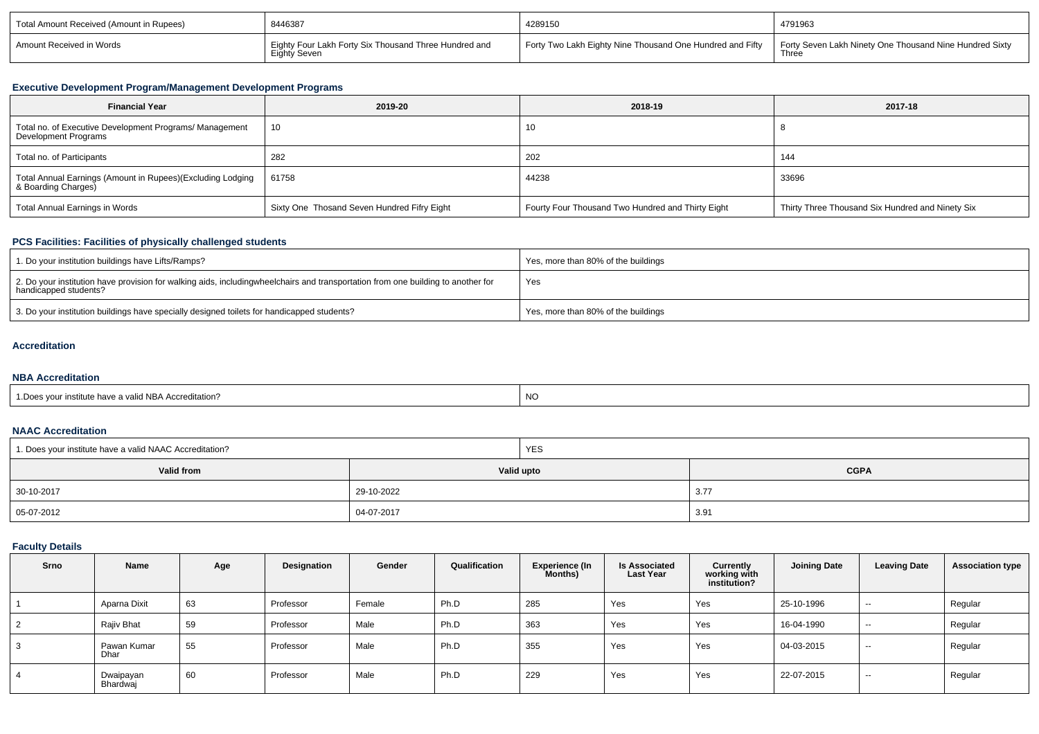| Total Amount Received (Amount in Rupees) | 8446387                                                                      | 4289150                                                   | 4791963                                                          |
|------------------------------------------|------------------------------------------------------------------------------|-----------------------------------------------------------|------------------------------------------------------------------|
| Amount Received in Words                 | Eighty Four Lakh Forty Six Thousand Three Hundred and<br><b>Eighty Seven</b> | Forty Two Lakh Eighty Nine Thousand One Hundred and Fifty | Forty Seven Lakh Ninety One Thousand Nine Hundred Sixty<br>Three |

### **Executive Development Program/Management Development Programs**

| <b>Financial Year</b>                                                             | 2019-20                                     | 2018-19                                           | 2017-18                                          |
|-----------------------------------------------------------------------------------|---------------------------------------------|---------------------------------------------------|--------------------------------------------------|
| Total no. of Executive Development Programs/ Management<br>Development Programs   | 10                                          | 10                                                |                                                  |
| Total no. of Participants                                                         | 282                                         | 202                                               | 144                                              |
| Total Annual Earnings (Amount in Rupees)(Excluding Lodging<br>& Boarding Charges) | 61758                                       | 44238                                             | 33696                                            |
| Total Annual Earnings in Words                                                    | Sixty One Thosand Seven Hundred Fifry Eight | Fourty Four Thousand Two Hundred and Thirty Eight | Thirty Three Thousand Six Hundred and Ninety Six |

# **PCS Facilities: Facilities of physically challenged students**

| 1. Do your institution buildings have Lifts/Ramps?                                                                                                         | Yes, more than 80% of the buildings |
|------------------------------------------------------------------------------------------------------------------------------------------------------------|-------------------------------------|
| 2. Do your institution have provision for walking aids, including wheelchairs and transportation from one building to another for<br>handicapped students? | Yes                                 |
| 3. Do your institution buildings have specially designed toilets for handicapped students?                                                                 | Yes, more than 80% of the buildings |

#### **Accreditation**

## **NBA Accreditation**

| valid NBA Accreditation?<br>Doe<br>" institute have a | <b>NO</b> |
|-------------------------------------------------------|-----------|
|                                                       |           |

### **NAAC Accreditation**

| 1. Does your institute have a valid NAAC Accreditation? |            | <b>YES</b> |             |  |  |  |
|---------------------------------------------------------|------------|------------|-------------|--|--|--|
| Valid from                                              |            | Valid upto | <b>CGPA</b> |  |  |  |
| 30-10-2017                                              | 29-10-2022 |            | 3.77        |  |  |  |
| 05-07-2012                                              | 04-07-2017 |            | 3.9         |  |  |  |

# **Faculty Details**

| Srno | <b>Name</b>           | Age | Designation | Gender | Qualification | <b>Experience (In</b><br>Months) | <b>Is Associated</b><br><b>Last Year</b> | Currently<br>working with<br>institution? | <b>Joining Date</b> | <b>Leaving Date</b> | <b>Association type</b> |
|------|-----------------------|-----|-------------|--------|---------------|----------------------------------|------------------------------------------|-------------------------------------------|---------------------|---------------------|-------------------------|
|      | Aparna Dixit          | 63  | Professor   | Female | Ph.D          | 285                              | Yes                                      | Yes                                       | 25-10-1996          | $\sim$              | Regular                 |
|      | Rajiv Bhat            | 59  | Professor   | Male   | Ph.D          | 363                              | Yes                                      | Yes                                       | 16-04-1990          | $-$                 | Regular                 |
|      | Pawan Kumar<br>Dhar   | 55  | Professor   | Male   | Ph.D          | 355                              | Yes                                      | Yes                                       | 04-03-2015          | $\sim$              | Regular                 |
|      | Dwaipayan<br>Bhardwai | 60  | Professor   | Male   | Ph.D          | 229                              | Yes                                      | Yes                                       | 22-07-2015          | $-$                 | Regular                 |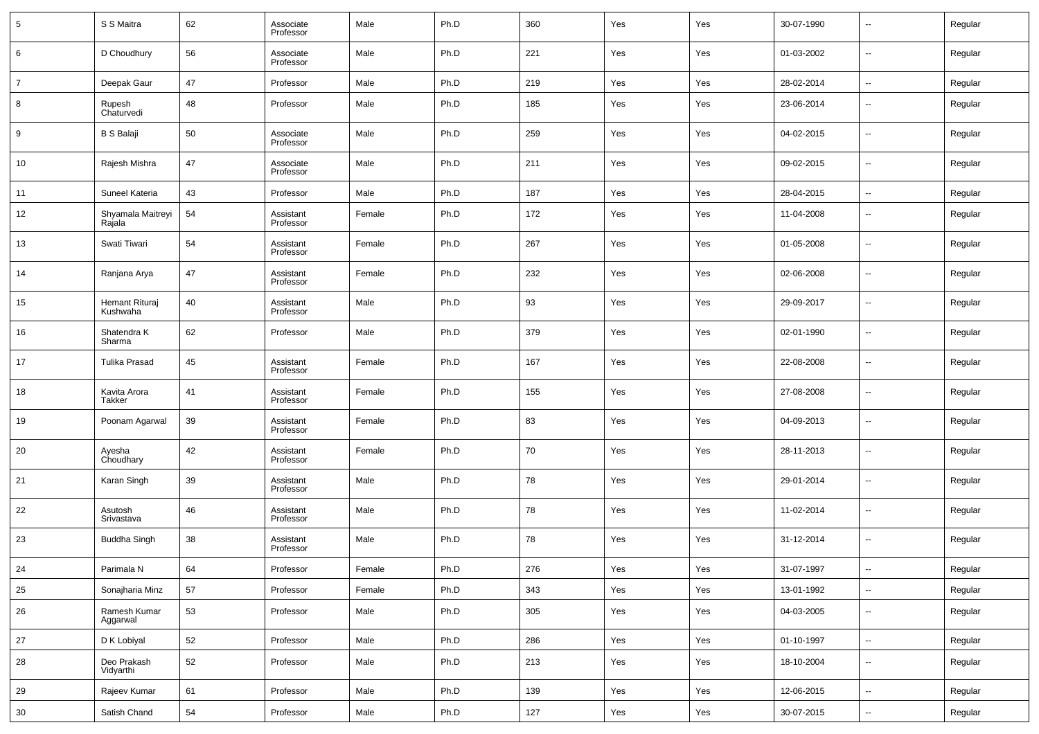| $5\phantom{.0}$ | S S Maitra                  | 62 | Associate<br>Professor | Male   | Ph.D | 360 | Yes | Yes | 30-07-1990 | $\overline{a}$           | Regular |
|-----------------|-----------------------------|----|------------------------|--------|------|-----|-----|-----|------------|--------------------------|---------|
| 6               | D Choudhury                 | 56 | Associate<br>Professor | Male   | Ph.D | 221 | Yes | Yes | 01-03-2002 | ш.                       | Regular |
| $\overline{7}$  | Deepak Gaur                 | 47 | Professor              | Male   | Ph.D | 219 | Yes | Yes | 28-02-2014 | ш.                       | Regular |
| 8               | Rupesh<br>Chaturvedi        | 48 | Professor              | Male   | Ph.D | 185 | Yes | Yes | 23-06-2014 | --                       | Regular |
| 9               | <b>B S Balaji</b>           | 50 | Associate<br>Professor | Male   | Ph.D | 259 | Yes | Yes | 04-02-2015 | --                       | Regular |
| 10              | Rajesh Mishra               | 47 | Associate<br>Professor | Male   | Ph.D | 211 | Yes | Yes | 09-02-2015 | н.                       | Regular |
| 11              | Suneel Kateria              | 43 | Professor              | Male   | Ph.D | 187 | Yes | Yes | 28-04-2015 | $\overline{\phantom{a}}$ | Regular |
| 12              | Shyamala Maitreyi<br>Rajala | 54 | Assistant<br>Professor | Female | Ph.D | 172 | Yes | Yes | 11-04-2008 | --                       | Regular |
| 13              | Swati Tiwari                | 54 | Assistant<br>Professor | Female | Ph.D | 267 | Yes | Yes | 01-05-2008 | --                       | Regular |
| 14              | Ranjana Arya                | 47 | Assistant<br>Professor | Female | Ph.D | 232 | Yes | Yes | 02-06-2008 | --                       | Regular |
| 15              | Hemant Rituraj<br>Kushwaha  | 40 | Assistant<br>Professor | Male   | Ph.D | 93  | Yes | Yes | 29-09-2017 | --                       | Regular |
| 16              | Shatendra K<br>Sharma       | 62 | Professor              | Male   | Ph.D | 379 | Yes | Yes | 02-01-1990 | --                       | Regular |
| 17              | <b>Tulika Prasad</b>        | 45 | Assistant<br>Professor | Female | Ph.D | 167 | Yes | Yes | 22-08-2008 | --                       | Regular |
| 18              | Kavita Arora<br>Takker      | 41 | Assistant<br>Professor | Female | Ph.D | 155 | Yes | Yes | 27-08-2008 | --                       | Regular |
| 19              | Poonam Agarwal              | 39 | Assistant<br>Professor | Female | Ph.D | 83  | Yes | Yes | 04-09-2013 | --                       | Regular |
| 20              | Ayesha<br>Choudhary         | 42 | Assistant<br>Professor | Female | Ph.D | 70  | Yes | Yes | 28-11-2013 | --                       | Regular |
| 21              | Karan Singh                 | 39 | Assistant<br>Professor | Male   | Ph.D | 78  | Yes | Yes | 29-01-2014 | --                       | Regular |
| 22              | Asutosh<br>Srivastava       | 46 | Assistant<br>Professor | Male   | Ph.D | 78  | Yes | Yes | 11-02-2014 | --                       | Regular |
| 23              | Buddha Singh                | 38 | Assistant<br>Professor | Male   | Ph.D | 78  | Yes | Yes | 31-12-2014 | --                       | Regular |
| 24              | Parimala N                  | 64 | Professor              | Female | Ph.D | 276 | Yes | Yes | 31-07-1997 | $\overline{\phantom{a}}$ | Regular |
| 25              | Sonajharia Minz             | 57 | Professor              | Female | Ph.D | 343 | Yes | Yes | 13-01-1992 | щ.                       | Regular |
| 26              | Ramesh Kumar<br>Aggarwal    | 53 | Professor              | Male   | Ph.D | 305 | Yes | Yes | 04-03-2005 | --                       | Regular |
| 27              | D K Lobiyal                 | 52 | Professor              | Male   | Ph.D | 286 | Yes | Yes | 01-10-1997 | $\overline{\phantom{a}}$ | Regular |
| 28              | Deo Prakash<br>Vidyarthi    | 52 | Professor              | Male   | Ph.D | 213 | Yes | Yes | 18-10-2004 | $\overline{\phantom{a}}$ | Regular |
| 29              | Rajeev Kumar                | 61 | Professor              | Male   | Ph.D | 139 | Yes | Yes | 12-06-2015 | Ξ.                       | Regular |
| 30              | Satish Chand                | 54 | Professor              | Male   | Ph.D | 127 | Yes | Yes | 30-07-2015 | $\overline{\phantom{a}}$ | Regular |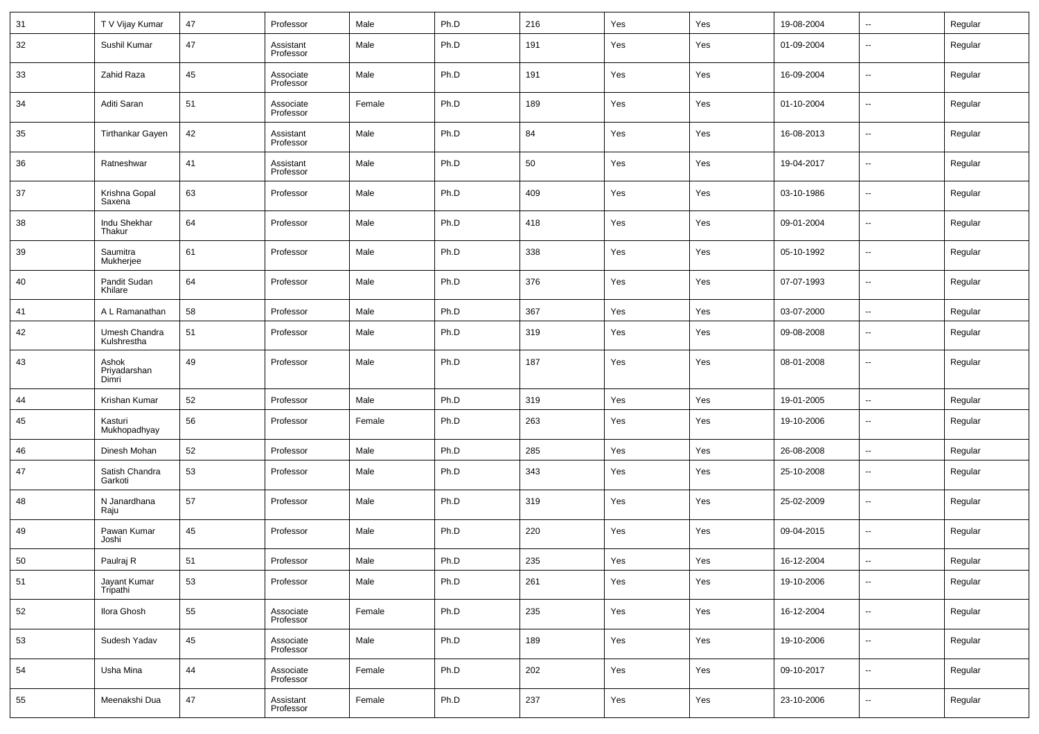| 31 | T V Vijay Kumar                | 47 | Professor              | Male   | Ph.D | 216 | Yes | Yes | 19-08-2004 | $\overline{\phantom{a}}$ | Regular |
|----|--------------------------------|----|------------------------|--------|------|-----|-----|-----|------------|--------------------------|---------|
| 32 | Sushil Kumar                   | 47 | Assistant<br>Professor | Male   | Ph.D | 191 | Yes | Yes | 01-09-2004 | $\overline{\phantom{a}}$ | Regular |
| 33 | Zahid Raza                     | 45 | Associate<br>Professor | Male   | Ph.D | 191 | Yes | Yes | 16-09-2004 | $\overline{\phantom{a}}$ | Regular |
| 34 | Aditi Saran                    | 51 | Associate<br>Professor | Female | Ph.D | 189 | Yes | Yes | 01-10-2004 | $\overline{\phantom{a}}$ | Regular |
| 35 | <b>Tirthankar Gayen</b>        | 42 | Assistant<br>Professor | Male   | Ph.D | 84  | Yes | Yes | 16-08-2013 | $\overline{\phantom{a}}$ | Regular |
| 36 | Ratneshwar                     | 41 | Assistant<br>Professor | Male   | Ph.D | 50  | Yes | Yes | 19-04-2017 | ۰.                       | Regular |
| 37 | Krishna Gopal<br>Saxena        | 63 | Professor              | Male   | Ph.D | 409 | Yes | Yes | 03-10-1986 | $\overline{\phantom{a}}$ | Regular |
| 38 | Indu Shekhar<br>Thakur         | 64 | Professor              | Male   | Ph.D | 418 | Yes | Yes | 09-01-2004 | $\overline{\phantom{a}}$ | Regular |
| 39 | Saumitra<br>Mukherjee          | 61 | Professor              | Male   | Ph.D | 338 | Yes | Yes | 05-10-1992 | $\overline{\phantom{a}}$ | Regular |
| 40 | Pandit Sudan<br>Khilare        | 64 | Professor              | Male   | Ph.D | 376 | Yes | Yes | 07-07-1993 | $\overline{\phantom{a}}$ | Regular |
| 41 | A L Ramanathan                 | 58 | Professor              | Male   | Ph.D | 367 | Yes | Yes | 03-07-2000 | $\overline{\phantom{a}}$ | Regular |
| 42 | Umesh Chandra<br>Kulshrestha   | 51 | Professor              | Male   | Ph.D | 319 | Yes | Yes | 09-08-2008 | $\overline{\phantom{a}}$ | Regular |
| 43 | Ashok<br>Priyadarshan<br>Dimri | 49 | Professor              | Male   | Ph.D | 187 | Yes | Yes | 08-01-2008 | $\overline{\phantom{a}}$ | Regular |
| 44 | Krishan Kumar                  | 52 | Professor              | Male   | Ph.D | 319 | Yes | Yes | 19-01-2005 | $\overline{\phantom{a}}$ | Regular |
| 45 | Kasturi<br>Mukhopadhyay        | 56 | Professor              | Female | Ph.D | 263 | Yes | Yes | 19-10-2006 | $\overline{\phantom{a}}$ | Regular |
| 46 | Dinesh Mohan                   | 52 | Professor              | Male   | Ph.D | 285 | Yes | Yes | 26-08-2008 | $\overline{\phantom{a}}$ | Regular |
| 47 | Satish Chandra<br>Garkoti      | 53 | Professor              | Male   | Ph.D | 343 | Yes | Yes | 25-10-2008 | $\overline{\phantom{a}}$ | Regular |
| 48 | N Janardhana<br>Raju           | 57 | Professor              | Male   | Ph.D | 319 | Yes | Yes | 25-02-2009 | $\overline{\phantom{a}}$ | Regular |
| 49 | Pawan Kumar<br>Joshi           | 45 | Professor              | Male   | Ph.D | 220 | Yes | Yes | 09-04-2015 | $\overline{\phantom{a}}$ | Regular |
| 50 | Paulraj R                      | 51 | Professor              | Male   | Ph.D | 235 | Yes | Yes | 16-12-2004 | $\sim$                   | Regular |
| 51 | Jayant Kumar<br>Tripathi       | 53 | Professor              | Male   | Ph.D | 261 | Yes | Yes | 19-10-2006 | ۰.                       | Regular |
| 52 | Ilora Ghosh                    | 55 | Associate<br>Professor | Female | Ph.D | 235 | Yes | Yes | 16-12-2004 | $\overline{\phantom{a}}$ | Regular |
| 53 | Sudesh Yadav                   | 45 | Associate<br>Professor | Male   | Ph.D | 189 | Yes | Yes | 19-10-2006 | ۰.                       | Regular |
| 54 | Usha Mina                      | 44 | Associate<br>Professor | Female | Ph.D | 202 | Yes | Yes | 09-10-2017 | ۰.                       | Regular |
| 55 | Meenakshi Dua                  | 47 | Assistant<br>Professor | Female | Ph.D | 237 | Yes | Yes | 23-10-2006 | $\overline{\phantom{a}}$ | Regular |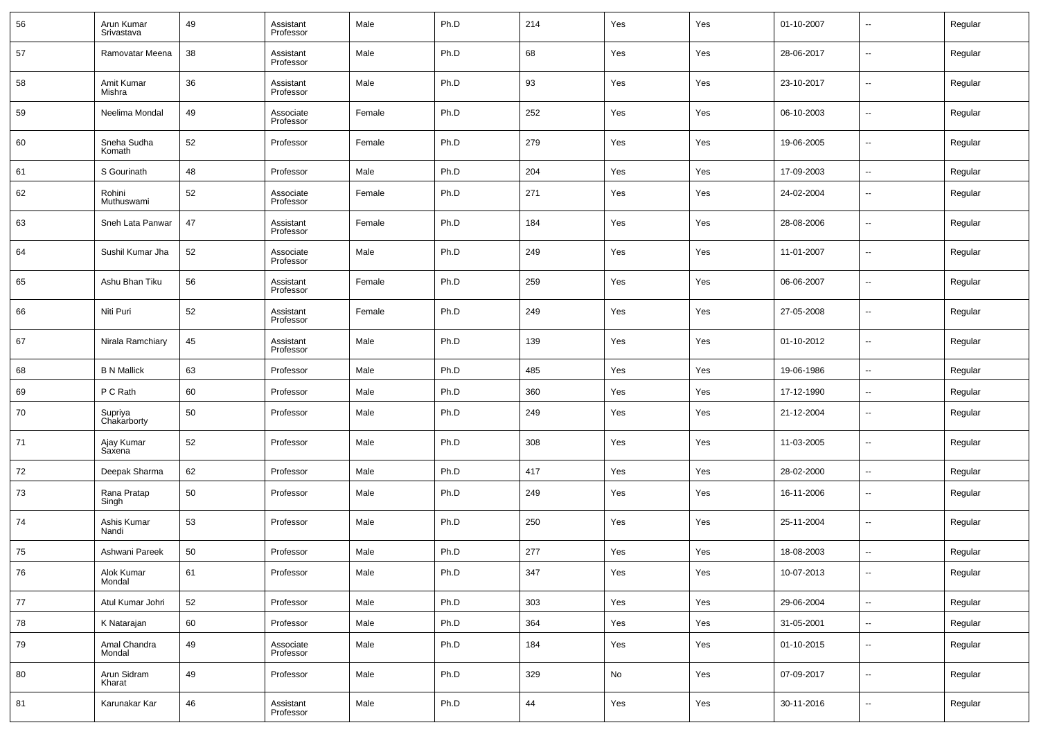| 56 | Arun Kumar<br>Srivastava | 49 | Assistant<br>Professor | Male   | Ph.D | 214 | Yes | Yes | 01-10-2007 | --                       | Regular |
|----|--------------------------|----|------------------------|--------|------|-----|-----|-----|------------|--------------------------|---------|
| 57 | Ramovatar Meena          | 38 | Assistant<br>Professor | Male   | Ph.D | 68  | Yes | Yes | 28-06-2017 | --                       | Regular |
| 58 | Amit Kumar<br>Mishra     | 36 | Assistant<br>Professor | Male   | Ph.D | 93  | Yes | Yes | 23-10-2017 | --                       | Regular |
| 59 | Neelima Mondal           | 49 | Associate<br>Professor | Female | Ph.D | 252 | Yes | Yes | 06-10-2003 | $\overline{\phantom{a}}$ | Regular |
| 60 | Sneha Sudha<br>Komath    | 52 | Professor              | Female | Ph.D | 279 | Yes | Yes | 19-06-2005 | ш.                       | Regular |
| 61 | S Gourinath              | 48 | Professor              | Male   | Ph.D | 204 | Yes | Yes | 17-09-2003 | $\sim$                   | Regular |
| 62 | Rohini<br>Muthuswami     | 52 | Associate<br>Professor | Female | Ph.D | 271 | Yes | Yes | 24-02-2004 | --                       | Regular |
| 63 | Sneh Lata Panwar         | 47 | Assistant<br>Professor | Female | Ph.D | 184 | Yes | Yes | 28-08-2006 | --                       | Regular |
| 64 | Sushil Kumar Jha         | 52 | Associate<br>Professor | Male   | Ph.D | 249 | Yes | Yes | 11-01-2007 | --                       | Regular |
| 65 | Ashu Bhan Tiku           | 56 | Assistant<br>Professor | Female | Ph.D | 259 | Yes | Yes | 06-06-2007 | --                       | Regular |
| 66 | Niti Puri                | 52 | Assistant<br>Professor | Female | Ph.D | 249 | Yes | Yes | 27-05-2008 | --                       | Regular |
| 67 | Nirala Ramchiary         | 45 | Assistant<br>Professor | Male   | Ph.D | 139 | Yes | Yes | 01-10-2012 | --                       | Regular |
| 68 | <b>B N Mallick</b>       | 63 | Professor              | Male   | Ph.D | 485 | Yes | Yes | 19-06-1986 | н.                       | Regular |
| 69 | P C Rath                 | 60 | Professor              | Male   | Ph.D | 360 | Yes | Yes | 17-12-1990 | --                       | Regular |
| 70 | Supriya<br>Chakarborty   | 50 | Professor              | Male   | Ph.D | 249 | Yes | Yes | 21-12-2004 | --                       | Regular |
| 71 | Ajay Kumar<br>Saxena     | 52 | Professor              | Male   | Ph.D | 308 | Yes | Yes | 11-03-2005 | --                       | Regular |
| 72 | Deepak Sharma            | 62 | Professor              | Male   | Ph.D | 417 | Yes | Yes | 28-02-2000 | --                       | Regular |
| 73 | Rana Pratap<br>Singh     | 50 | Professor              | Male   | Ph.D | 249 | Yes | Yes | 16-11-2006 | --                       | Regular |
| 74 | Ashis Kumar<br>Nandi     | 53 | Professor              | Male   | Ph.D | 250 | Yes | Yes | 25-11-2004 | --                       | Regular |
| 75 | Ashwani Pareek           | 50 | Professor              | Male   | Ph.D | 277 | Yes | Yes | 18-08-2003 | --                       | Regular |
| 76 | Alok Kumar<br>Mondal     | 61 | Professor              | Male   | Ph.D | 347 | Yes | Yes | 10-07-2013 | $\sim$                   | Regular |
| 77 | Atul Kumar Johri         | 52 | Professor              | Male   | Ph.D | 303 | Yes | Yes | 29-06-2004 | $\overline{\phantom{a}}$ | Regular |
| 78 | K Natarajan              | 60 | Professor              | Male   | Ph.D | 364 | Yes | Yes | 31-05-2001 | ٠.                       | Regular |
| 79 | Amal Chandra<br>Mondal   | 49 | Associate<br>Professor | Male   | Ph.D | 184 | Yes | Yes | 01-10-2015 | $\sim$                   | Regular |
| 80 | Arun Sidram<br>Kharat    | 49 | Professor              | Male   | Ph.D | 329 | No  | Yes | 07-09-2017 | $\sim$                   | Regular |
| 81 | Karunakar Kar            | 46 | Assistant<br>Professor | Male   | Ph.D | 44  | Yes | Yes | 30-11-2016 | н.                       | Regular |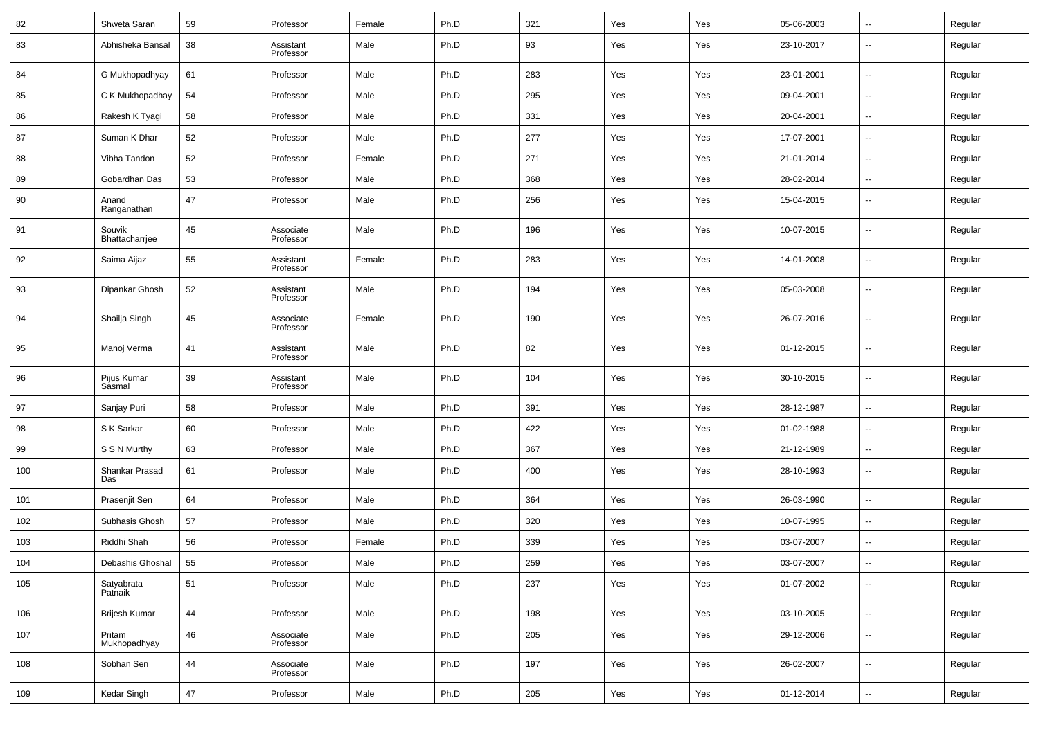| 82  | Shweta Saran             | 59 | Professor              | Female | Ph.D | 321 | Yes | Yes | 05-06-2003 | $\sim$                   | Regular |
|-----|--------------------------|----|------------------------|--------|------|-----|-----|-----|------------|--------------------------|---------|
| 83  | Abhisheka Bansal         | 38 | Assistant<br>Professor | Male   | Ph.D | 93  | Yes | Yes | 23-10-2017 | --                       | Regular |
| 84  | G Mukhopadhyay           | 61 | Professor              | Male   | Ph.D | 283 | Yes | Yes | 23-01-2001 | н.                       | Regular |
| 85  | C K Mukhopadhay          | 54 | Professor              | Male   | Ph.D | 295 | Yes | Yes | 09-04-2001 | $\sim$                   | Regular |
| 86  | Rakesh K Tyagi           | 58 | Professor              | Male   | Ph.D | 331 | Yes | Yes | 20-04-2001 | --                       | Regular |
| 87  | Suman K Dhar             | 52 | Professor              | Male   | Ph.D | 277 | Yes | Yes | 17-07-2001 | $\sim$                   | Regular |
| 88  | Vibha Tandon             | 52 | Professor              | Female | Ph.D | 271 | Yes | Yes | 21-01-2014 | $\overline{\phantom{a}}$ | Regular |
| 89  | Gobardhan Das            | 53 | Professor              | Male   | Ph.D | 368 | Yes | Yes | 28-02-2014 | $\sim$                   | Regular |
| 90  | Anand<br>Ranganathan     | 47 | Professor              | Male   | Ph.D | 256 | Yes | Yes | 15-04-2015 | --                       | Regular |
| 91  | Souvik<br>Bhattacharrjee | 45 | Associate<br>Professor | Male   | Ph.D | 196 | Yes | Yes | 10-07-2015 | --                       | Regular |
| 92  | Saima Aijaz              | 55 | Assistant<br>Professor | Female | Ph.D | 283 | Yes | Yes | 14-01-2008 | ш,                       | Regular |
| 93  | Dipankar Ghosh           | 52 | Assistant<br>Professor | Male   | Ph.D | 194 | Yes | Yes | 05-03-2008 | ш,                       | Regular |
| 94  | Shailja Singh            | 45 | Associate<br>Professor | Female | Ph.D | 190 | Yes | Yes | 26-07-2016 | --                       | Regular |
| 95  | Manoj Verma              | 41 | Assistant<br>Professor | Male   | Ph.D | 82  | Yes | Yes | 01-12-2015 | ш,                       | Regular |
| 96  | Pijus Kumar<br>Sasmal    | 39 | Assistant<br>Professor | Male   | Ph.D | 104 | Yes | Yes | 30-10-2015 | --                       | Regular |
| 97  | Sanjay Puri              | 58 | Professor              | Male   | Ph.D | 391 | Yes | Yes | 28-12-1987 | $\sim$                   | Regular |
| 98  | S K Sarkar               | 60 | Professor              | Male   | Ph.D | 422 | Yes | Yes | 01-02-1988 | $\sim$                   | Regular |
| 99  | S S N Murthy             | 63 | Professor              | Male   | Ph.D | 367 | Yes | Yes | 21-12-1989 | --                       | Regular |
| 100 | Shankar Prasad<br>Das    | 61 | Professor              | Male   | Ph.D | 400 | Yes | Yes | 28-10-1993 | --                       | Regular |
| 101 | Prasenjit Sen            | 64 | Professor              | Male   | Ph.D | 364 | Yes | Yes | 26-03-1990 | ш,                       | Regular |
| 102 | Subhasis Ghosh           | 57 | Professor              | Male   | Ph.D | 320 | Yes | Yes | 10-07-1995 | $\sim$                   | Regular |
| 103 | Riddhi Shah              | 56 | Professor              | Female | Ph.D | 339 | Yes | Yes | 03-07-2007 | ш,                       | Regular |
| 104 | Debashis Ghoshal         | 55 | Professor              | Male   | Ph.D | 259 | Yes | Yes | 03-07-2007 | ⊷                        | Regular |
| 105 | Satyabrata<br>Patnaik    | 51 | Professor              | Male   | Ph.D | 237 | Yes | Yes | 01-07-2002 | $\overline{\phantom{a}}$ | Regular |
| 106 | <b>Brijesh Kumar</b>     | 44 | Professor              | Male   | Ph.D | 198 | Yes | Yes | 03-10-2005 | $\overline{\phantom{a}}$ | Regular |
| 107 | Pritam<br>Mukhopadhyay   | 46 | Associate<br>Professor | Male   | Ph.D | 205 | Yes | Yes | 29-12-2006 | $\sim$                   | Regular |
| 108 | Sobhan Sen               | 44 | Associate<br>Professor | Male   | Ph.D | 197 | Yes | Yes | 26-02-2007 | $\sim$                   | Regular |
| 109 | Kedar Singh              | 47 | Professor              | Male   | Ph.D | 205 | Yes | Yes | 01-12-2014 | $\overline{\phantom{a}}$ | Regular |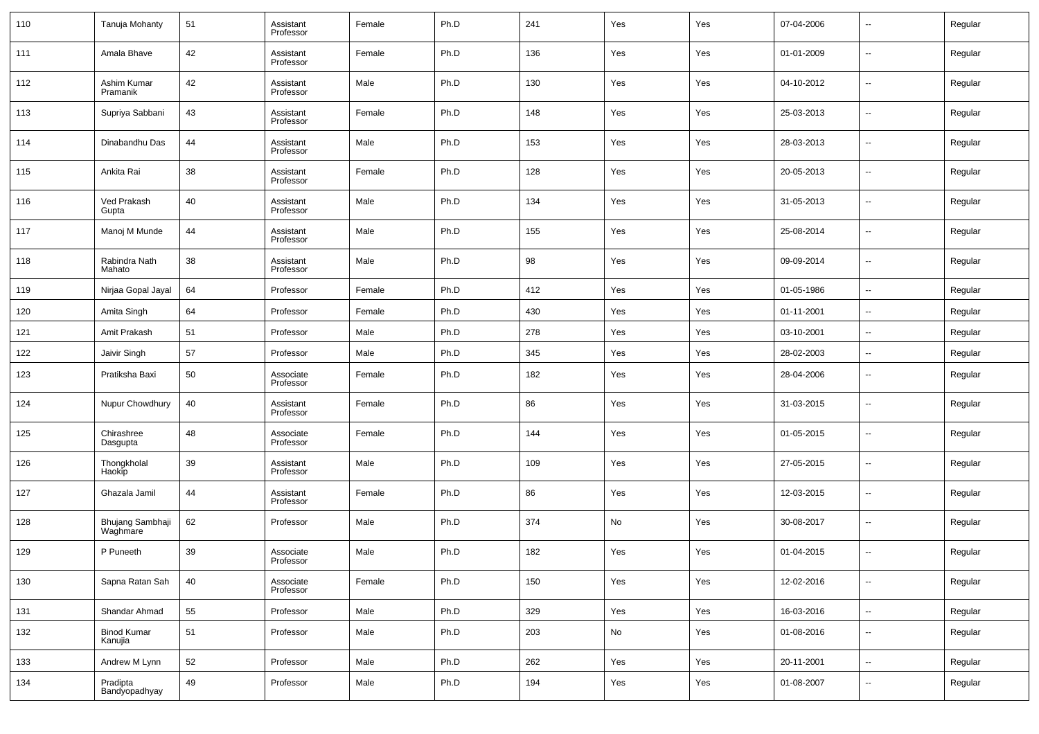| 110 | Tanuja Mohanty                | 51 | Assistant<br>Professor | Female | Ph.D | 241 | Yes | Yes | 07-04-2006 | $\overline{\phantom{a}}$ | Regular |
|-----|-------------------------------|----|------------------------|--------|------|-----|-----|-----|------------|--------------------------|---------|
| 111 | Amala Bhave                   | 42 | Assistant<br>Professor | Female | Ph.D | 136 | Yes | Yes | 01-01-2009 | $\overline{\phantom{a}}$ | Regular |
| 112 | Ashim Kumar<br>Pramanik       | 42 | Assistant<br>Professor | Male   | Ph.D | 130 | Yes | Yes | 04-10-2012 | $\overline{\phantom{a}}$ | Regular |
| 113 | Supriya Sabbani               | 43 | Assistant<br>Professor | Female | Ph.D | 148 | Yes | Yes | 25-03-2013 | $\overline{\phantom{a}}$ | Regular |
| 114 | Dinabandhu Das                | 44 | Assistant<br>Professor | Male   | Ph.D | 153 | Yes | Yes | 28-03-2013 | $\overline{\phantom{a}}$ | Regular |
| 115 | Ankita Rai                    | 38 | Assistant<br>Professor | Female | Ph.D | 128 | Yes | Yes | 20-05-2013 | $\overline{\phantom{a}}$ | Regular |
| 116 | Ved Prakash<br>Gupta          | 40 | Assistant<br>Professor | Male   | Ph.D | 134 | Yes | Yes | 31-05-2013 | $\overline{\phantom{a}}$ | Regular |
| 117 | Manoj M Munde                 | 44 | Assistant<br>Professor | Male   | Ph.D | 155 | Yes | Yes | 25-08-2014 | $\overline{\phantom{a}}$ | Regular |
| 118 | Rabindra Nath<br>Mahato       | 38 | Assistant<br>Professor | Male   | Ph.D | 98  | Yes | Yes | 09-09-2014 | $\overline{\phantom{a}}$ | Regular |
| 119 | Nirjaa Gopal Jayal            | 64 | Professor              | Female | Ph.D | 412 | Yes | Yes | 01-05-1986 | $\sim$                   | Regular |
| 120 | Amita Singh                   | 64 | Professor              | Female | Ph.D | 430 | Yes | Yes | 01-11-2001 | $\sim$                   | Regular |
| 121 | Amit Prakash                  | 51 | Professor              | Male   | Ph.D | 278 | Yes | Yes | 03-10-2001 | $\mathbf{u}$             | Regular |
| 122 | Jaivir Singh                  | 57 | Professor              | Male   | Ph.D | 345 | Yes | Yes | 28-02-2003 | $\overline{\phantom{a}}$ | Regular |
| 123 | Pratiksha Baxi                | 50 | Associate<br>Professor | Female | Ph.D | 182 | Yes | Yes | 28-04-2006 | $\overline{\phantom{a}}$ | Regular |
| 124 | Nupur Chowdhury               | 40 | Assistant<br>Professor | Female | Ph.D | 86  | Yes | Yes | 31-03-2015 | $\overline{\phantom{a}}$ | Regular |
| 125 | Chirashree<br>Dasgupta        | 48 | Associate<br>Professor | Female | Ph.D | 144 | Yes | Yes | 01-05-2015 | $\overline{\phantom{a}}$ | Regular |
| 126 | Thongkholal<br>Haokip         | 39 | Assistant<br>Professor | Male   | Ph.D | 109 | Yes | Yes | 27-05-2015 | $\overline{\phantom{a}}$ | Regular |
| 127 | Ghazala Jamil                 | 44 | Assistant<br>Professor | Female | Ph.D | 86  | Yes | Yes | 12-03-2015 | $\overline{\phantom{a}}$ | Regular |
| 128 | Bhujang Sambhaji<br>Waghmare  | 62 | Professor              | Male   | Ph.D | 374 | No  | Yes | 30-08-2017 | $\overline{\phantom{a}}$ | Regular |
| 129 | P Puneeth                     | 39 | Associate<br>Professor | Male   | Ph.D | 182 | Yes | Yes | 01-04-2015 | $\overline{\phantom{a}}$ | Regular |
| 130 | Sapna Ratan Sah               | 40 | Associate<br>Professor | Female | Ph.D | 150 | Yes | Yes | 12-02-2016 | ۰.                       | Regular |
| 131 | Shandar Ahmad                 | 55 | Professor              | Male   | Ph.D | 329 | Yes | Yes | 16-03-2016 | $\sim$                   | Regular |
| 132 | <b>Binod Kumar</b><br>Kanujia | 51 | Professor              | Male   | Ph.D | 203 | No  | Yes | 01-08-2016 | $\sim$                   | Regular |
| 133 | Andrew M Lynn                 | 52 | Professor              | Male   | Ph.D | 262 | Yes | Yes | 20-11-2001 | $\overline{\phantom{a}}$ | Regular |
| 134 | Pradipta<br>Bandyopadhyay     | 49 | Professor              | Male   | Ph.D | 194 | Yes | Yes | 01-08-2007 | ۰.                       | Regular |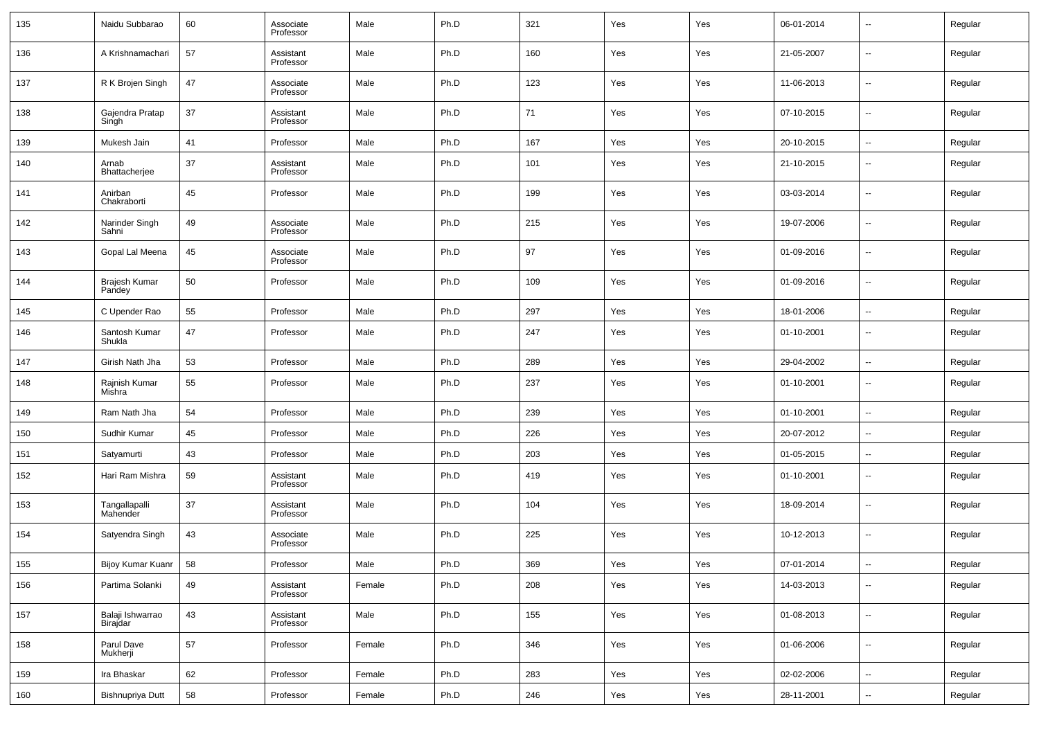| 135 | Naidu Subbarao               | 60 | Associate<br>Professor | Male   | Ph.D | 321 | Yes | Yes                           | 06-01-2014 | $\overline{\phantom{a}}$ | Regular |
|-----|------------------------------|----|------------------------|--------|------|-----|-----|-------------------------------|------------|--------------------------|---------|
| 136 | A Krishnamachari             | 57 | Assistant<br>Professor | Male   | Ph.D | 160 | Yes | Yes                           | 21-05-2007 | $\overline{\phantom{a}}$ | Regular |
| 137 | R K Brojen Singh             | 47 | Associate<br>Professor | Male   | Ph.D | 123 | Yes | Yes                           | 11-06-2013 | $\overline{\phantom{a}}$ | Regular |
| 138 | Gajendra Pratap<br>Singh     | 37 | Assistant<br>Professor | Male   | Ph.D | 71  | Yes | Yes                           | 07-10-2015 | $\overline{\phantom{a}}$ | Regular |
| 139 | Mukesh Jain                  | 41 | Professor              | Male   | Ph.D | 167 | Yes | Yes                           | 20-10-2015 | $\overline{\phantom{a}}$ | Regular |
| 140 | Arnab<br>Bhattacherjee       | 37 | Assistant<br>Professor | Male   | Ph.D | 101 | Yes | Yes                           | 21-10-2015 | --                       | Regular |
| 141 | Anirban<br>Chakraborti       | 45 | Professor              | Male   | Ph.D | 199 | Yes | Yes                           | 03-03-2014 | $\overline{\phantom{a}}$ | Regular |
| 142 | Narinder Singh<br>Sahni      | 49 | Associate<br>Professor | Male   | Ph.D | 215 | Yes | Yes                           | 19-07-2006 | $\sim$                   | Regular |
| 143 | Gopal Lal Meena              | 45 | Associate<br>Professor | Male   | Ph.D | 97  | Yes | Yes                           | 01-09-2016 | --                       | Regular |
| 144 | Brajesh Kumar<br>Pandey      | 50 | Professor              | Male   | Ph.D | 109 | Yes | Yes                           | 01-09-2016 | $\overline{\phantom{a}}$ | Regular |
| 145 | C Upender Rao                | 55 | Professor              | Male   | Ph.D | 297 | Yes | Yes                           | 18-01-2006 | $\sim$                   | Regular |
| 146 | Santosh Kumar<br>Shukla      | 47 | Professor              | Male   | Ph.D | 247 | Yes | Yes                           | 01-10-2001 | --                       | Regular |
| 147 | Girish Nath Jha              | 53 | Professor              | Male   | Ph.D | 289 | Yes | Yes                           | 29-04-2002 | $\ddotsc$                | Regular |
| 148 | Rajnish Kumar<br>Mishra      | 55 | Professor              | Male   | Ph.D | 237 | Yes | Yes                           | 01-10-2001 | --                       | Regular |
| 149 | Ram Nath Jha                 | 54 | Professor              | Male   | Ph.D | 239 | Yes | Yes                           | 01-10-2001 | $\overline{\phantom{a}}$ | Regular |
| 150 | Sudhir Kumar                 | 45 | Professor              | Male   | Ph.D | 226 | Yes | Yes                           | 20-07-2012 | $\overline{\phantom{a}}$ | Regular |
| 151 | Satyamurti                   | 43 | Professor              | Male   | Ph.D | 203 | Yes | Yes                           | 01-05-2015 | $\overline{\phantom{a}}$ | Regular |
| 152 | Hari Ram Mishra              | 59 | Assistant<br>Professor | Male   | Ph.D | 419 | Yes | Yes                           | 01-10-2001 | --                       | Regular |
| 153 | Tangallapalli<br>Mahender    | 37 | Assistant<br>Professor | Male   | Ph.D | 104 | Yes | Yes                           | 18-09-2014 | $\overline{\phantom{a}}$ | Regular |
| 154 | Satyendra Singh              | 43 | Associate<br>Professor | Male   | Ph.D | 225 | Yes | Yes                           | 10-12-2013 | $\overline{\phantom{a}}$ | Regular |
| 155 | Bijoy Kumar Kuanr   58       |    | Professor              | Male   | Ph.D | 369 | Yes | $\operatorname{\mathsf{Yes}}$ | 07-01-2014 | $\overline{\phantom{a}}$ | Regular |
| 156 | Partima Solanki              | 49 | Assistant<br>Professor | Female | Ph.D | 208 | Yes | Yes                           | 14-03-2013 | н,                       | Regular |
| 157 | Balaji Ishwarrao<br>Birajdar | 43 | Assistant<br>Professor | Male   | Ph.D | 155 | Yes | Yes                           | 01-08-2013 | $\overline{\phantom{a}}$ | Regular |
| 158 | Parul Dave<br>Mukherji       | 57 | Professor              | Female | Ph.D | 346 | Yes | Yes                           | 01-06-2006 | $\overline{\phantom{a}}$ | Regular |
| 159 | Ira Bhaskar                  | 62 | Professor              | Female | Ph.D | 283 | Yes | Yes                           | 02-02-2006 | $\overline{\phantom{a}}$ | Regular |
| 160 | Bishnupriya Dutt             | 58 | Professor              | Female | Ph.D | 246 | Yes | Yes                           | 28-11-2001 | $\overline{\phantom{a}}$ | Regular |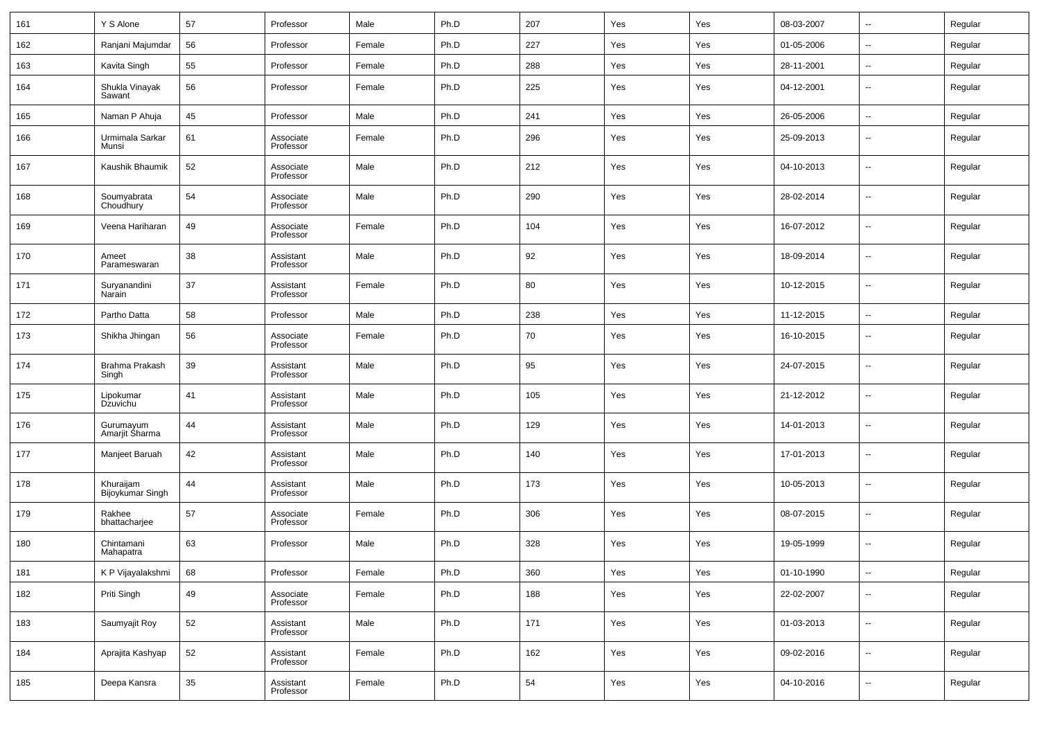| 161 | Y S Alone                     | 57     | Professor              | Male   | Ph.D | 207 | Yes | Yes | 08-03-2007 | --                       | Regular |
|-----|-------------------------------|--------|------------------------|--------|------|-----|-----|-----|------------|--------------------------|---------|
| 162 | Ranjani Majumdar              | 56     | Professor              | Female | Ph.D | 227 | Yes | Yes | 01-05-2006 | --                       | Regular |
| 163 | Kavita Singh                  | 55     | Professor              | Female | Ph.D | 288 | Yes | Yes | 28-11-2001 | $\overline{\phantom{a}}$ | Regular |
| 164 | Shukla Vinayak<br>Sawant      | 56     | Professor              | Female | Ph.D | 225 | Yes | Yes | 04-12-2001 | --                       | Regular |
| 165 | Naman P Ahuja                 | 45     | Professor              | Male   | Ph.D | 241 | Yes | Yes | 26-05-2006 | --                       | Regular |
| 166 | Urmimala Sarkar<br>Munsi      | 61     | Associate<br>Professor | Female | Ph.D | 296 | Yes | Yes | 25-09-2013 | $\overline{\phantom{a}}$ | Regular |
| 167 | Kaushik Bhaumik               | 52     | Associate<br>Professor | Male   | Ph.D | 212 | Yes | Yes | 04-10-2013 | $\overline{\phantom{a}}$ | Regular |
| 168 | Soumyabrata<br>Choudhury      | 54     | Associate<br>Professor | Male   | Ph.D | 290 | Yes | Yes | 28-02-2014 | --                       | Regular |
| 169 | Veena Hariharan               | 49     | Associate<br>Professor | Female | Ph.D | 104 | Yes | Yes | 16-07-2012 | $\overline{\phantom{a}}$ | Regular |
| 170 | Ameet<br>Parameswaran         | 38     | Assistant<br>Professor | Male   | Ph.D | 92  | Yes | Yes | 18-09-2014 | --                       | Regular |
| 171 | Suryanandini<br>Narain        | 37     | Assistant<br>Professor | Female | Ph.D | 80  | Yes | Yes | 10-12-2015 | $\overline{\phantom{a}}$ | Regular |
| 172 | Partho Datta                  | 58     | Professor              | Male   | Ph.D | 238 | Yes | Yes | 11-12-2015 | Ξ.                       | Regular |
| 173 | Shikha Jhingan                | 56     | Associate<br>Professor | Female | Ph.D | 70  | Yes | Yes | 16-10-2015 | $\overline{\phantom{a}}$ | Regular |
| 174 | Brahma Prakash<br>Singh       | 39     | Assistant<br>Professor | Male   | Ph.D | 95  | Yes | Yes | 24-07-2015 | ÷.                       | Regular |
| 175 | Lipokumar<br>Dzuvichu         | 41     | Assistant<br>Professor | Male   | Ph.D | 105 | Yes | Yes | 21-12-2012 | $\overline{a}$           | Regular |
| 176 | Gurumayum<br>Amarjit Sharma   | 44     | Assistant<br>Professor | Male   | Ph.D | 129 | Yes | Yes | 14-01-2013 | ÷.                       | Regular |
| 177 | Manjeet Baruah                | 42     | Assistant<br>Professor | Male   | Ph.D | 140 | Yes | Yes | 17-01-2013 | $\overline{a}$           | Regular |
| 178 | Khuraijam<br>Bijoykumar Singh | 44     | Assistant<br>Professor | Male   | Ph.D | 173 | Yes | Yes | 10-05-2013 | ÷.                       | Regular |
| 179 | Rakhee<br>bhattacharjee       | 57     | Associate<br>Professor | Female | Ph.D | 306 | Yes | Yes | 08-07-2015 | $\overline{\phantom{a}}$ | Regular |
| 180 | Chintamani<br>Mahapatra       | 63     | Professor              | Male   | Ph.D | 328 | Yes | Yes | 19-05-1999 | $\overline{a}$           | Regular |
| 181 | K P Vijayalakshmi             | 68     | Professor              | Female | Ph.D | 360 | Yes | Yes | 01-10-1990 | $\overline{\phantom{a}}$ | Regular |
| 182 | Priti Singh                   | 49     | Associate<br>Professor | Female | Ph.D | 188 | Yes | Yes | 22-02-2007 | −−                       | Regular |
| 183 | Saumyajit Roy                 | 52     | Assistant<br>Professor | Male   | Ph.D | 171 | Yes | Yes | 01-03-2013 | $\overline{\phantom{a}}$ | Regular |
| 184 | Aprajita Kashyap              | $52\,$ | Assistant<br>Professor | Female | Ph.D | 162 | Yes | Yes | 09-02-2016 | $\sim$                   | Regular |
| 185 | Deepa Kansra                  | 35     | Assistant<br>Professor | Female | Ph.D | 54  | Yes | Yes | 04-10-2016 | $\sim$                   | Regular |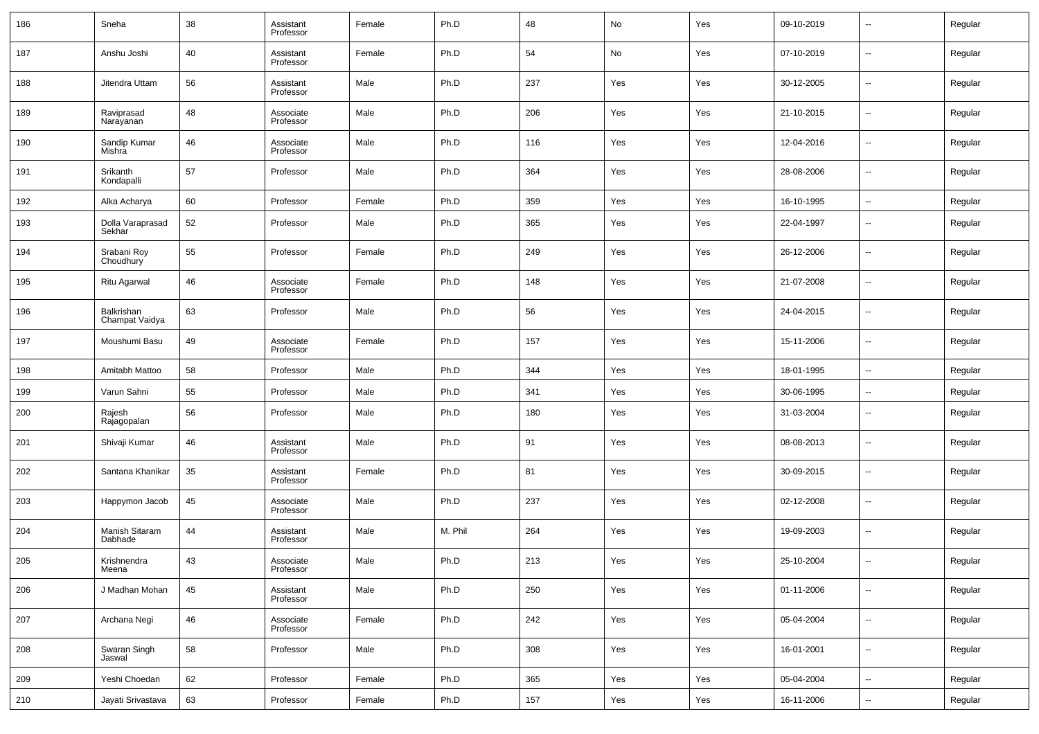| 186 | Sneha                        | 38 | Assistant<br>Professor | Female | Ph.D    | 48  | No  | Yes | 09-10-2019 | $\sim$                   | Regular |
|-----|------------------------------|----|------------------------|--------|---------|-----|-----|-----|------------|--------------------------|---------|
| 187 | Anshu Joshi                  | 40 | Assistant<br>Professor | Female | Ph.D    | 54  | No  | Yes | 07-10-2019 | $\overline{\phantom{a}}$ | Regular |
| 188 | Jitendra Uttam               | 56 | Assistant<br>Professor | Male   | Ph.D    | 237 | Yes | Yes | 30-12-2005 | $\overline{\phantom{a}}$ | Regular |
| 189 | Raviprasad<br>Narayanan      | 48 | Associate<br>Professor | Male   | Ph.D    | 206 | Yes | Yes | 21-10-2015 | $\sim$                   | Regular |
| 190 | Sandip Kumar<br>Mishra       | 46 | Associate<br>Professor | Male   | Ph.D    | 116 | Yes | Yes | 12-04-2016 | $\overline{\phantom{a}}$ | Regular |
| 191 | Srikanth<br>Kondapalli       | 57 | Professor              | Male   | Ph.D    | 364 | Yes | Yes | 28-08-2006 | $\sim$                   | Regular |
| 192 | Alka Acharya                 | 60 | Professor              | Female | Ph.D    | 359 | Yes | Yes | 16-10-1995 | $\overline{\phantom{a}}$ | Regular |
| 193 | Dolla Varaprasad<br>Sekhar   | 52 | Professor              | Male   | Ph.D    | 365 | Yes | Yes | 22-04-1997 | --                       | Regular |
| 194 | Srabani Roy<br>Choudhury     | 55 | Professor              | Female | Ph.D    | 249 | Yes | Yes | 26-12-2006 | ш.                       | Regular |
| 195 | Ritu Agarwal                 | 46 | Associate<br>Professor | Female | Ph.D    | 148 | Yes | Yes | 21-07-2008 | н.                       | Regular |
| 196 | Balkrishan<br>Champat Vaidya | 63 | Professor              | Male   | Ph.D    | 56  | Yes | Yes | 24-04-2015 | --                       | Regular |
| 197 | Moushumi Basu                | 49 | Associate<br>Professor | Female | Ph.D    | 157 | Yes | Yes | 15-11-2006 | --                       | Regular |
| 198 | Amitabh Mattoo               | 58 | Professor              | Male   | Ph.D    | 344 | Yes | Yes | 18-01-1995 | ш.                       | Regular |
| 199 | Varun Sahni                  | 55 | Professor              | Male   | Ph.D    | 341 | Yes | Yes | 30-06-1995 | $\overline{\phantom{a}}$ | Regular |
| 200 | Rajesh<br>Rajagopalan        | 56 | Professor              | Male   | Ph.D    | 180 | Yes | Yes | 31-03-2004 | --                       | Regular |
| 201 | Shivaji Kumar                | 46 | Assistant<br>Professor | Male   | Ph.D    | 91  | Yes | Yes | 08-08-2013 | --                       | Regular |
| 202 | Santana Khanikar             | 35 | Assistant<br>Professor | Female | Ph.D    | 81  | Yes | Yes | 30-09-2015 | --                       | Regular |
| 203 | Happymon Jacob               | 45 | Associate<br>Professor | Male   | Ph.D    | 237 | Yes | Yes | 02-12-2008 | --                       | Regular |
| 204 | Manish Sitaram<br>Dabhade    | 44 | Assistant<br>Professor | Male   | M. Phil | 264 | Yes | Yes | 19-09-2003 | --                       | Regular |
| 205 | Krishnendra<br>Meena         | 43 | Associate<br>Professor | Male   | Ph.D    | 213 | Yes | Yes | 25-10-2004 | $\overline{a}$           | Regular |
| 206 | J Madhan Mohan               | 45 | Assistant<br>Professor | Male   | Ph.D    | 250 | Yes | Yes | 01-11-2006 | $\sim$                   | Regular |
| 207 | Archana Negi                 | 46 | Associate<br>Professor | Female | Ph.D    | 242 | Yes | Yes | 05-04-2004 | $\sim$                   | Regular |
| 208 | Swaran Singh<br>Jaswal       | 58 | Professor              | Male   | Ph.D    | 308 | Yes | Yes | 16-01-2001 | $\sim$                   | Regular |
| 209 | Yeshi Choedan                | 62 | Professor              | Female | Ph.D    | 365 | Yes | Yes | 05-04-2004 | $\overline{\phantom{a}}$ | Regular |
| 210 | Jayati Srivastava            | 63 | Professor              | Female | Ph.D    | 157 | Yes | Yes | 16-11-2006 | $\sim$                   | Regular |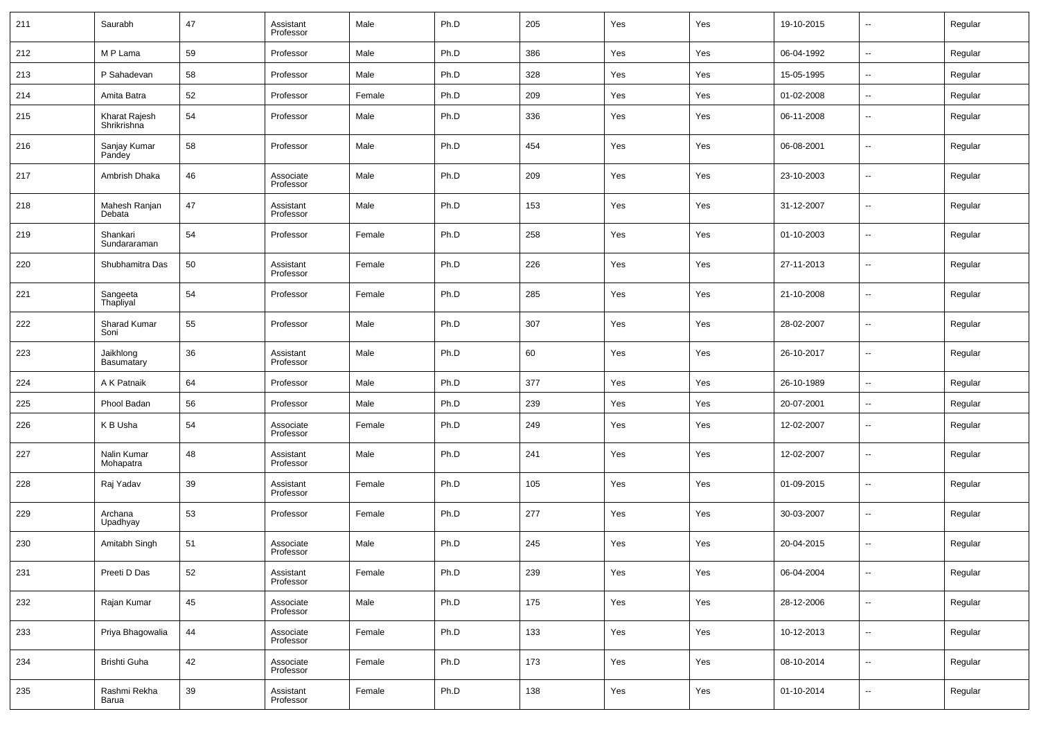| 211 | Saurabh                        | 47 | Assistant<br>Professor | Male   | Ph.D | 205 | Yes | Yes | 19-10-2015 | --             | Regular |
|-----|--------------------------------|----|------------------------|--------|------|-----|-----|-----|------------|----------------|---------|
| 212 | M P Lama                       | 59 | Professor              | Male   | Ph.D | 386 | Yes | Yes | 06-04-1992 | $\sim$         | Regular |
| 213 | P Sahadevan                    | 58 | Professor              | Male   | Ph.D | 328 | Yes | Yes | 15-05-1995 | --             | Regular |
| 214 | Amita Batra                    | 52 | Professor              | Female | Ph.D | 209 | Yes | Yes | 01-02-2008 | ш.             | Regular |
| 215 | Kharat Rajesh<br>Shrikrishna   | 54 | Professor              | Male   | Ph.D | 336 | Yes | Yes | 06-11-2008 | --             | Regular |
| 216 | Sanjay Kumar<br>Pandey         | 58 | Professor              | Male   | Ph.D | 454 | Yes | Yes | 06-08-2001 | --             | Regular |
| 217 | Ambrish Dhaka                  | 46 | Associate<br>Professor | Male   | Ph.D | 209 | Yes | Yes | 23-10-2003 | --             | Regular |
| 218 | Mahesh Ranjan<br>Debata        | 47 | Assistant<br>Professor | Male   | Ph.D | 153 | Yes | Yes | 31-12-2007 | --             | Regular |
| 219 | Shankari<br>Sundararaman       | 54 | Professor              | Female | Ph.D | 258 | Yes | Yes | 01-10-2003 | --             | Regular |
| 220 | Shubhamitra Das                | 50 | Assistant<br>Professor | Female | Ph.D | 226 | Yes | Yes | 27-11-2013 | --             | Regular |
| 221 | Sangeeta<br>Thapliyal          | 54 | Professor              | Female | Ph.D | 285 | Yes | Yes | 21-10-2008 | --             | Regular |
| 222 | Sharad Kumar<br>Soni           | 55 | Professor              | Male   | Ph.D | 307 | Yes | Yes | 28-02-2007 | --             | Regular |
| 223 | Jaikhlong<br><b>Basumatary</b> | 36 | Assistant<br>Professor | Male   | Ph.D | 60  | Yes | Yes | 26-10-2017 | --             | Regular |
| 224 | A K Patnaik                    | 64 | Professor              | Male   | Ph.D | 377 | Yes | Yes | 26-10-1989 | --             | Regular |
| 225 | Phool Badan                    | 56 | Professor              | Male   | Ph.D | 239 | Yes | Yes | 20-07-2001 | --             | Regular |
| 226 | K B Usha                       | 54 | Associate<br>Professor | Female | Ph.D | 249 | Yes | Yes | 12-02-2007 | $\overline{a}$ | Regular |
| 227 | Nalin Kumar<br>Mohapatra       | 48 | Assistant<br>Professor | Male   | Ph.D | 241 | Yes | Yes | 12-02-2007 | --             | Regular |
| 228 | Raj Yadav                      | 39 | Assistant<br>Professor | Female | Ph.D | 105 | Yes | Yes | 01-09-2015 | $\overline{a}$ | Regular |
| 229 | Archana<br>Upadhyay            | 53 | Professor              | Female | Ph.D | 277 | Yes | Yes | 30-03-2007 | --             | Regular |
| 230 | Amitabh Singh                  | 51 | Associate<br>Professor | Male   | Ph.D | 245 | Yes | Yes | 20-04-2015 | $\overline{a}$ | Regular |
| 231 | Preeti D Das                   | 52 | Assistant<br>Professor | Female | Ph.D | 239 | Yes | Yes | 06-04-2004 | $\sim$         | Regular |
| 232 | Rajan Kumar                    | 45 | Associate<br>Professor | Male   | Ph.D | 175 | Yes | Yes | 28-12-2006 | $\sim$         | Regular |
| 233 | Priya Bhagowalia               | 44 | Associate<br>Professor | Female | Ph.D | 133 | Yes | Yes | 10-12-2013 | $\sim$         | Regular |
| 234 | Brishti Guha                   | 42 | Associate<br>Professor | Female | Ph.D | 173 | Yes | Yes | 08-10-2014 | $\sim$         | Regular |
| 235 | Rashmi Rekha<br>Barua          | 39 | Assistant<br>Professor | Female | Ph.D | 138 | Yes | Yes | 01-10-2014 | $\sim$         | Regular |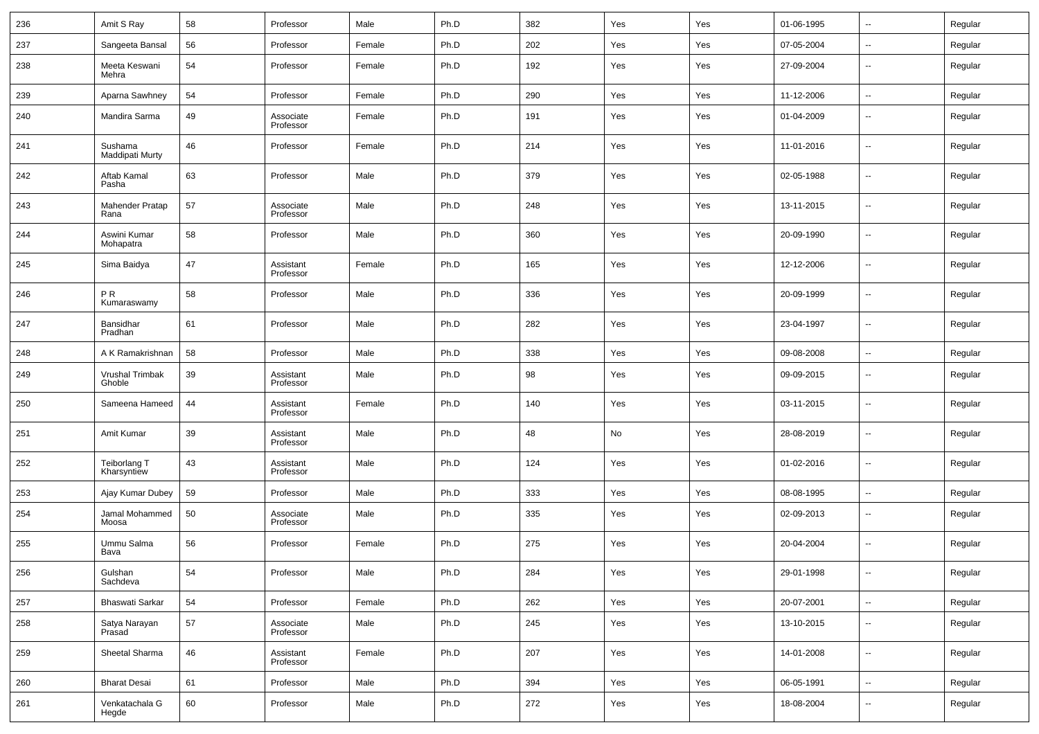| 236 | Amit S Ray                  | 58 | Professor              | Male   | Ph.D | 382 | Yes | Yes | 01-06-1995 | $\sim$                   | Regular |
|-----|-----------------------------|----|------------------------|--------|------|-----|-----|-----|------------|--------------------------|---------|
| 237 | Sangeeta Bansal             | 56 | Professor              | Female | Ph.D | 202 | Yes | Yes | 07-05-2004 | $\sim$                   | Regular |
| 238 | Meeta Keswani<br>Mehra      | 54 | Professor              | Female | Ph.D | 192 | Yes | Yes | 27-09-2004 | --                       | Regular |
| 239 | Aparna Sawhney              | 54 | Professor              | Female | Ph.D | 290 | Yes | Yes | 11-12-2006 | $\overline{\phantom{a}}$ | Regular |
| 240 | Mandira Sarma               | 49 | Associate<br>Professor | Female | Ph.D | 191 | Yes | Yes | 01-04-2009 | --                       | Regular |
| 241 | Sushama<br>Maddipati Murty  | 46 | Professor              | Female | Ph.D | 214 | Yes | Yes | 11-01-2016 | --                       | Regular |
| 242 | Aftab Kamal<br>Pasha        | 63 | Professor              | Male   | Ph.D | 379 | Yes | Yes | 02-05-1988 | --                       | Regular |
| 243 | Mahender Pratap<br>Rana     | 57 | Associate<br>Professor | Male   | Ph.D | 248 | Yes | Yes | 13-11-2015 | --                       | Regular |
| 244 | Aswini Kumar<br>Mohapatra   | 58 | Professor              | Male   | Ph.D | 360 | Yes | Yes | 20-09-1990 | --                       | Regular |
| 245 | Sima Baidya                 | 47 | Assistant<br>Professor | Female | Ph.D | 165 | Yes | Yes | 12-12-2006 | --                       | Regular |
| 246 | PR.<br>Kumaraswamy          | 58 | Professor              | Male   | Ph.D | 336 | Yes | Yes | 20-09-1999 | --                       | Regular |
| 247 | Bansidhar<br>Pradhan        | 61 | Professor              | Male   | Ph.D | 282 | Yes | Yes | 23-04-1997 | --                       | Regular |
| 248 | A K Ramakrishnan            | 58 | Professor              | Male   | Ph.D | 338 | Yes | Yes | 09-08-2008 | --                       | Regular |
| 249 | Vrushal Trimbak<br>Ghoble   | 39 | Assistant<br>Professor | Male   | Ph.D | 98  | Yes | Yes | 09-09-2015 | --                       | Regular |
| 250 | Sameena Hameed              | 44 | Assistant<br>Professor | Female | Ph.D | 140 | Yes | Yes | 03-11-2015 | --                       | Regular |
| 251 | Amit Kumar                  | 39 | Assistant<br>Professor | Male   | Ph.D | 48  | No  | Yes | 28-08-2019 | н.                       | Regular |
| 252 | Teiborlang T<br>Kharsyntiew | 43 | Assistant<br>Professor | Male   | Ph.D | 124 | Yes | Yes | 01-02-2016 | ш,                       | Regular |
| 253 | Ajay Kumar Dubey            | 59 | Professor              | Male   | Ph.D | 333 | Yes | Yes | 08-08-1995 | ٠.                       | Regular |
| 254 | Jamal Mohammed<br>Moosa     | 50 | Associate<br>Professor | Male   | Ph.D | 335 | Yes | Yes | 02-09-2013 | $\overline{\phantom{a}}$ | Regular |
| 255 | Ummu Salma<br>Bava          | 56 | Professor              | Female | Ph.D | 275 | Yes | Yes | 20-04-2004 | $\overline{a}$           | Regular |
| 256 | Gulshan<br>Sachdeva         | 54 | Professor              | Male   | Ph.D | 284 | Yes | Yes | 29-01-1998 | $\sim$                   | Regular |
| 257 | Bhaswati Sarkar             | 54 | Professor              | Female | Ph.D | 262 | Yes | Yes | 20-07-2001 | $\mathbb{Z}^2$           | Regular |
| 258 | Satya Narayan<br>Prasad     | 57 | Associate<br>Professor | Male   | Ph.D | 245 | Yes | Yes | 13-10-2015 | $\sim$                   | Regular |
| 259 | Sheetal Sharma              | 46 | Assistant<br>Professor | Female | Ph.D | 207 | Yes | Yes | 14-01-2008 | $\overline{\phantom{a}}$ | Regular |
| 260 | <b>Bharat Desai</b>         | 61 | Professor              | Male   | Ph.D | 394 | Yes | Yes | 06-05-1991 | $\overline{\phantom{a}}$ | Regular |
| 261 | Venkatachala G<br>Hegde     | 60 | Professor              | Male   | Ph.D | 272 | Yes | Yes | 18-08-2004 | н.                       | Regular |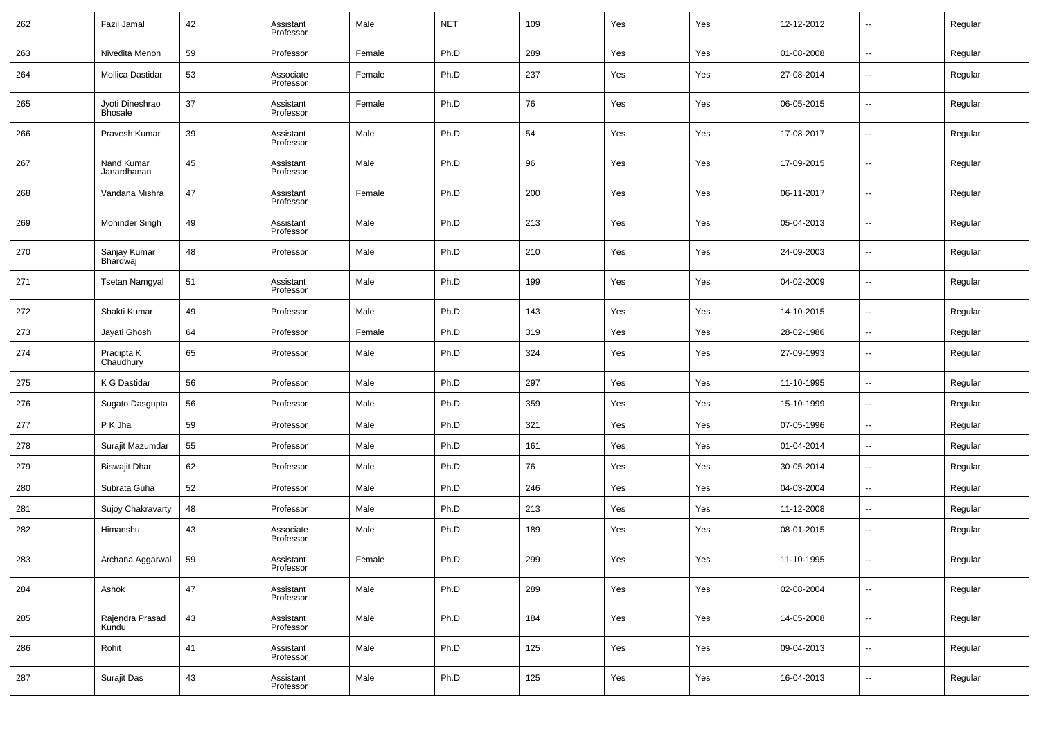| 262 | Fazil Jamal                       | 42 | Assistant<br>Professor | Male   | <b>NET</b> | 109 | Yes | Yes | 12-12-2012 | $\overline{\phantom{a}}$ | Regular |
|-----|-----------------------------------|----|------------------------|--------|------------|-----|-----|-----|------------|--------------------------|---------|
| 263 | Nivedita Menon                    | 59 | Professor              | Female | Ph.D       | 289 | Yes | Yes | 01-08-2008 | $\overline{\phantom{a}}$ | Regular |
| 264 | Mollica Dastidar                  | 53 | Associate<br>Professor | Female | Ph.D       | 237 | Yes | Yes | 27-08-2014 | $\overline{\phantom{a}}$ | Regular |
| 265 | Jyoti Dineshrao<br><b>Bhosale</b> | 37 | Assistant<br>Professor | Female | Ph.D       | 76  | Yes | Yes | 06-05-2015 | --                       | Regular |
| 266 | Pravesh Kumar                     | 39 | Assistant<br>Professor | Male   | Ph.D       | 54  | Yes | Yes | 17-08-2017 | $\overline{\phantom{a}}$ | Regular |
| 267 | Nand Kumar<br>Janardhanan         | 45 | Assistant<br>Professor | Male   | Ph.D       | 96  | Yes | Yes | 17-09-2015 | $\overline{\phantom{a}}$ | Regular |
| 268 | Vandana Mishra                    | 47 | Assistant<br>Professor | Female | Ph.D       | 200 | Yes | Yes | 06-11-2017 | --                       | Regular |
| 269 | Mohinder Singh                    | 49 | Assistant<br>Professor | Male   | Ph.D       | 213 | Yes | Yes | 05-04-2013 | $\overline{\phantom{a}}$ | Regular |
| 270 | Sanjay Kumar<br>Bhardwaj          | 48 | Professor              | Male   | Ph.D       | 210 | Yes | Yes | 24-09-2003 | --                       | Regular |
| 271 | <b>Tsetan Namgyal</b>             | 51 | Assistant<br>Professor | Male   | Ph.D       | 199 | Yes | Yes | 04-02-2009 | $\overline{\phantom{a}}$ | Regular |
| 272 | Shakti Kumar                      | 49 | Professor              | Male   | Ph.D       | 143 | Yes | Yes | 14-10-2015 | $\overline{\phantom{a}}$ | Regular |
| 273 | Jayati Ghosh                      | 64 | Professor              | Female | Ph.D       | 319 | Yes | Yes | 28-02-1986 | $\overline{\phantom{a}}$ | Regular |
| 274 | Pradipta K<br>Chaudhury           | 65 | Professor              | Male   | Ph.D       | 324 | Yes | Yes | 27-09-1993 | $\overline{\phantom{a}}$ | Regular |
| 275 | K G Dastidar                      | 56 | Professor              | Male   | Ph.D       | 297 | Yes | Yes | 11-10-1995 | --                       | Regular |
| 276 | Sugato Dasgupta                   | 56 | Professor              | Male   | Ph.D       | 359 | Yes | Yes | 15-10-1999 | $\overline{\phantom{a}}$ | Regular |
| 277 | P K Jha                           | 59 | Professor              | Male   | Ph.D       | 321 | Yes | Yes | 07-05-1996 | $\overline{\phantom{a}}$ | Regular |
| 278 | Surajit Mazumdar                  | 55 | Professor              | Male   | Ph.D       | 161 | Yes | Yes | 01-04-2014 | $\overline{\phantom{a}}$ | Regular |
| 279 | <b>Biswajit Dhar</b>              | 62 | Professor              | Male   | Ph.D       | 76  | Yes | Yes | 30-05-2014 | --                       | Regular |
| 280 | Subrata Guha                      | 52 | Professor              | Male   | Ph.D       | 246 | Yes | Yes | 04-03-2004 | $\ddotsc$                | Regular |
| 281 | Sujoy Chakravarty                 | 48 | Professor              | Male   | Ph.D       | 213 | Yes | Yes | 11-12-2008 | $\overline{\phantom{a}}$ | Regular |
| 282 | Himanshu                          | 43 | Associate<br>Professor | Male   | Ph.D       | 189 | Yes | Yes | 08-01-2015 | $\overline{\phantom{a}}$ | Regular |
| 283 | Archana Aggarwal                  | 59 | Assistant<br>Professor | Female | Ph.D       | 299 | Yes | Yes | 11-10-1995 | $\overline{\phantom{a}}$ | Regular |
| 284 | Ashok                             | 47 | Assistant<br>Professor | Male   | Ph.D       | 289 | Yes | Yes | 02-08-2004 | $\overline{\phantom{a}}$ | Regular |
| 285 | Rajendra Prasad<br>Kundu          | 43 | Assistant<br>Professor | Male   | Ph.D       | 184 | Yes | Yes | 14-05-2008 | ۰.                       | Regular |
| 286 | Rohit                             | 41 | Assistant<br>Professor | Male   | Ph.D       | 125 | Yes | Yes | 09-04-2013 | $\overline{\phantom{a}}$ | Regular |
| 287 | Surajit Das                       | 43 | Assistant<br>Professor | Male   | Ph.D       | 125 | Yes | Yes | 16-04-2013 | $\overline{\phantom{a}}$ | Regular |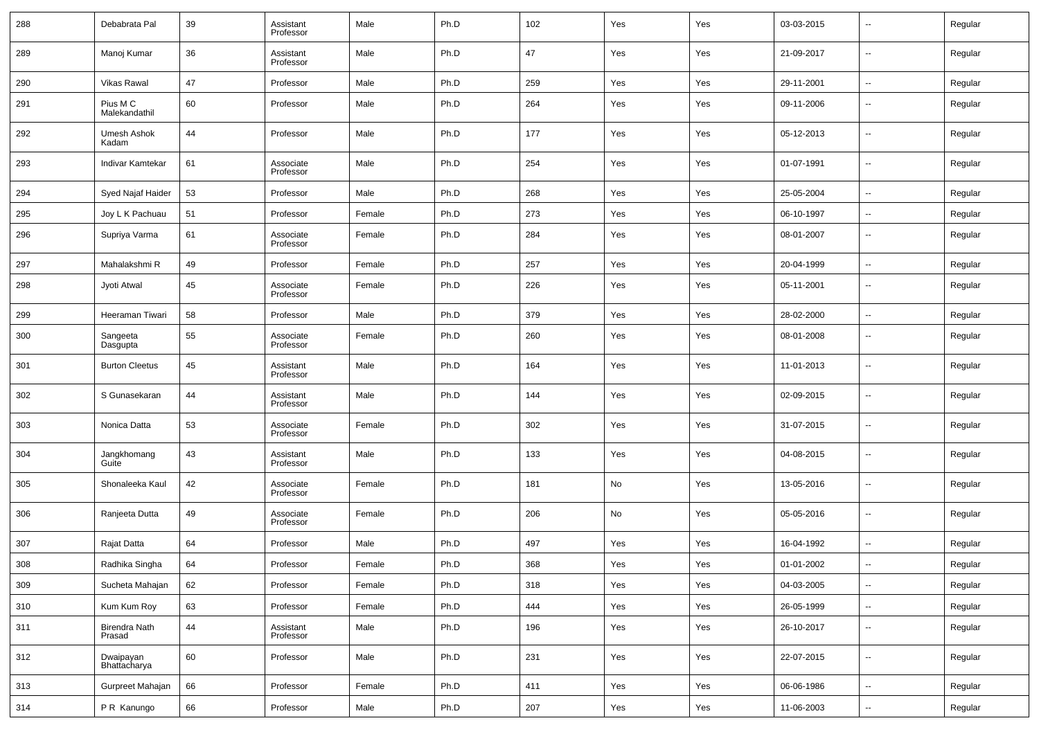| 288 | Debabrata Pal                  | 39 | Assistant<br>Professor | Male   | Ph.D | 102 | Yes | Yes | 03-03-2015 | $\overline{\phantom{a}}$ | Regular |
|-----|--------------------------------|----|------------------------|--------|------|-----|-----|-----|------------|--------------------------|---------|
| 289 | Manoj Kumar                    | 36 | Assistant<br>Professor | Male   | Ph.D | 47  | Yes | Yes | 21-09-2017 | $\overline{\phantom{a}}$ | Regular |
| 290 | <b>Vikas Rawal</b>             | 47 | Professor              | Male   | Ph.D | 259 | Yes | Yes | 29-11-2001 | $\ddotsc$                | Regular |
| 291 | Pius M C<br>Malekandathil      | 60 | Professor              | Male   | Ph.D | 264 | Yes | Yes | 09-11-2006 | $\overline{\phantom{a}}$ | Regular |
| 292 | Umesh Ashok<br>Kadam           | 44 | Professor              | Male   | Ph.D | 177 | Yes | Yes | 05-12-2013 | $\overline{\phantom{a}}$ | Regular |
| 293 | Indivar Kamtekar               | 61 | Associate<br>Professor | Male   | Ph.D | 254 | Yes | Yes | 01-07-1991 | $\overline{\phantom{a}}$ | Regular |
| 294 | Syed Najaf Haider              | 53 | Professor              | Male   | Ph.D | 268 | Yes | Yes | 25-05-2004 | $\overline{\phantom{a}}$ | Regular |
| 295 | Joy L K Pachuau                | 51 | Professor              | Female | Ph.D | 273 | Yes | Yes | 06-10-1997 | $\overline{\phantom{a}}$ | Regular |
| 296 | Supriya Varma                  | 61 | Associate<br>Professor | Female | Ph.D | 284 | Yes | Yes | 08-01-2007 | $\overline{\phantom{a}}$ | Regular |
| 297 | Mahalakshmi R                  | 49 | Professor              | Female | Ph.D | 257 | Yes | Yes | 20-04-1999 | $\sim$                   | Regular |
| 298 | Jyoti Atwal                    | 45 | Associate<br>Professor | Female | Ph.D | 226 | Yes | Yes | 05-11-2001 | $\overline{\phantom{a}}$ | Regular |
| 299 | Heeraman Tiwari                | 58 | Professor              | Male   | Ph.D | 379 | Yes | Yes | 28-02-2000 | $\overline{\phantom{a}}$ | Regular |
| 300 | Sangeeta<br>Dasgupta           | 55 | Associate<br>Professor | Female | Ph.D | 260 | Yes | Yes | 08-01-2008 | $\overline{\phantom{a}}$ | Regular |
| 301 | <b>Burton Cleetus</b>          | 45 | Assistant<br>Professor | Male   | Ph.D | 164 | Yes | Yes | 11-01-2013 | $\overline{\phantom{a}}$ | Regular |
| 302 | S Gunasekaran                  | 44 | Assistant<br>Professor | Male   | Ph.D | 144 | Yes | Yes | 02-09-2015 | $\overline{\phantom{a}}$ | Regular |
| 303 | Nonica Datta                   | 53 | Associate<br>Professor | Female | Ph.D | 302 | Yes | Yes | 31-07-2015 | $\overline{\phantom{a}}$ | Regular |
| 304 | Jangkhomang<br>Guite           | 43 | Assistant<br>Professor | Male   | Ph.D | 133 | Yes | Yes | 04-08-2015 | $\overline{\phantom{a}}$ | Regular |
| 305 | Shonaleeka Kaul                | 42 | Associate<br>Professor | Female | Ph.D | 181 | No  | Yes | 13-05-2016 | $\overline{\phantom{a}}$ | Regular |
| 306 | Ranjeeta Dutta                 | 49 | Associate<br>Professor | Female | Ph.D | 206 | No  | Yes | 05-05-2016 | $\overline{\phantom{a}}$ | Regular |
| 307 | Rajat Datta                    | 64 | Professor              | Male   | Ph.D | 497 | Yes | Yes | 16-04-1992 | $\overline{\phantom{a}}$ | Regular |
| 308 | Radhika Singha                 | 64 | Professor              | Female | Ph.D | 368 | Yes | Yes | 01-01-2002 |                          | Regular |
| 309 | Sucheta Mahajan                | 62 | Professor              | Female | Ph.D | 318 | Yes | Yes | 04-03-2005 | н,                       | Regular |
| 310 | Kum Kum Roy                    | 63 | Professor              | Female | Ph.D | 444 | Yes | Yes | 26-05-1999 | $\overline{\phantom{a}}$ | Regular |
| 311 | <b>Birendra Nath</b><br>Prasad | 44 | Assistant<br>Professor | Male   | Ph.D | 196 | Yes | Yes | 26-10-2017 | ۰.                       | Regular |
| 312 | Dwaipayan<br>Bhattacharya      | 60 | Professor              | Male   | Ph.D | 231 | Yes | Yes | 22-07-2015 | $\overline{\phantom{a}}$ | Regular |
| 313 | Gurpreet Mahajan               | 66 | Professor              | Female | Ph.D | 411 | Yes | Yes | 06-06-1986 | ۰.                       | Regular |
| 314 | P R Kanungo                    | 66 | Professor              | Male   | Ph.D | 207 | Yes | Yes | 11-06-2003 | $\overline{\phantom{a}}$ | Regular |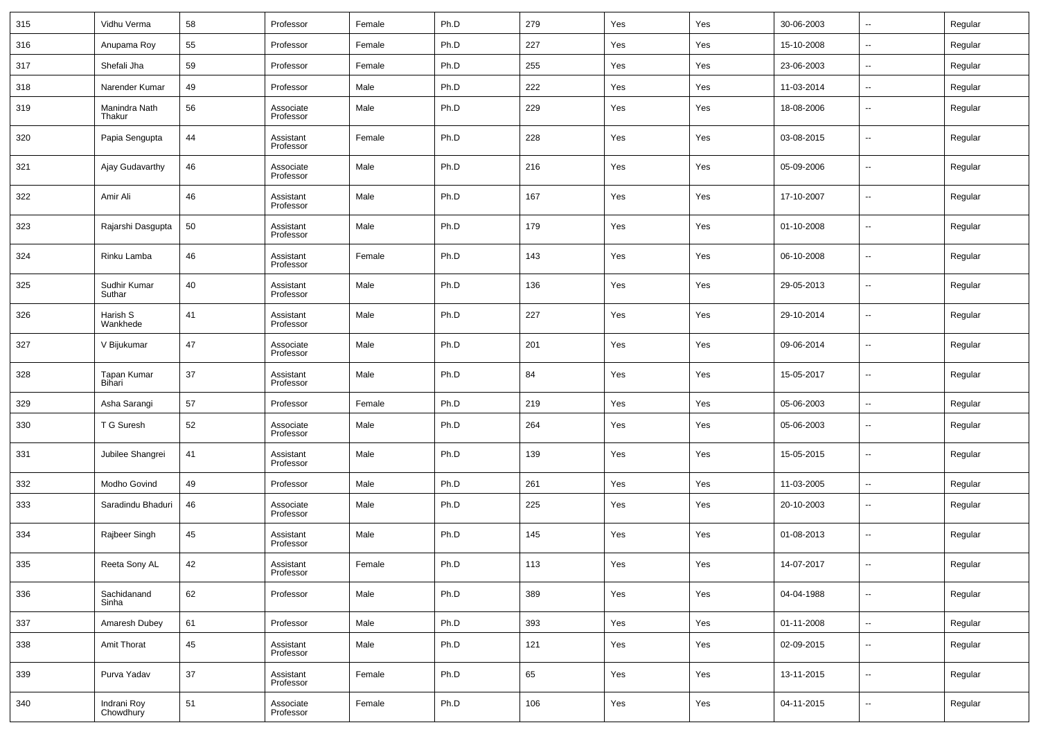| 315 | Vidhu Verma              | 58 | Professor              | Female | Ph.D | 279 | Yes | Yes | 30-06-2003 | $\overline{\phantom{a}}$ | Regular |
|-----|--------------------------|----|------------------------|--------|------|-----|-----|-----|------------|--------------------------|---------|
| 316 | Anupama Roy              | 55 | Professor              | Female | Ph.D | 227 | Yes | Yes | 15-10-2008 | $\overline{\phantom{a}}$ | Regular |
| 317 | Shefali Jha              | 59 | Professor              | Female | Ph.D | 255 | Yes | Yes | 23-06-2003 | $\overline{\phantom{a}}$ | Regular |
| 318 | Narender Kumar           | 49 | Professor              | Male   | Ph.D | 222 | Yes | Yes | 11-03-2014 | --                       | Regular |
| 319 | Manindra Nath<br>Thakur  | 56 | Associate<br>Professor | Male   | Ph.D | 229 | Yes | Yes | 18-08-2006 | $\overline{\phantom{a}}$ | Regular |
| 320 | Papia Sengupta           | 44 | Assistant<br>Professor | Female | Ph.D | 228 | Yes | Yes | 03-08-2015 | $\overline{\phantom{a}}$ | Regular |
| 321 | Ajay Gudavarthy          | 46 | Associate<br>Professor | Male   | Ph.D | 216 | Yes | Yes | 05-09-2006 | $\overline{\phantom{a}}$ | Regular |
| 322 | Amir Ali                 | 46 | Assistant<br>Professor | Male   | Ph.D | 167 | Yes | Yes | 17-10-2007 | $\overline{\phantom{a}}$ | Regular |
| 323 | Rajarshi Dasgupta        | 50 | Assistant<br>Professor | Male   | Ph.D | 179 | Yes | Yes | 01-10-2008 | $\overline{\phantom{a}}$ | Regular |
| 324 | Rinku Lamba              | 46 | Assistant<br>Professor | Female | Ph.D | 143 | Yes | Yes | 06-10-2008 | $\overline{\phantom{a}}$ | Regular |
| 325 | Sudhir Kumar<br>Suthar   | 40 | Assistant<br>Professor | Male   | Ph.D | 136 | Yes | Yes | 29-05-2013 | $\overline{\phantom{a}}$ | Regular |
| 326 | Harish S<br>Wankhede     | 41 | Assistant<br>Professor | Male   | Ph.D | 227 | Yes | Yes | 29-10-2014 | $\overline{\phantom{a}}$ | Regular |
| 327 | V Bijukumar              | 47 | Associate<br>Professor | Male   | Ph.D | 201 | Yes | Yes | 09-06-2014 | $\overline{\phantom{a}}$ | Regular |
| 328 | Tapan Kumar<br>Bihari    | 37 | Assistant<br>Professor | Male   | Ph.D | 84  | Yes | Yes | 15-05-2017 | $\overline{\phantom{a}}$ | Regular |
| 329 | Asha Sarangi             | 57 | Professor              | Female | Ph.D | 219 | Yes | Yes | 05-06-2003 | $\overline{\phantom{a}}$ | Regular |
| 330 | T G Suresh               | 52 | Associate<br>Professor | Male   | Ph.D | 264 | Yes | Yes | 05-06-2003 | $\overline{\phantom{a}}$ | Regular |
| 331 | Jubilee Shangrei         | 41 | Assistant<br>Professor | Male   | Ph.D | 139 | Yes | Yes | 15-05-2015 | --                       | Regular |
| 332 | Modho Govind             | 49 | Professor              | Male   | Ph.D | 261 | Yes | Yes | 11-03-2005 | --                       | Regular |
| 333 | Saradindu Bhaduri        | 46 | Associate<br>Professor | Male   | Ph.D | 225 | Yes | Yes | 20-10-2003 | $\overline{\phantom{a}}$ | Regular |
| 334 | Rajbeer Singh            | 45 | Assistant<br>Professor | Male   | Ph.D | 145 | Yes | Yes | 01-08-2013 | $\overline{\phantom{a}}$ | Regular |
| 335 | Reeta Sony AL            | 42 | Assistant<br>Professor | Female | Ph.D | 113 | Yes | Yes | 14-07-2017 |                          | Regular |
| 336 | Sachidanand<br>Sinha     | 62 | Professor              | Male   | Ph.D | 389 | Yes | Yes | 04-04-1988 | $\overline{\phantom{a}}$ | Regular |
| 337 | Amaresh Dubey            | 61 | Professor              | Male   | Ph.D | 393 | Yes | Yes | 01-11-2008 | $\overline{\phantom{a}}$ | Regular |
| 338 | Amit Thorat              | 45 | Assistant<br>Professor | Male   | Ph.D | 121 | Yes | Yes | 02-09-2015 | $\overline{\phantom{a}}$ | Regular |
| 339 | Purva Yadav              | 37 | Assistant<br>Professor | Female | Ph.D | 65  | Yes | Yes | 13-11-2015 | $\overline{\phantom{a}}$ | Regular |
| 340 | Indrani Roy<br>Chowdhury | 51 | Associate<br>Professor | Female | Ph.D | 106 | Yes | Yes | 04-11-2015 | ۰.                       | Regular |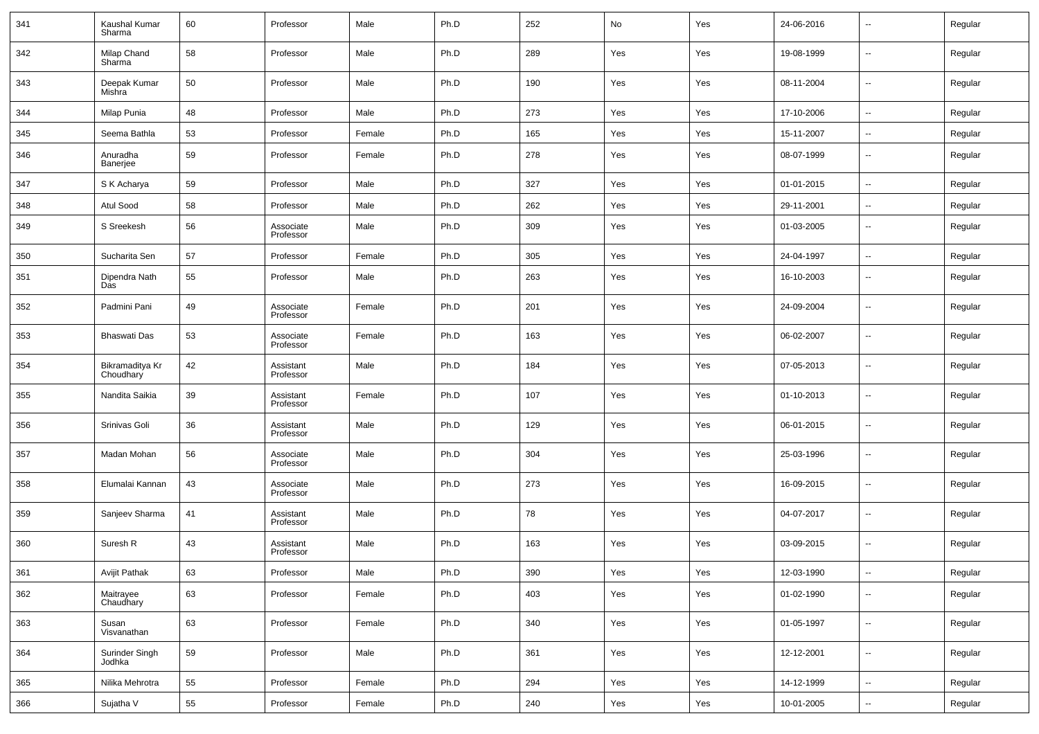| 341 | Kaushal Kumar<br>Sharma      | 60 | Professor              | Male   | Ph.D | 252 | No  | Yes | 24-06-2016 | --                       | Regular |
|-----|------------------------------|----|------------------------|--------|------|-----|-----|-----|------------|--------------------------|---------|
| 342 | Milap Chand<br>Sharma        | 58 | Professor              | Male   | Ph.D | 289 | Yes | Yes | 19-08-1999 | $\overline{\phantom{a}}$ | Regular |
| 343 | Deepak Kumar<br>Mishra       | 50 | Professor              | Male   | Ph.D | 190 | Yes | Yes | 08-11-2004 | $\overline{\phantom{a}}$ | Regular |
| 344 | Milap Punia                  | 48 | Professor              | Male   | Ph.D | 273 | Yes | Yes | 17-10-2006 | $\overline{\phantom{a}}$ | Regular |
| 345 | Seema Bathla                 | 53 | Professor              | Female | Ph.D | 165 | Yes | Yes | 15-11-2007 | $\overline{\phantom{a}}$ | Regular |
| 346 | Anuradha<br>Banerjee         | 59 | Professor              | Female | Ph.D | 278 | Yes | Yes | 08-07-1999 | $\overline{\phantom{a}}$ | Regular |
| 347 | S K Acharya                  | 59 | Professor              | Male   | Ph.D | 327 | Yes | Yes | 01-01-2015 | $\ddotsc$                | Regular |
| 348 | Atul Sood                    | 58 | Professor              | Male   | Ph.D | 262 | Yes | Yes | 29-11-2001 | --                       | Regular |
| 349 | S Sreekesh                   | 56 | Associate<br>Professor | Male   | Ph.D | 309 | Yes | Yes | 01-03-2005 | $\overline{\phantom{a}}$ | Regular |
| 350 | Sucharita Sen                | 57 | Professor              | Female | Ph.D | 305 | Yes | Yes | 24-04-1997 | $\overline{\phantom{a}}$ | Regular |
| 351 | Dipendra Nath<br>Das         | 55 | Professor              | Male   | Ph.D | 263 | Yes | Yes | 16-10-2003 | $\overline{\phantom{a}}$ | Regular |
| 352 | Padmini Pani                 | 49 | Associate<br>Professor | Female | Ph.D | 201 | Yes | Yes | 24-09-2004 | $\sim$                   | Regular |
| 353 | Bhaswati Das                 | 53 | Associate<br>Professor | Female | Ph.D | 163 | Yes | Yes | 06-02-2007 | $\overline{\phantom{a}}$ | Regular |
| 354 | Bikramaditya Kr<br>Choudhary | 42 | Assistant<br>Professor | Male   | Ph.D | 184 | Yes | Yes | 07-05-2013 | $\overline{\phantom{a}}$ | Regular |
| 355 | Nandita Saikia               | 39 | Assistant<br>Professor | Female | Ph.D | 107 | Yes | Yes | 01-10-2013 | $\overline{\phantom{a}}$ | Regular |
| 356 | Srinivas Goli                | 36 | Assistant<br>Professor | Male   | Ph.D | 129 | Yes | Yes | 06-01-2015 | $\overline{\phantom{a}}$ | Regular |
| 357 | Madan Mohan                  | 56 | Associate<br>Professor | Male   | Ph.D | 304 | Yes | Yes | 25-03-1996 | $\overline{\phantom{a}}$ | Regular |
| 358 | Elumalai Kannan              | 43 | Associate<br>Professor | Male   | Ph.D | 273 | Yes | Yes | 16-09-2015 | $\overline{\phantom{a}}$ | Regular |
| 359 | Sanjeev Sharma               | 41 | Assistant<br>Professor | Male   | Ph.D | 78  | Yes | Yes | 04-07-2017 | $\overline{\phantom{a}}$ | Regular |
| 360 | Suresh R                     | 43 | Assistant<br>Professor | Male   | Ph.D | 163 | Yes | Yes | 03-09-2015 | $\overline{\phantom{a}}$ | Regular |
| 361 | Avijit Pathak                | 63 | Professor              | Male   | Ph.D | 390 | Yes | Yes | 12-03-1990 | $\overline{\phantom{a}}$ | Regular |
| 362 | Maitrayee<br>Chaudhary       | 63 | Professor              | Female | Ph.D | 403 | Yes | Yes | 01-02-1990 | ۰.                       | Regular |
| 363 | Susan<br>Visvanathan         | 63 | Professor              | Female | Ph.D | 340 | Yes | Yes | 01-05-1997 | $\overline{\phantom{a}}$ | Regular |
| 364 | Surinder Singh<br>Jodhka     | 59 | Professor              | Male   | Ph.D | 361 | Yes | Yes | 12-12-2001 | $\overline{\phantom{a}}$ | Regular |
| 365 | Nilika Mehrotra              | 55 | Professor              | Female | Ph.D | 294 | Yes | Yes | 14-12-1999 | $\overline{\phantom{a}}$ | Regular |
| 366 | Sujatha V                    | 55 | Professor              | Female | Ph.D | 240 | Yes | Yes | 10-01-2005 | $\overline{\phantom{a}}$ | Regular |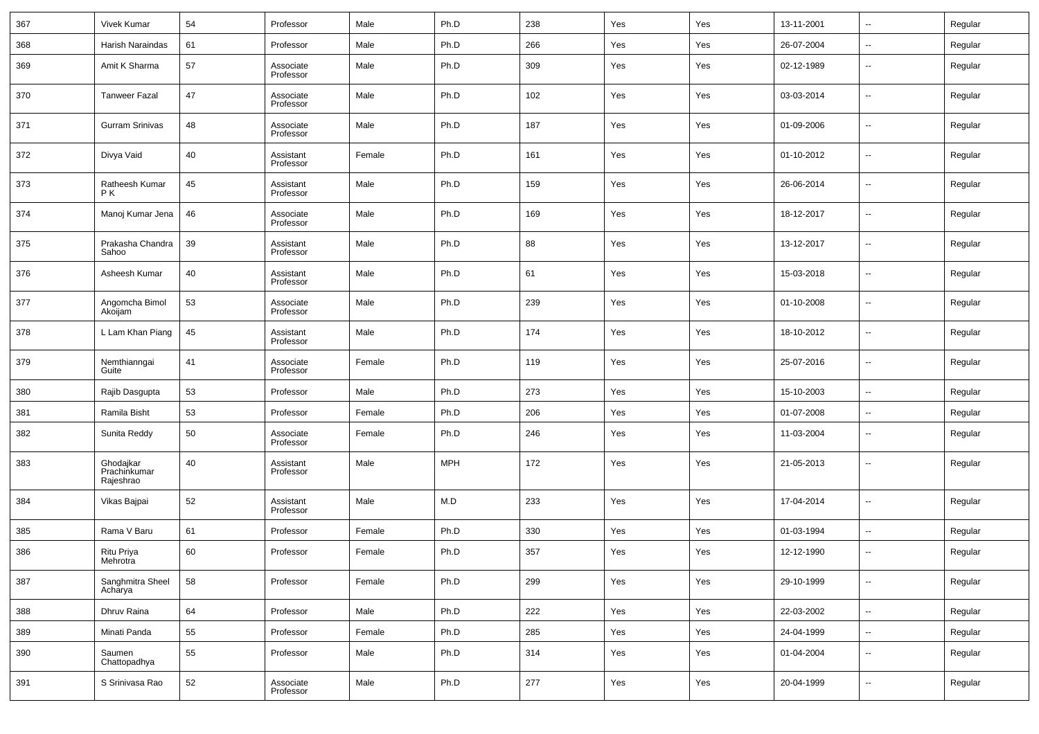| 367 | Vivek Kumar                            | 54 | Professor              | Male   | Ph.D       | 238 | Yes | Yes | 13-11-2001 | $\sim$                   | Regular |
|-----|----------------------------------------|----|------------------------|--------|------------|-----|-----|-----|------------|--------------------------|---------|
| 368 | Harish Naraindas                       | 61 | Professor              | Male   | Ph.D       | 266 | Yes | Yes | 26-07-2004 | $\overline{\phantom{a}}$ | Regular |
| 369 | Amit K Sharma                          | 57 | Associate<br>Professor | Male   | Ph.D       | 309 | Yes | Yes | 02-12-1989 | $\overline{\phantom{a}}$ | Regular |
| 370 | <b>Tanweer Fazal</b>                   | 47 | Associate<br>Professor | Male   | Ph.D       | 102 | Yes | Yes | 03-03-2014 | $\overline{\phantom{a}}$ | Regular |
| 371 | Gurram Srinivas                        | 48 | Associate<br>Professor | Male   | Ph.D       | 187 | Yes | Yes | 01-09-2006 | $\sim$                   | Regular |
| 372 | Divya Vaid                             | 40 | Assistant<br>Professor | Female | Ph.D       | 161 | Yes | Yes | 01-10-2012 | $\overline{\phantom{a}}$ | Regular |
| 373 | Ratheesh Kumar<br>PK                   | 45 | Assistant<br>Professor | Male   | Ph.D       | 159 | Yes | Yes | 26-06-2014 | $\sim$                   | Regular |
| 374 | Manoj Kumar Jena                       | 46 | Associate<br>Professor | Male   | Ph.D       | 169 | Yes | Yes | 18-12-2017 | $\overline{\phantom{a}}$ | Regular |
| 375 | Prakasha Chandra<br>Sahoo              | 39 | Assistant<br>Professor | Male   | Ph.D       | 88  | Yes | Yes | 13-12-2017 | $\overline{\phantom{a}}$ | Regular |
| 376 | Asheesh Kumar                          | 40 | Assistant<br>Professor | Male   | Ph.D       | 61  | Yes | Yes | 15-03-2018 | $\overline{\phantom{a}}$ | Regular |
| 377 | Angomcha Bimol<br>Akoijam              | 53 | Associate<br>Professor | Male   | Ph.D       | 239 | Yes | Yes | 01-10-2008 | $\overline{\phantom{a}}$ | Regular |
| 378 | L Lam Khan Piang                       | 45 | Assistant<br>Professor | Male   | Ph.D       | 174 | Yes | Yes | 18-10-2012 | $\overline{\phantom{a}}$ | Regular |
| 379 | Nemthianngai<br>Guite                  | 41 | Associate<br>Professor | Female | Ph.D       | 119 | Yes | Yes | 25-07-2016 | $\overline{\phantom{a}}$ | Regular |
| 380 | Rajib Dasgupta                         | 53 | Professor              | Male   | Ph.D       | 273 | Yes | Yes | 15-10-2003 | $\overline{\phantom{a}}$ | Regular |
| 381 | Ramila Bisht                           | 53 | Professor              | Female | Ph.D       | 206 | Yes | Yes | 01-07-2008 | $\sim$                   | Regular |
| 382 | Sunita Reddy                           | 50 | Associate<br>Professor | Female | Ph.D       | 246 | Yes | Yes | 11-03-2004 | --                       | Regular |
| 383 | Ghodajkar<br>Prachinkumar<br>Rajeshrao | 40 | Assistant<br>Professor | Male   | <b>MPH</b> | 172 | Yes | Yes | 21-05-2013 | --                       | Regular |
| 384 | Vikas Bajpai                           | 52 | Assistant<br>Professor | Male   | M.D        | 233 | Yes | Yes | 17-04-2014 | ш,                       | Regular |
| 385 | Rama V Baru                            | 61 | Professor              | Female | Ph.D       | 330 | Yes | Yes | 01-03-1994 | $\sim$                   | Regular |
| 386 | Ritu Priya<br>Mehrotra                 | 60 | Professor              | Female | Ph.D       | 357 | Yes | Yes | 12-12-1990 | --                       | Regular |
| 387 | Sanghmitra Sheel<br>Acharya            | 58 | Professor              | Female | Ph.D       | 299 | Yes | Yes | 29-10-1999 | н.                       | Regular |
| 388 | Dhruy Raina                            | 64 | Professor              | Male   | Ph.D       | 222 | Yes | Yes | 22-03-2002 | ٠.                       | Regular |
| 389 | Minati Panda                           | 55 | Professor              | Female | Ph.D       | 285 | Yes | Yes | 24-04-1999 | u,                       | Regular |
| 390 | Saumen<br>Chattopadhya                 | 55 | Professor              | Male   | Ph.D       | 314 | Yes | Yes | 01-04-2004 | $\sim$                   | Regular |
| 391 | S Srinivasa Rao                        | 52 | Associate<br>Professor | Male   | Ph.D       | 277 | Yes | Yes | 20-04-1999 | $\overline{\phantom{a}}$ | Regular |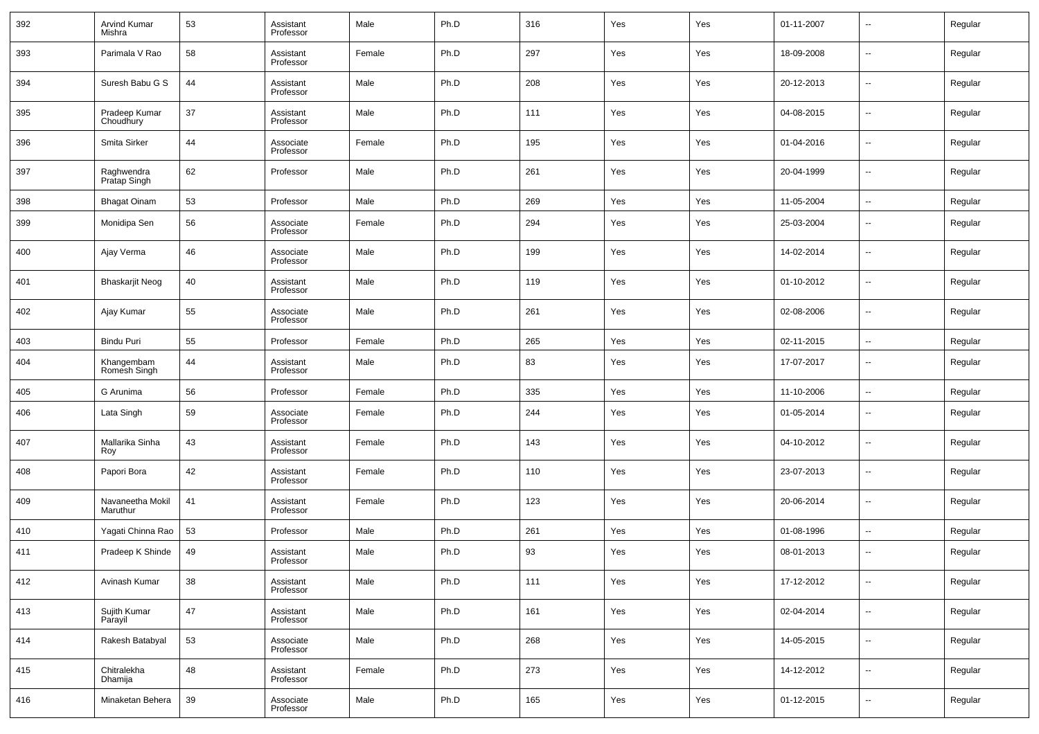| 392 | <b>Arvind Kumar</b><br>Mishra | 53 | Assistant<br>Professor | Male   | Ph.D | 316 | Yes | Yes | 01-11-2007 | $\overline{\phantom{a}}$ | Regular |
|-----|-------------------------------|----|------------------------|--------|------|-----|-----|-----|------------|--------------------------|---------|
| 393 | Parimala V Rao                | 58 | Assistant<br>Professor | Female | Ph.D | 297 | Yes | Yes | 18-09-2008 | $\overline{\phantom{a}}$ | Regular |
| 394 | Suresh Babu G S               | 44 | Assistant<br>Professor | Male   | Ph.D | 208 | Yes | Yes | 20-12-2013 | $\overline{\phantom{a}}$ | Regular |
| 395 | Pradeep Kumar<br>Choudhury    | 37 | Assistant<br>Professor | Male   | Ph.D | 111 | Yes | Yes | 04-08-2015 | $\overline{\phantom{a}}$ | Regular |
| 396 | Smita Sirker                  | 44 | Associate<br>Professor | Female | Ph.D | 195 | Yes | Yes | 01-04-2016 | $\overline{\phantom{a}}$ | Regular |
| 397 | Raghwendra<br>Pratap Singh    | 62 | Professor              | Male   | Ph.D | 261 | Yes | Yes | 20-04-1999 | $\overline{\phantom{a}}$ | Regular |
| 398 | <b>Bhagat Oinam</b>           | 53 | Professor              | Male   | Ph.D | 269 | Yes | Yes | 11-05-2004 | $\sim$                   | Regular |
| 399 | Monidipa Sen                  | 56 | Associate<br>Professor | Female | Ph.D | 294 | Yes | Yes | 25-03-2004 | --                       | Regular |
| 400 | Ajay Verma                    | 46 | Associate<br>Professor | Male   | Ph.D | 199 | Yes | Yes | 14-02-2014 | --                       | Regular |
| 401 | <b>Bhaskarjit Neog</b>        | 40 | Assistant<br>Professor | Male   | Ph.D | 119 | Yes | Yes | 01-10-2012 | --                       | Regular |
| 402 | Ajay Kumar                    | 55 | Associate<br>Professor | Male   | Ph.D | 261 | Yes | Yes | 02-08-2006 | --                       | Regular |
| 403 | Bindu Puri                    | 55 | Professor              | Female | Ph.D | 265 | Yes | Yes | 02-11-2015 | $\overline{\phantom{a}}$ | Regular |
| 404 | Khangembam<br>Romesh Singh    | 44 | Assistant<br>Professor | Male   | Ph.D | 83  | Yes | Yes | 17-07-2017 | $\sim$                   | Regular |
| 405 | G Arunima                     | 56 | Professor              | Female | Ph.D | 335 | Yes | Yes | 11-10-2006 | $\sim$                   | Regular |
| 406 | Lata Singh                    | 59 | Associate<br>Professor | Female | Ph.D | 244 | Yes | Yes | 01-05-2014 | --                       | Regular |
| 407 | Mallarika Sinha<br>Roy        | 43 | Assistant<br>Professor | Female | Ph.D | 143 | Yes | Yes | 04-10-2012 | --                       | Regular |
| 408 | Papori Bora                   | 42 | Assistant<br>Professor | Female | Ph.D | 110 | Yes | Yes | 23-07-2013 | --                       | Regular |
| 409 | Navaneetha Mokil<br>Maruthur  | 41 | Assistant<br>Professor | Female | Ph.D | 123 | Yes | Yes | 20-06-2014 | --                       | Regular |
| 410 | Yagati Chinna Rao             | 53 | Professor              | Male   | Ph.D | 261 | Yes | Yes | 01-08-1996 | --                       | Regular |
| 411 | Pradeep K Shinde              | 49 | Assistant<br>Professor | Male   | Ph.D | 93  | Yes | Yes | 08-01-2013 | --                       | Regular |
| 412 | Avinash Kumar                 | 38 | Assistant<br>Professor | Male   | Ph.D | 111 | Yes | Yes | 17-12-2012 | ш,                       | Regular |
| 413 | Sujith Kumar<br>Parayil       | 47 | Assistant<br>Professor | Male   | Ph.D | 161 | Yes | Yes | 02-04-2014 | $\overline{\phantom{a}}$ | Regular |
| 414 | Rakesh Batabyal               | 53 | Associate<br>Professor | Male   | Ph.D | 268 | Yes | Yes | 14-05-2015 | $\overline{\phantom{a}}$ | Regular |
| 415 | Chitralekha<br>Dhamija        | 48 | Assistant<br>Professor | Female | Ph.D | 273 | Yes | Yes | 14-12-2012 | $\overline{\phantom{a}}$ | Regular |
| 416 | Minaketan Behera              | 39 | Associate<br>Professor | Male   | Ph.D | 165 | Yes | Yes | 01-12-2015 | ш,                       | Regular |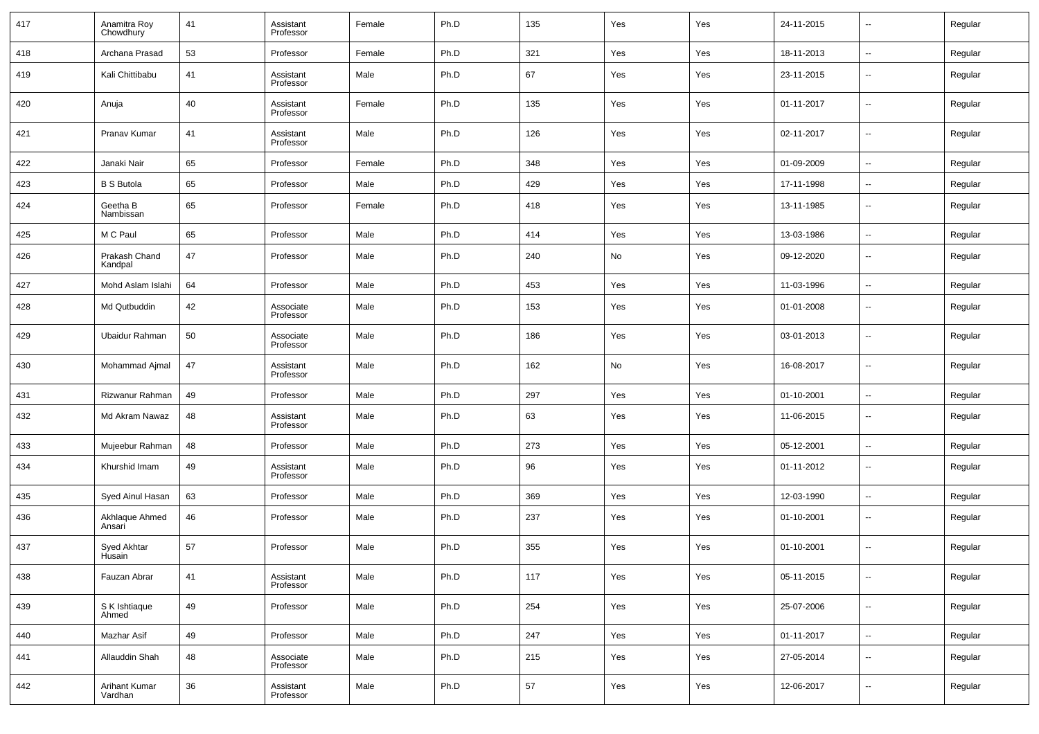| 417 | Anamitra Roy<br>Chowdhury       | 41 | Assistant<br>Professor | Female | Ph.D | 135 | Yes | Yes | 24-11-2015 | $\overline{\phantom{a}}$ | Regular |
|-----|---------------------------------|----|------------------------|--------|------|-----|-----|-----|------------|--------------------------|---------|
| 418 | Archana Prasad                  | 53 | Professor              | Female | Ph.D | 321 | Yes | Yes | 18-11-2013 | --                       | Regular |
| 419 | Kali Chittibabu                 | 41 | Assistant<br>Professor | Male   | Ph.D | 67  | Yes | Yes | 23-11-2015 | $\overline{\phantom{a}}$ | Regular |
| 420 | Anuja                           | 40 | Assistant<br>Professor | Female | Ph.D | 135 | Yes | Yes | 01-11-2017 | $\overline{\phantom{a}}$ | Regular |
| 421 | Pranav Kumar                    | 41 | Assistant<br>Professor | Male   | Ph.D | 126 | Yes | Yes | 02-11-2017 | $\overline{\phantom{a}}$ | Regular |
| 422 | Janaki Nair                     | 65 | Professor              | Female | Ph.D | 348 | Yes | Yes | 01-09-2009 | ۰.                       | Regular |
| 423 | <b>B S Butola</b>               | 65 | Professor              | Male   | Ph.D | 429 | Yes | Yes | 17-11-1998 | $\overline{\phantom{a}}$ | Regular |
| 424 | Geetha B<br>Nambissan           | 65 | Professor              | Female | Ph.D | 418 | Yes | Yes | 13-11-1985 | $\overline{\phantom{a}}$ | Regular |
| 425 | M C Paul                        | 65 | Professor              | Male   | Ph.D | 414 | Yes | Yes | 13-03-1986 | $\overline{\phantom{a}}$ | Regular |
| 426 | Prakash Chand<br>Kandpal        | 47 | Professor              | Male   | Ph.D | 240 | No  | Yes | 09-12-2020 | $\overline{\phantom{a}}$ | Regular |
| 427 | Mohd Aslam Islahi               | 64 | Professor              | Male   | Ph.D | 453 | Yes | Yes | 11-03-1996 | $\overline{\phantom{a}}$ | Regular |
| 428 | Md Qutbuddin                    | 42 | Associate<br>Professor | Male   | Ph.D | 153 | Yes | Yes | 01-01-2008 | $\overline{\phantom{a}}$ | Regular |
| 429 | Ubaidur Rahman                  | 50 | Associate<br>Professor | Male   | Ph.D | 186 | Yes | Yes | 03-01-2013 | $\overline{\phantom{a}}$ | Regular |
| 430 | Mohammad Ajmal                  | 47 | Assistant<br>Professor | Male   | Ph.D | 162 | No  | Yes | 16-08-2017 | $\overline{\phantom{a}}$ | Regular |
| 431 | Rizwanur Rahman                 | 49 | Professor              | Male   | Ph.D | 297 | Yes | Yes | 01-10-2001 | --                       | Regular |
| 432 | Md Akram Nawaz                  | 48 | Assistant<br>Professor | Male   | Ph.D | 63  | Yes | Yes | 11-06-2015 | $\overline{\phantom{a}}$ | Regular |
| 433 | Mujeebur Rahman                 | 48 | Professor              | Male   | Ph.D | 273 | Yes | Yes | 05-12-2001 | $\overline{\phantom{a}}$ | Regular |
| 434 | Khurshid Imam                   | 49 | Assistant<br>Professor | Male   | Ph.D | 96  | Yes | Yes | 01-11-2012 | $\overline{\phantom{a}}$ | Regular |
| 435 | Syed Ainul Hasan                | 63 | Professor              | Male   | Ph.D | 369 | Yes | Yes | 12-03-1990 | $\overline{\phantom{a}}$ | Regular |
| 436 | Akhlaque Ahmed<br>Ansari        | 46 | Professor              | Male   | Ph.D | 237 | Yes | Yes | 01-10-2001 | $\overline{\phantom{a}}$ | Regular |
| 437 | Syed Akhtar<br>Husain           | 57 | Professor              | Male   | Ph.D | 355 | Yes | Yes | 01-10-2001 | $\overline{\phantom{a}}$ | Regular |
| 438 | Fauzan Abrar                    | 41 | Assistant<br>Professor | Male   | Ph.D | 117 | Yes | Yes | 05-11-2015 | $\overline{\phantom{a}}$ | Regular |
| 439 | S K Ishtiaque<br>Ahmed          | 49 | Professor              | Male   | Ph.D | 254 | Yes | Yes | 25-07-2006 | ۰.                       | Regular |
| 440 | Mazhar Asif                     | 49 | Professor              | Male   | Ph.D | 247 | Yes | Yes | 01-11-2017 | ۰.                       | Regular |
| 441 | Allauddin Shah                  | 48 | Associate<br>Professor | Male   | Ph.D | 215 | Yes | Yes | 27-05-2014 | $\overline{\phantom{a}}$ | Regular |
| 442 | <b>Arihant Kumar</b><br>Vardhan | 36 | Assistant<br>Professor | Male   | Ph.D | 57  | Yes | Yes | 12-06-2017 | $\overline{\phantom{a}}$ | Regular |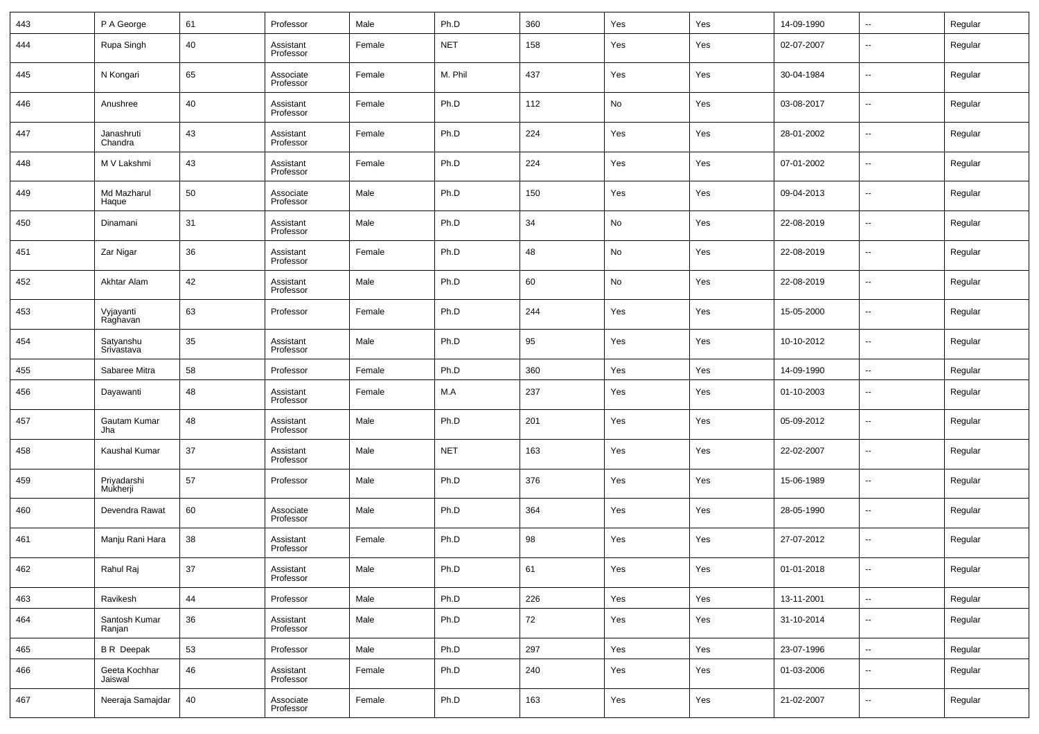| 443 | P A George               | 61 | Professor              | Male   | Ph.D       | 360 | Yes | Yes | 14-09-1990 | $\overline{\phantom{a}}$ | Regular |
|-----|--------------------------|----|------------------------|--------|------------|-----|-----|-----|------------|--------------------------|---------|
| 444 | Rupa Singh               | 40 | Assistant<br>Professor | Female | <b>NET</b> | 158 | Yes | Yes | 02-07-2007 | $\overline{\phantom{a}}$ | Regular |
| 445 | N Kongari                | 65 | Associate<br>Professor | Female | M. Phil    | 437 | Yes | Yes | 30-04-1984 | $\overline{\phantom{a}}$ | Regular |
| 446 | Anushree                 | 40 | Assistant<br>Professor | Female | Ph.D       | 112 | No  | Yes | 03-08-2017 | $\overline{\phantom{a}}$ | Regular |
| 447 | Janashruti<br>Chandra    | 43 | Assistant<br>Professor | Female | Ph.D       | 224 | Yes | Yes | 28-01-2002 | $\overline{\phantom{a}}$ | Regular |
| 448 | M V Lakshmi              | 43 | Assistant<br>Professor | Female | Ph.D       | 224 | Yes | Yes | 07-01-2002 | $\overline{\phantom{a}}$ | Regular |
| 449 | Md Mazharul<br>Haque     | 50 | Associate<br>Professor | Male   | Ph.D       | 150 | Yes | Yes | 09-04-2013 | $\overline{\phantom{a}}$ | Regular |
| 450 | Dinamani                 | 31 | Assistant<br>Professor | Male   | Ph.D       | 34  | No  | Yes | 22-08-2019 | $\overline{\phantom{a}}$ | Regular |
| 451 | Zar Nigar                | 36 | Assistant<br>Professor | Female | Ph.D       | 48  | No  | Yes | 22-08-2019 | $\overline{\phantom{a}}$ | Regular |
| 452 | Akhtar Alam              | 42 | Assistant<br>Professor | Male   | Ph.D       | 60  | No  | Yes | 22-08-2019 | $\overline{\phantom{a}}$ | Regular |
| 453 | Vyjayanti<br>Raghavan    | 63 | Professor              | Female | Ph.D       | 244 | Yes | Yes | 15-05-2000 | $\overline{\phantom{a}}$ | Regular |
| 454 | Satyanshu<br>Srivastava  | 35 | Assistant<br>Professor | Male   | Ph.D       | 95  | Yes | Yes | 10-10-2012 | $\overline{\phantom{a}}$ | Regular |
| 455 | Sabaree Mitra            | 58 | Professor              | Female | Ph.D       | 360 | Yes | Yes | 14-09-1990 | $\overline{\phantom{a}}$ | Regular |
| 456 | Dayawanti                | 48 | Assistant<br>Professor | Female | M.A        | 237 | Yes | Yes | 01-10-2003 | $\overline{\phantom{a}}$ | Regular |
| 457 | Gautam Kumar<br>Jha      | 48 | Assistant<br>Professor | Male   | Ph.D       | 201 | Yes | Yes | 05-09-2012 | $\overline{\phantom{a}}$ | Regular |
| 458 | Kaushal Kumar            | 37 | Assistant<br>Professor | Male   | <b>NET</b> | 163 | Yes | Yes | 22-02-2007 | $\overline{\phantom{a}}$ | Regular |
| 459 | Priyadarshi<br>Mukherji  | 57 | Professor              | Male   | Ph.D       | 376 | Yes | Yes | 15-06-1989 | $\overline{\phantom{a}}$ | Regular |
| 460 | Devendra Rawat           | 60 | Associate<br>Professor | Male   | Ph.D       | 364 | Yes | Yes | 28-05-1990 | $\overline{\phantom{a}}$ | Regular |
| 461 | Manju Rani Hara          | 38 | Assistant<br>Professor | Female | Ph.D       | 98  | Yes | Yes | 27-07-2012 | $\overline{\phantom{a}}$ | Regular |
| 462 | Rahul Raj                | 37 | Assistant<br>Professor | Male   | Ph.D       | 61  | Yes | Yes | 01-01-2018 | $\overline{\phantom{a}}$ | Regular |
| 463 | Ravikesh                 | 44 | Professor              | Male   | Ph.D       | 226 | Yes | Yes | 13-11-2001 | $\overline{\phantom{a}}$ | Regular |
| 464 | Santosh Kumar<br>Ranjan  | 36 | Assistant<br>Professor | Male   | Ph.D       | 72  | Yes | Yes | 31-10-2014 | ۰.                       | Regular |
| 465 | <b>BR</b> Deepak         | 53 | Professor              | Male   | Ph.D       | 297 | Yes | Yes | 23-07-1996 | $\overline{\phantom{a}}$ | Regular |
| 466 | Geeta Kochhar<br>Jaiswal | 46 | Assistant<br>Professor | Female | Ph.D       | 240 | Yes | Yes | 01-03-2006 | ۰.                       | Regular |
| 467 | Neeraja Samajdar         | 40 | Associate<br>Professor | Female | Ph.D       | 163 | Yes | Yes | 21-02-2007 | $\overline{\phantom{a}}$ | Regular |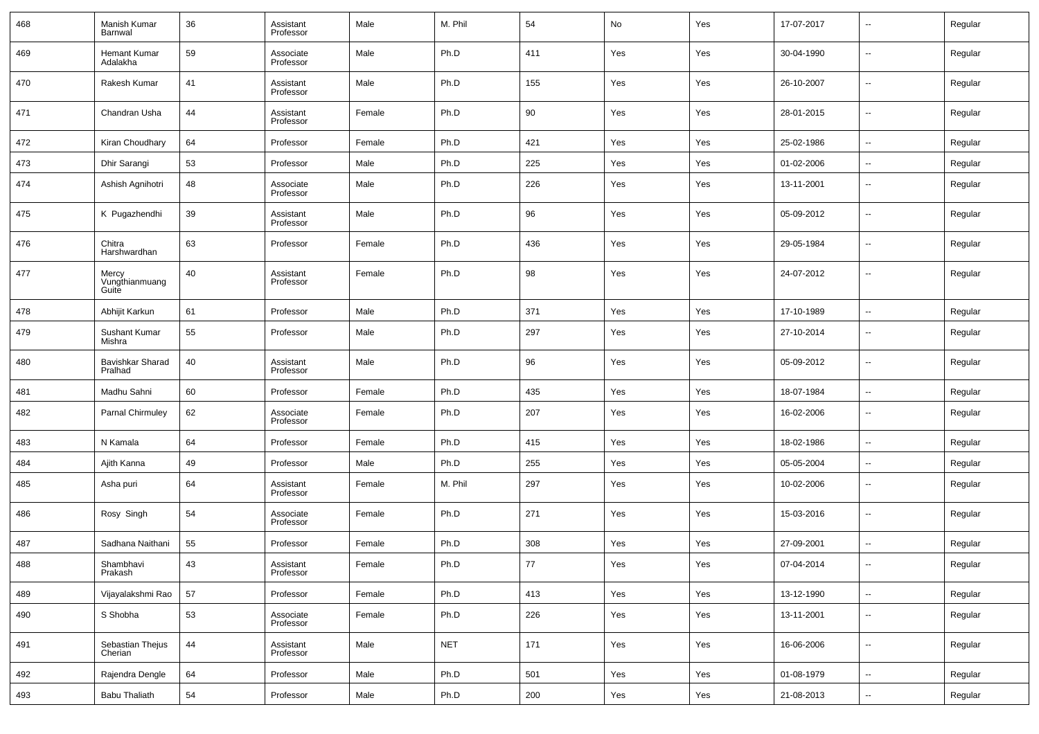| 468 | Manish Kumar<br>Barnwal          | 36 | Assistant<br>Professor | Male   | M. Phil    | 54    | No  | Yes | 17-07-2017 | $\overline{\phantom{a}}$ | Regular |
|-----|----------------------------------|----|------------------------|--------|------------|-------|-----|-----|------------|--------------------------|---------|
| 469 | <b>Hemant Kumar</b><br>Adalakha  | 59 | Associate<br>Professor | Male   | Ph.D       | 411   | Yes | Yes | 30-04-1990 | $\overline{\phantom{a}}$ | Regular |
| 470 | Rakesh Kumar                     | 41 | Assistant<br>Professor | Male   | Ph.D       | 155   | Yes | Yes | 26-10-2007 | $\overline{\phantom{a}}$ | Regular |
| 471 | Chandran Usha                    | 44 | Assistant<br>Professor | Female | Ph.D       | 90    | Yes | Yes | 28-01-2015 | $\overline{\phantom{a}}$ | Regular |
| 472 | Kiran Choudhary                  | 64 | Professor              | Female | Ph.D       | 421   | Yes | Yes | 25-02-1986 | $\overline{\phantom{a}}$ | Regular |
| 473 | Dhir Sarangi                     | 53 | Professor              | Male   | Ph.D       | 225   | Yes | Yes | 01-02-2006 | $\sim$                   | Regular |
| 474 | Ashish Agnihotri                 | 48 | Associate<br>Professor | Male   | Ph.D       | 226   | Yes | Yes | 13-11-2001 | $\overline{\phantom{a}}$ | Regular |
| 475 | K Pugazhendhi                    | 39 | Assistant<br>Professor | Male   | Ph.D       | 96    | Yes | Yes | 05-09-2012 | $\sim$                   | Regular |
| 476 | Chitra<br>Harshwardhan           | 63 | Professor              | Female | Ph.D       | 436   | Yes | Yes | 29-05-1984 | $\overline{\phantom{a}}$ | Regular |
| 477 | Mercy<br>Vungthianmuang<br>Guite | 40 | Assistant<br>Professor | Female | Ph.D       | 98    | Yes | Yes | 24-07-2012 | $\overline{\phantom{a}}$ | Regular |
| 478 | Abhijit Karkun                   | 61 | Professor              | Male   | Ph.D       | 371   | Yes | Yes | 17-10-1989 | $\sim$                   | Regular |
| 479 | Sushant Kumar<br>Mishra          | 55 | Professor              | Male   | Ph.D       | 297   | Yes | Yes | 27-10-2014 | $\overline{\phantom{a}}$ | Regular |
| 480 | Bavishkar Sharad<br>Pralhad      | 40 | Assistant<br>Professor | Male   | Ph.D       | 96    | Yes | Yes | 05-09-2012 | $\sim$                   | Regular |
| 481 | Madhu Sahni                      | 60 | Professor              | Female | Ph.D       | 435   | Yes | Yes | 18-07-1984 | $\sim$                   | Regular |
| 482 | Parnal Chirmuley                 | 62 | Associate<br>Professor | Female | Ph.D       | 207   | Yes | Yes | 16-02-2006 | --                       | Regular |
| 483 | N Kamala                         | 64 | Professor              | Female | Ph.D       | 415   | Yes | Yes | 18-02-1986 | н.                       | Regular |
| 484 | Ajith Kanna                      | 49 | Professor              | Male   | Ph.D       | 255   | Yes | Yes | 05-05-2004 | $\overline{\phantom{a}}$ | Regular |
| 485 | Asha puri                        | 64 | Assistant<br>Professor | Female | M. Phil    | 297   | Yes | Yes | 10-02-2006 | --                       | Regular |
| 486 | Rosy Singh                       | 54 | Associate<br>Professor | Female | Ph.D       | 271   | Yes | Yes | 15-03-2016 | --                       | Regular |
| 487 | Sadhana Naithani                 | 55 | Professor              | Female | Ph.D       | 308   | Yes | Yes | 27-09-2001 | н.                       | Regular |
| 488 | Shambhavi<br>Prakash             | 43 | Assistant<br>Professor | Female | Ph.D       | 77    | Yes | Yes | 07-04-2014 |                          | Regular |
| 489 | Vijayalakshmi Rao                | 57 | Professor              | Female | Ph.D       | 413   | Yes | Yes | 13-12-1990 | $\overline{\phantom{a}}$ | Regular |
| 490 | S Shobha                         | 53 | Associate<br>Professor | Female | Ph.D       | 226   | Yes | Yes | 13-11-2001 | $\overline{\phantom{a}}$ | Regular |
| 491 | Sebastian Thejus<br>Cherian      | 44 | Assistant<br>Professor | Male   | <b>NET</b> | $171$ | Yes | Yes | 16-06-2006 | $\overline{\phantom{a}}$ | Regular |
| 492 | Rajendra Dengle                  | 64 | Professor              | Male   | Ph.D       | 501   | Yes | Yes | 01-08-1979 | $\overline{\phantom{a}}$ | Regular |
| 493 | Babu Thaliath                    | 54 | Professor              | Male   | Ph.D       | 200   | Yes | Yes | 21-08-2013 | $\overline{\phantom{a}}$ | Regular |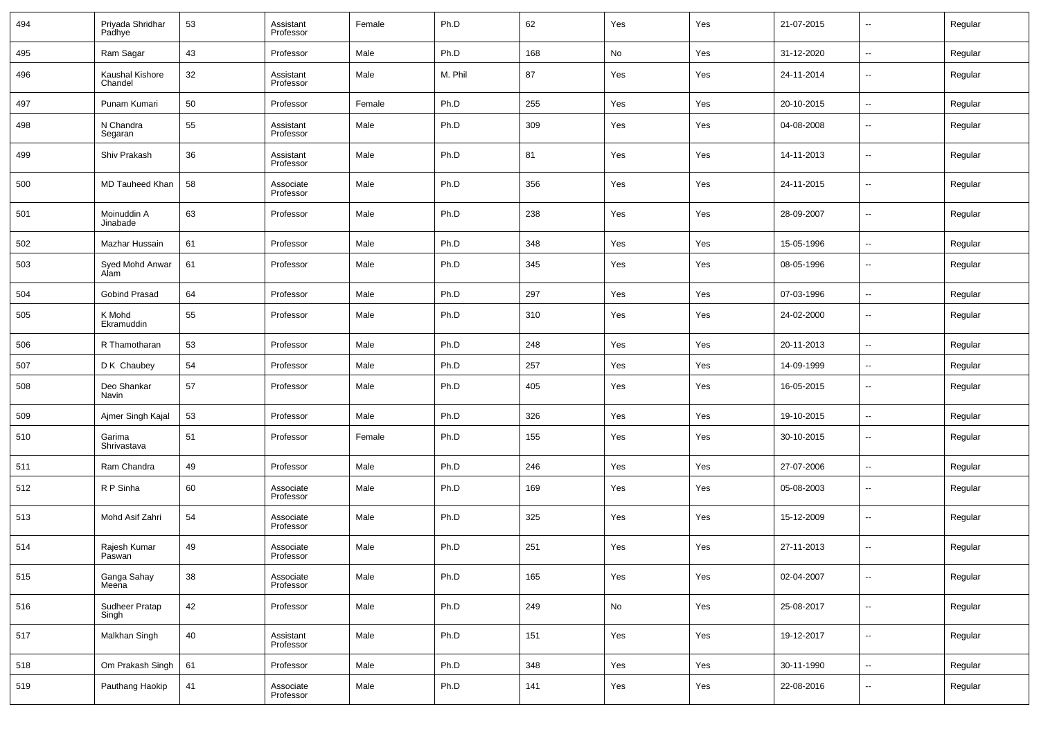| 494 | Priyada Shridhar<br>Padhye | 53 | Assistant<br>Professor | Female | Ph.D    | 62  | Yes | Yes | 21-07-2015 | $\overline{\phantom{a}}$ | Regular |
|-----|----------------------------|----|------------------------|--------|---------|-----|-----|-----|------------|--------------------------|---------|
| 495 | Ram Sagar                  | 43 | Professor              | Male   | Ph.D    | 168 | No  | Yes | 31-12-2020 | Ξ.                       | Regular |
| 496 | Kaushal Kishore<br>Chandel | 32 | Assistant<br>Professor | Male   | M. Phil | 87  | Yes | Yes | 24-11-2014 | $\overline{\phantom{a}}$ | Regular |
| 497 | Punam Kumari               | 50 | Professor              | Female | Ph.D    | 255 | Yes | Yes | 20-10-2015 | Ξ.                       | Regular |
| 498 | N Chandra<br>Segaran       | 55 | Assistant<br>Professor | Male   | Ph.D    | 309 | Yes | Yes | 04-08-2008 | $\overline{\phantom{a}}$ | Regular |
| 499 | Shiv Prakash               | 36 | Assistant<br>Professor | Male   | Ph.D    | 81  | Yes | Yes | 14-11-2013 | ÷.                       | Regular |
| 500 | MD Tauheed Khan            | 58 | Associate<br>Professor | Male   | Ph.D    | 356 | Yes | Yes | 24-11-2015 | --                       | Regular |
| 501 | Moinuddin A<br>Jinabade    | 63 | Professor              | Male   | Ph.D    | 238 | Yes | Yes | 28-09-2007 | ÷.                       | Regular |
| 502 | Mazhar Hussain             | 61 | Professor              | Male   | Ph.D    | 348 | Yes | Yes | 15-05-1996 | Ξ.                       | Regular |
| 503 | Syed Mohd Anwar<br>Alam    | 61 | Professor              | Male   | Ph.D    | 345 | Yes | Yes | 08-05-1996 | --                       | Regular |
| 504 | Gobind Prasad              | 64 | Professor              | Male   | Ph.D    | 297 | Yes | Yes | 07-03-1996 | --                       | Regular |
| 505 | K Mohd<br>Ekramuddin       | 55 | Professor              | Male   | Ph.D    | 310 | Yes | Yes | 24-02-2000 | --                       | Regular |
| 506 | R Thamotharan              | 53 | Professor              | Male   | Ph.D    | 248 | Yes | Yes | 20-11-2013 | Ξ.                       | Regular |
| 507 | D K Chaubey                | 54 | Professor              | Male   | Ph.D    | 257 | Yes | Yes | 14-09-1999 | --                       | Regular |
| 508 | Deo Shankar<br>Navin       | 57 | Professor              | Male   | Ph.D    | 405 | Yes | Yes | 16-05-2015 | --                       | Regular |
| 509 | Ajmer Singh Kajal          | 53 | Professor              | Male   | Ph.D    | 326 | Yes | Yes | 19-10-2015 | $\overline{\phantom{a}}$ | Regular |
| 510 | Garima<br>Shrivastava      | 51 | Professor              | Female | Ph.D    | 155 | Yes | Yes | 30-10-2015 | $\overline{\phantom{a}}$ | Regular |
| 511 | Ram Chandra                | 49 | Professor              | Male   | Ph.D    | 246 | Yes | Yes | 27-07-2006 | Ξ.                       | Regular |
| 512 | R P Sinha                  | 60 | Associate<br>Professor | Male   | Ph.D    | 169 | Yes | Yes | 05-08-2003 | --                       | Regular |
| 513 | Mohd Asif Zahri            | 54 | Associate<br>Professor | Male   | Ph.D    | 325 | Yes | Yes | 15-12-2009 | --                       | Regular |
| 514 | Rajesh Kumar<br>Paswan     | 49 | Associate<br>Professor | Male   | Ph.D    | 251 | Yes | Yes | 27-11-2013 | --                       | Regular |
| 515 | Ganga Sahay<br>Meena       | 38 | Associate<br>Professor | Male   | Ph.D    | 165 | Yes | Yes | 02-04-2007 | --                       | Regular |
| 516 | Sudheer Pratap<br>Singh    | 42 | Professor              | Male   | Ph.D    | 249 | No  | Yes | 25-08-2017 | --                       | Regular |
| 517 | Malkhan Singh              | 40 | Assistant<br>Professor | Male   | Ph.D    | 151 | Yes | Yes | 19-12-2017 | $\sim$                   | Regular |
| 518 | Om Prakash Singh           | 61 | Professor              | Male   | Ph.D    | 348 | Yes | Yes | 30-11-1990 | Ξ.                       | Regular |
| 519 | Pauthang Haokip            | 41 | Associate<br>Professor | Male   | Ph.D    | 141 | Yes | Yes | 22-08-2016 | --                       | Regular |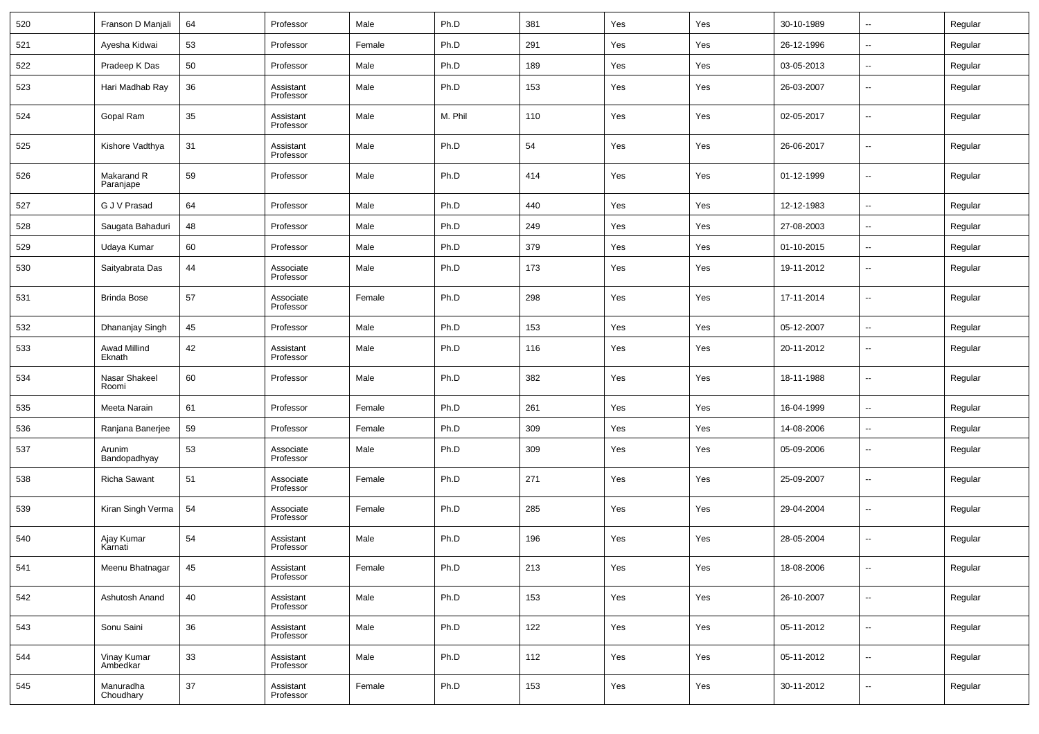| 520 | Franson D Manjali       | 64 | Professor              | Male   | Ph.D    | 381 | Yes | Yes | 30-10-1989 | $\overline{\phantom{a}}$ | Regular |
|-----|-------------------------|----|------------------------|--------|---------|-----|-----|-----|------------|--------------------------|---------|
| 521 | Ayesha Kidwai           | 53 | Professor              | Female | Ph.D    | 291 | Yes | Yes | 26-12-1996 | $\overline{\phantom{a}}$ | Regular |
| 522 | Pradeep K Das           | 50 | Professor              | Male   | Ph.D    | 189 | Yes | Yes | 03-05-2013 | $\overline{\phantom{a}}$ | Regular |
| 523 | Hari Madhab Ray         | 36 | Assistant<br>Professor | Male   | Ph.D    | 153 | Yes | Yes | 26-03-2007 | $\overline{\phantom{a}}$ | Regular |
| 524 | Gopal Ram               | 35 | Assistant<br>Professor | Male   | M. Phil | 110 | Yes | Yes | 02-05-2017 | --                       | Regular |
| 525 | Kishore Vadthya         | 31 | Assistant<br>Professor | Male   | Ph.D    | 54  | Yes | Yes | 26-06-2017 | $\overline{\phantom{a}}$ | Regular |
| 526 | Makarand R<br>Paranjape | 59 | Professor              | Male   | Ph.D    | 414 | Yes | Yes | 01-12-1999 | $\overline{\phantom{a}}$ | Regular |
| 527 | G J V Prasad            | 64 | Professor              | Male   | Ph.D    | 440 | Yes | Yes | 12-12-1983 | $\overline{\phantom{a}}$ | Regular |
| 528 | Saugata Bahaduri        | 48 | Professor              | Male   | Ph.D    | 249 | Yes | Yes | 27-08-2003 | $\ddotsc$                | Regular |
| 529 | Udaya Kumar             | 60 | Professor              | Male   | Ph.D    | 379 | Yes | Yes | 01-10-2015 | $\overline{\phantom{a}}$ | Regular |
| 530 | Saityabrata Das         | 44 | Associate<br>Professor | Male   | Ph.D    | 173 | Yes | Yes | 19-11-2012 | $\overline{\phantom{a}}$ | Regular |
| 531 | <b>Brinda Bose</b>      | 57 | Associate<br>Professor | Female | Ph.D    | 298 | Yes | Yes | 17-11-2014 | $\overline{\phantom{a}}$ | Regular |
| 532 | Dhananjay Singh         | 45 | Professor              | Male   | Ph.D    | 153 | Yes | Yes | 05-12-2007 | $\overline{\phantom{a}}$ | Regular |
| 533 | Awad Millind<br>Eknath  | 42 | Assistant<br>Professor | Male   | Ph.D    | 116 | Yes | Yes | 20-11-2012 | --                       | Regular |
| 534 | Nasar Shakeel<br>Roomi  | 60 | Professor              | Male   | Ph.D    | 382 | Yes | Yes | 18-11-1988 | $\overline{\phantom{a}}$ | Regular |
| 535 | Meeta Narain            | 61 | Professor              | Female | Ph.D    | 261 | Yes | Yes | 16-04-1999 | ۰.                       | Regular |
| 536 | Ranjana Banerjee        | 59 | Professor              | Female | Ph.D    | 309 | Yes | Yes | 14-08-2006 | --                       | Regular |
| 537 | Arunim<br>Bandopadhyay  | 53 | Associate<br>Professor | Male   | Ph.D    | 309 | Yes | Yes | 05-09-2006 | $\overline{\phantom{a}}$ | Regular |
| 538 | Richa Sawant            | 51 | Associate<br>Professor | Female | Ph.D    | 271 | Yes | Yes | 25-09-2007 | $\overline{\phantom{a}}$ | Regular |
| 539 | Kiran Singh Verma       | 54 | Associate<br>Professor | Female | Ph.D    | 285 | Yes | Yes | 29-04-2004 | $\overline{\phantom{a}}$ | Regular |
| 540 | Ajay Kumar<br>Karnati   | 54 | Assistant<br>Professor | Male   | Ph.D    | 196 | Yes | Yes | 28-05-2004 | $\overline{\phantom{a}}$ | Regular |
| 541 | Meenu Bhatnagar         | 45 | Assistant<br>Professor | Female | Ph.D    | 213 | Yes | Yes | 18-08-2006 | $\overline{\phantom{a}}$ | Regular |
| 542 | Ashutosh Anand          | 40 | Assistant<br>Professor | Male   | Ph.D    | 153 | Yes | Yes | 26-10-2007 | $\overline{\phantom{a}}$ | Regular |
| 543 | Sonu Saini              | 36 | Assistant<br>Professor | Male   | Ph.D    | 122 | Yes | Yes | 05-11-2012 | $\overline{\phantom{a}}$ | Regular |
| 544 | Vinay Kumar<br>Ambedkar | 33 | Assistant<br>Professor | Male   | Ph.D    | 112 | Yes | Yes | 05-11-2012 | ۰.                       | Regular |
| 545 | Manuradha<br>Choudhary  | 37 | Assistant<br>Professor | Female | Ph.D    | 153 | Yes | Yes | 30-11-2012 | ۰.                       | Regular |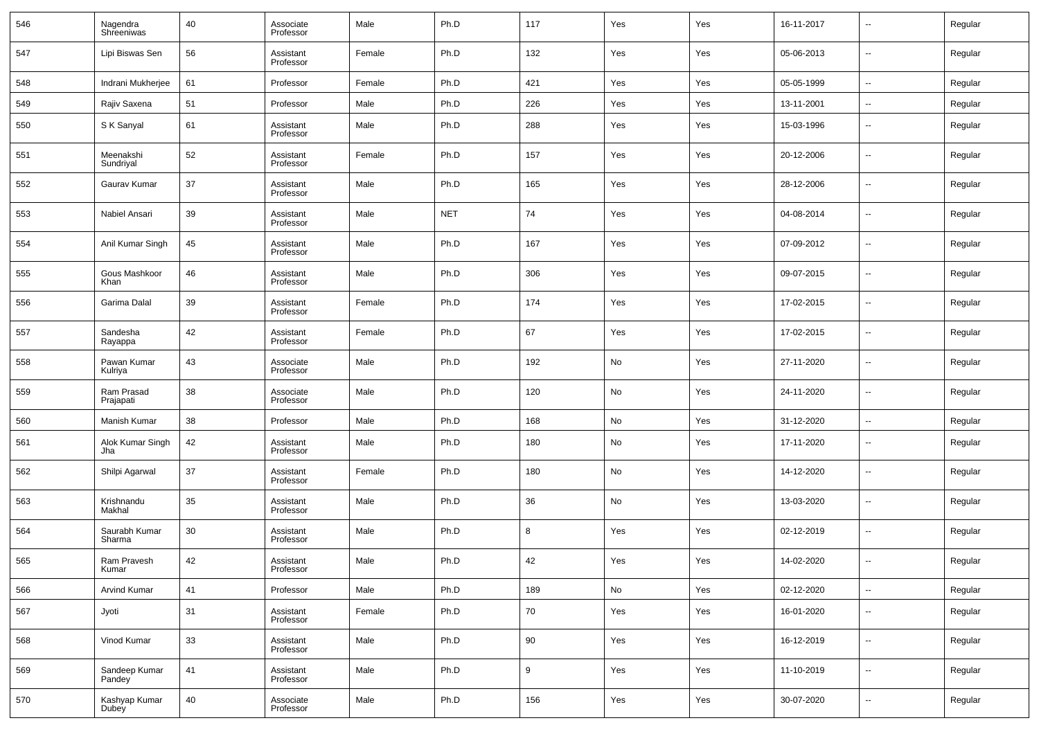| 546 | Nagendra<br>Shreeniwas  | 40 | Associate<br>Professor | Male   | Ph.D       | 117 | Yes | Yes | 16-11-2017 | $\overline{\phantom{a}}$ | Regular |
|-----|-------------------------|----|------------------------|--------|------------|-----|-----|-----|------------|--------------------------|---------|
| 547 | Lipi Biswas Sen         | 56 | Assistant<br>Professor | Female | Ph.D       | 132 | Yes | Yes | 05-06-2013 | ⊷                        | Regular |
| 548 | Indrani Mukherjee       | 61 | Professor              | Female | Ph.D       | 421 | Yes | Yes | 05-05-1999 | $\sim$                   | Regular |
| 549 | Rajiv Saxena            | 51 | Professor              | Male   | Ph.D       | 226 | Yes | Yes | 13-11-2001 | ⊷                        | Regular |
| 550 | S K Sanyal              | 61 | Assistant<br>Professor | Male   | Ph.D       | 288 | Yes | Yes | 15-03-1996 | ⊷                        | Regular |
| 551 | Meenakshi<br>Sundriyal  | 52 | Assistant<br>Professor | Female | Ph.D       | 157 | Yes | Yes | 20-12-2006 | н.                       | Regular |
| 552 | Gaurav Kumar            | 37 | Assistant<br>Professor | Male   | Ph.D       | 165 | Yes | Yes | 28-12-2006 | н.                       | Regular |
| 553 | Nabiel Ansari           | 39 | Assistant<br>Professor | Male   | <b>NET</b> | 74  | Yes | Yes | 04-08-2014 | н.                       | Regular |
| 554 | Anil Kumar Singh        | 45 | Assistant<br>Professor | Male   | Ph.D       | 167 | Yes | Yes | 07-09-2012 | н.                       | Regular |
| 555 | Gous Mashkoor<br>Khan   | 46 | Assistant<br>Professor | Male   | Ph.D       | 306 | Yes | Yes | 09-07-2015 | н.                       | Regular |
| 556 | Garima Dalal            | 39 | Assistant<br>Professor | Female | Ph.D       | 174 | Yes | Yes | 17-02-2015 | ⊷                        | Regular |
| 557 | Sandesha<br>Rayappa     | 42 | Assistant<br>Professor | Female | Ph.D       | 67  | Yes | Yes | 17-02-2015 | н.                       | Regular |
| 558 | Pawan Kumar<br>Kulriya  | 43 | Associate<br>Professor | Male   | Ph.D       | 192 | No  | Yes | 27-11-2020 | ⊷                        | Regular |
| 559 | Ram Prasad<br>Prajapati | 38 | Associate<br>Professor | Male   | Ph.D       | 120 | No  | Yes | 24-11-2020 | $\overline{\phantom{a}}$ | Regular |
| 560 | Manish Kumar            | 38 | Professor              | Male   | Ph.D       | 168 | No  | Yes | 31-12-2020 | н.                       | Regular |
| 561 | Alok Kumar Singh<br>Jha | 42 | Assistant<br>Professor | Male   | Ph.D       | 180 | No  | Yes | 17-11-2020 | --                       | Regular |
| 562 | Shilpi Agarwal          | 37 | Assistant<br>Professor | Female | Ph.D       | 180 | No  | Yes | 14-12-2020 |                          | Regular |
| 563 | Krishnandu<br>Makhal    | 35 | Assistant<br>Professor | Male   | Ph.D       | 36  | No  | Yes | 13-03-2020 | --                       | Regular |
| 564 | Saurabh Kumar<br>Sharma | 30 | Assistant<br>Professor | Male   | Ph.D       | 8   | Yes | Yes | 02-12-2019 |                          | Regular |
| 565 | Ram Pravesh<br>Kumar    | 42 | Assistant<br>Professor | Male   | Ph.D       | 42  | Yes | Yes | 14-02-2020 | --                       | Regular |
| 566 | <b>Arvind Kumar</b>     | 41 | Professor              | Male   | Ph.D       | 189 | No  | Yes | 02-12-2020 | $\sim$                   | Regular |
| 567 | Jyoti                   | 31 | Assistant<br>Professor | Female | Ph.D       | 70  | Yes | Yes | 16-01-2020 | ⊷                        | Regular |
| 568 | Vinod Kumar             | 33 | Assistant<br>Professor | Male   | Ph.D       | 90  | Yes | Yes | 16-12-2019 | н.                       | Regular |
| 569 | Sandeep Kumar<br>Pandey | 41 | Assistant<br>Professor | Male   | Ph.D       | 9   | Yes | Yes | 11-10-2019 | ⊷                        | Regular |
| 570 | Kashyap Kumar<br>Dubey  | 40 | Associate<br>Professor | Male   | Ph.D       | 156 | Yes | Yes | 30-07-2020 | н.                       | Regular |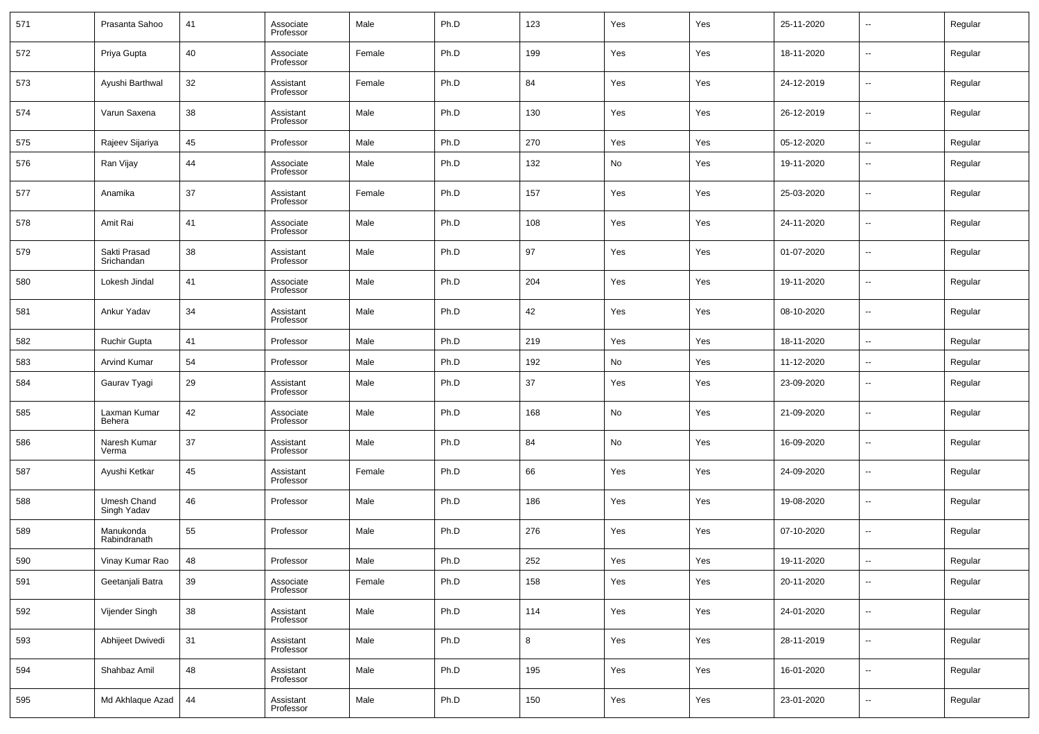| 571 | Prasanta Sahoo             | 41 | Associate<br>Professor | Male   | Ph.D | 123 | Yes | Yes | 25-11-2020 | $\overline{\phantom{a}}$ | Regular |
|-----|----------------------------|----|------------------------|--------|------|-----|-----|-----|------------|--------------------------|---------|
| 572 | Priya Gupta                | 40 | Associate<br>Professor | Female | Ph.D | 199 | Yes | Yes | 18-11-2020 | $\overline{\phantom{a}}$ | Regular |
| 573 | Ayushi Barthwal            | 32 | Assistant<br>Professor | Female | Ph.D | 84  | Yes | Yes | 24-12-2019 | $\overline{\phantom{a}}$ | Regular |
| 574 | Varun Saxena               | 38 | Assistant<br>Professor | Male   | Ph.D | 130 | Yes | Yes | 26-12-2019 | $\overline{\phantom{a}}$ | Regular |
| 575 | Rajeev Sijariya            | 45 | Professor              | Male   | Ph.D | 270 | Yes | Yes | 05-12-2020 | $\overline{\phantom{a}}$ | Regular |
| 576 | Ran Vijay                  | 44 | Associate<br>Professor | Male   | Ph.D | 132 | No  | Yes | 19-11-2020 | --                       | Regular |
| 577 | Anamika                    | 37 | Assistant<br>Professor | Female | Ph.D | 157 | Yes | Yes | 25-03-2020 | --                       | Regular |
| 578 | Amit Rai                   | 41 | Associate<br>Professor | Male   | Ph.D | 108 | Yes | Yes | 24-11-2020 | ш,                       | Regular |
| 579 | Sakti Prasad<br>Srichandan | 38 | Assistant<br>Professor | Male   | Ph.D | 97  | Yes | Yes | 01-07-2020 | --                       | Regular |
| 580 | Lokesh Jindal              | 41 | Associate<br>Professor | Male   | Ph.D | 204 | Yes | Yes | 19-11-2020 | --                       | Regular |
| 581 | Ankur Yadav                | 34 | Assistant<br>Professor | Male   | Ph.D | 42  | Yes | Yes | 08-10-2020 | --                       | Regular |
| 582 | <b>Ruchir Gupta</b>        | 41 | Professor              | Male   | Ph.D | 219 | Yes | Yes | 18-11-2020 | ш,                       | Regular |
| 583 | <b>Arvind Kumar</b>        | 54 | Professor              | Male   | Ph.D | 192 | No  | Yes | 11-12-2020 | $\overline{\phantom{a}}$ | Regular |
| 584 | Gaurav Tyagi               | 29 | Assistant<br>Professor | Male   | Ph.D | 37  | Yes | Yes | 23-09-2020 | --                       | Regular |
| 585 | Laxman Kumar<br>Behera     | 42 | Associate<br>Professor | Male   | Ph.D | 168 | No  | Yes | 21-09-2020 | --                       | Regular |
| 586 | Naresh Kumar<br>Verma      | 37 | Assistant<br>Professor | Male   | Ph.D | 84  | No  | Yes | 16-09-2020 | --                       | Regular |
| 587 | Ayushi Ketkar              | 45 | Assistant<br>Professor | Female | Ph.D | 66  | Yes | Yes | 24-09-2020 | --                       | Regular |
| 588 | Umesh Chand<br>Singh Yadav | 46 | Professor              | Male   | Ph.D | 186 | Yes | Yes | 19-08-2020 | --                       | Regular |
| 589 | Manukonda<br>Rabindranath  | 55 | Professor              | Male   | Ph.D | 276 | Yes | Yes | 07-10-2020 | --                       | Regular |
| 590 | Vinay Kumar Rao            | 48 | Professor              | Male   | Ph.D | 252 | Yes | Yes | 19-11-2020 | --                       | Regular |
| 591 | Geetanjali Batra           | 39 | Associate<br>Professor | Female | Ph.D | 158 | Yes | Yes | 20-11-2020 | ш,                       | Regular |
| 592 | Vijender Singh             | 38 | Assistant<br>Professor | Male   | Ph.D | 114 | Yes | Yes | 24-01-2020 | $\sim$                   | Regular |
| 593 | Abhijeet Dwivedi           | 31 | Assistant<br>Professor | Male   | Ph.D | 8   | Yes | Yes | 28-11-2019 | $\overline{\phantom{a}}$ | Regular |
| 594 | Shahbaz Amil               | 48 | Assistant<br>Professor | Male   | Ph.D | 195 | Yes | Yes | 16-01-2020 | $\overline{\phantom{a}}$ | Regular |
| 595 | Md Akhlaque Azad           | 44 | Assistant<br>Professor | Male   | Ph.D | 150 | Yes | Yes | 23-01-2020 | $\overline{\phantom{a}}$ | Regular |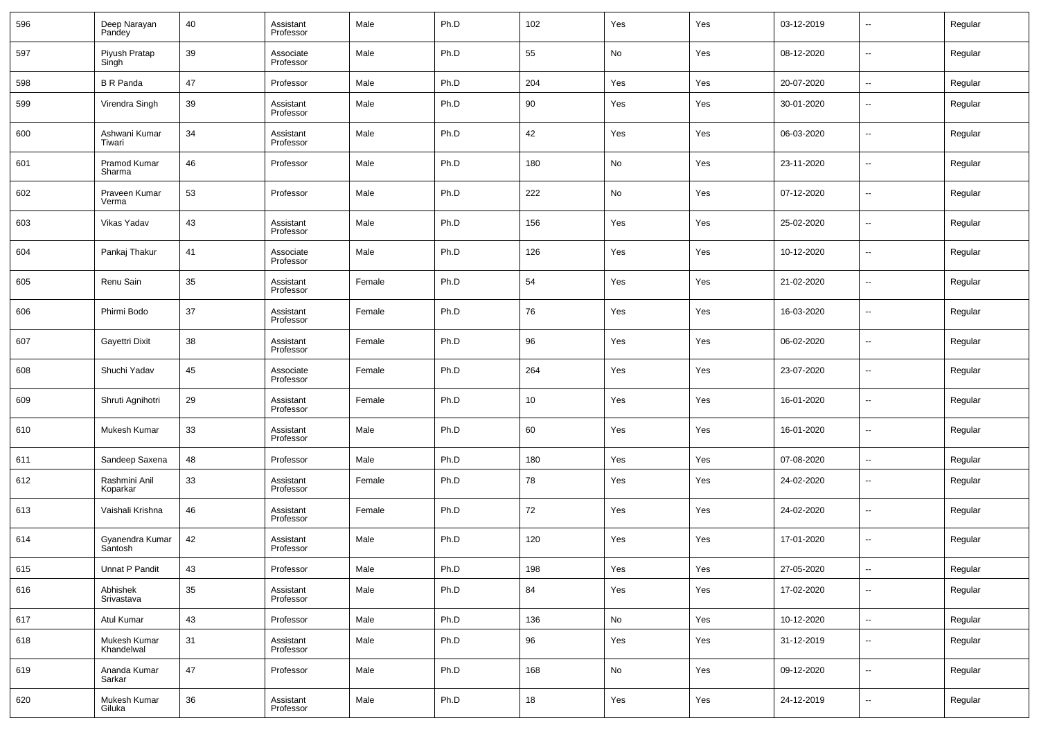| 596 | Deep Narayan<br>Pandey     | 40 | Assistant<br>Professor | Male   | Ph.D | 102 | Yes | Yes | 03-12-2019 | $\overline{\phantom{a}}$ | Regular |
|-----|----------------------------|----|------------------------|--------|------|-----|-----|-----|------------|--------------------------|---------|
| 597 | Piyush Pratap<br>Singh     | 39 | Associate<br>Professor | Male   | Ph.D | 55  | No  | Yes | 08-12-2020 | $\overline{\phantom{a}}$ | Regular |
| 598 | <b>B</b> R Panda           | 47 | Professor              | Male   | Ph.D | 204 | Yes | Yes | 20-07-2020 | $\overline{\phantom{a}}$ | Regular |
| 599 | Virendra Singh             | 39 | Assistant<br>Professor | Male   | Ph.D | 90  | Yes | Yes | 30-01-2020 | ۰.                       | Regular |
| 600 | Ashwani Kumar<br>Tiwari    | 34 | Assistant<br>Professor | Male   | Ph.D | 42  | Yes | Yes | 06-03-2020 | $\overline{\phantom{a}}$ | Regular |
| 601 | Pramod Kumar<br>Sharma     | 46 | Professor              | Male   | Ph.D | 180 | No  | Yes | 23-11-2020 | $\overline{\phantom{a}}$ | Regular |
| 602 | Praveen Kumar<br>Verma     | 53 | Professor              | Male   | Ph.D | 222 | No  | Yes | 07-12-2020 | $\overline{\phantom{a}}$ | Regular |
| 603 | Vikas Yadav                | 43 | Assistant<br>Professor | Male   | Ph.D | 156 | Yes | Yes | 25-02-2020 | $\overline{\phantom{a}}$ | Regular |
| 604 | Pankaj Thakur              | 41 | Associate<br>Professor | Male   | Ph.D | 126 | Yes | Yes | 10-12-2020 | ۰.                       | Regular |
| 605 | Renu Sain                  | 35 | Assistant<br>Professor | Female | Ph.D | 54  | Yes | Yes | 21-02-2020 | $\overline{\phantom{a}}$ | Regular |
| 606 | Phirmi Bodo                | 37 | Assistant<br>Professor | Female | Ph.D | 76  | Yes | Yes | 16-03-2020 | ۰.                       | Regular |
| 607 | Gayettri Dixit             | 38 | Assistant<br>Professor | Female | Ph.D | 96  | Yes | Yes | 06-02-2020 | --                       | Regular |
| 608 | Shuchi Yadav               | 45 | Associate<br>Professor | Female | Ph.D | 264 | Yes | Yes | 23-07-2020 | ۰.                       | Regular |
| 609 | Shruti Agnihotri           | 29 | Assistant<br>Professor | Female | Ph.D | 10  | Yes | Yes | 16-01-2020 | ۰.                       | Regular |
| 610 | Mukesh Kumar               | 33 | Assistant<br>Professor | Male   | Ph.D | 60  | Yes | Yes | 16-01-2020 | $\overline{\phantom{a}}$ | Regular |
| 611 | Sandeep Saxena             | 48 | Professor              | Male   | Ph.D | 180 | Yes | Yes | 07-08-2020 | $\overline{\phantom{a}}$ | Regular |
| 612 | Rashmini Anil<br>Koparkar  | 33 | Assistant<br>Professor | Female | Ph.D | 78  | Yes | Yes | 24-02-2020 | −−                       | Regular |
| 613 | Vaishali Krishna           | 46 | Assistant<br>Professor | Female | Ph.D | 72  | Yes | Yes | 24-02-2020 | --                       | Regular |
| 614 | Gyanendra Kumar<br>Santosh | 42 | Assistant<br>Professor | Male   | Ph.D | 120 | Yes | Yes | 17-01-2020 | --                       | Regular |
| 615 | Unnat P Pandit             | 43 | Professor              | Male   | Ph.D | 198 | Yes | Yes | 27-05-2020 | $\sim$                   | Regular |
| 616 | Abhishek<br>Srivastava     | 35 | Assistant<br>Professor | Male   | Ph.D | 84  | Yes | Yes | 17-02-2020 | Щ,                       | Regular |
| 617 | Atul Kumar                 | 43 | Professor              | Male   | Ph.D | 136 | No  | Yes | 10-12-2020 | Щ,                       | Regular |
| 618 | Mukesh Kumar<br>Khandelwal | 31 | Assistant<br>Professor | Male   | Ph.D | 96  | Yes | Yes | 31-12-2019 | $\overline{\phantom{a}}$ | Regular |
| 619 | Ananda Kumar<br>Sarkar     | 47 | Professor              | Male   | Ph.D | 168 | No  | Yes | 09-12-2020 | $\overline{\phantom{a}}$ | Regular |
| 620 | Mukesh Kumar<br>Giluka     | 36 | Assistant<br>Professor | Male   | Ph.D | 18  | Yes | Yes | 24-12-2019 | ۰.                       | Regular |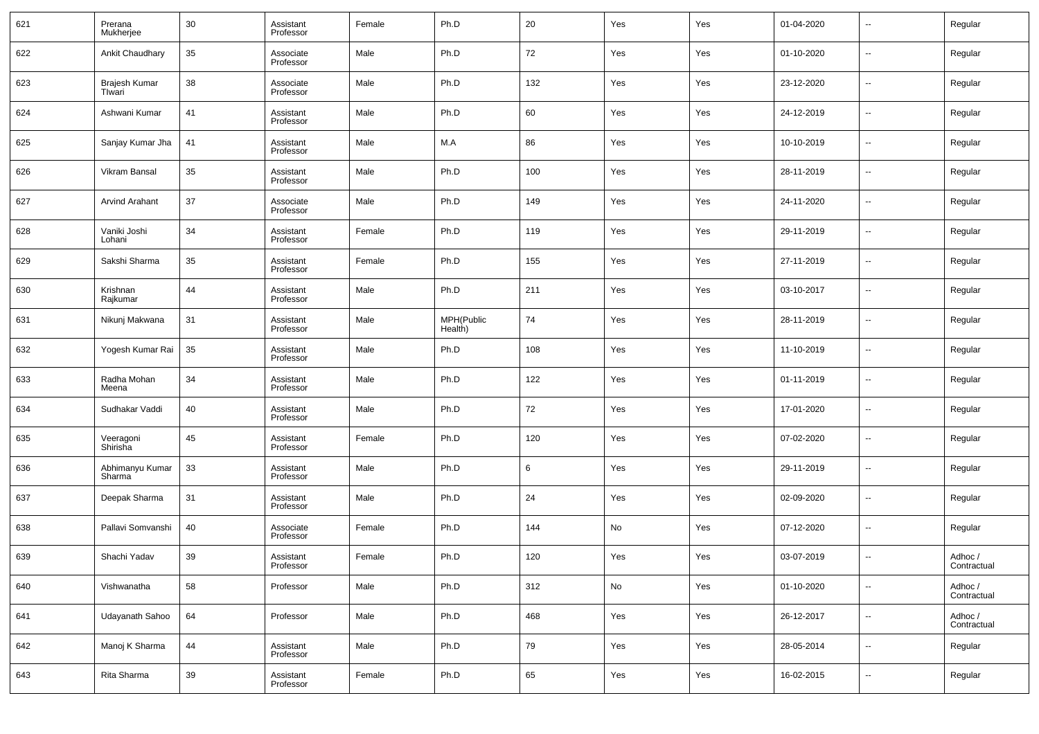| 621 | Prerana<br>Mukherjee      | 30 | Assistant<br>Professor | Female | Ph.D                  | 20  | Yes           | Yes | 01-04-2020 | $\overline{\phantom{a}}$ | Regular                |
|-----|---------------------------|----|------------------------|--------|-----------------------|-----|---------------|-----|------------|--------------------------|------------------------|
| 622 | Ankit Chaudhary           | 35 | Associate<br>Professor | Male   | Ph.D                  | 72  | Yes           | Yes | 01-10-2020 | $\overline{\phantom{a}}$ | Regular                |
| 623 | Brajesh Kumar<br>Tlwari   | 38 | Associate<br>Professor | Male   | Ph.D                  | 132 | Yes           | Yes | 23-12-2020 | $\overline{\phantom{a}}$ | Regular                |
| 624 | Ashwani Kumar             | 41 | Assistant<br>Professor | Male   | Ph.D                  | 60  | Yes           | Yes | 24-12-2019 | $\overline{\phantom{a}}$ | Regular                |
| 625 | Sanjay Kumar Jha          | 41 | Assistant<br>Professor | Male   | M.A                   | 86  | Yes           | Yes | 10-10-2019 | $\overline{\phantom{a}}$ | Regular                |
| 626 | Vikram Bansal             | 35 | Assistant<br>Professor | Male   | Ph.D                  | 100 | Yes           | Yes | 28-11-2019 | $\overline{\phantom{a}}$ | Regular                |
| 627 | <b>Arvind Arahant</b>     | 37 | Associate<br>Professor | Male   | Ph.D                  | 149 | Yes           | Yes | 24-11-2020 | $\overline{\phantom{a}}$ | Regular                |
| 628 | Vaniki Joshi<br>Lohani    | 34 | Assistant<br>Professor | Female | Ph.D                  | 119 | Yes           | Yes | 29-11-2019 | $\overline{\phantom{a}}$ | Regular                |
| 629 | Sakshi Sharma             | 35 | Assistant<br>Professor | Female | Ph.D                  | 155 | Yes           | Yes | 27-11-2019 | $\overline{\phantom{a}}$ | Regular                |
| 630 | Krishnan<br>Rajkumar      | 44 | Assistant<br>Professor | Male   | Ph.D                  | 211 | Yes           | Yes | 03-10-2017 | $\overline{\phantom{a}}$ | Regular                |
| 631 | Nikunj Makwana            | 31 | Assistant<br>Professor | Male   | MPH(Public<br>Health) | 74  | Yes           | Yes | 28-11-2019 | $\overline{\phantom{a}}$ | Regular                |
| 632 | Yogesh Kumar Rai          | 35 | Assistant<br>Professor | Male   | Ph.D                  | 108 | Yes           | Yes | 11-10-2019 | $\overline{\phantom{a}}$ | Regular                |
| 633 | Radha Mohan<br>Meena      | 34 | Assistant<br>Professor | Male   | Ph.D                  | 122 | Yes           | Yes | 01-11-2019 | $\overline{\phantom{a}}$ | Regular                |
| 634 | Sudhakar Vaddi            | 40 | Assistant<br>Professor | Male   | Ph.D                  | 72  | Yes           | Yes | 17-01-2020 | $\overline{\phantom{a}}$ | Regular                |
| 635 | Veeragoni<br>Shirisha     | 45 | Assistant<br>Professor | Female | Ph.D                  | 120 | Yes           | Yes | 07-02-2020 | $\overline{\phantom{a}}$ | Regular                |
| 636 | Abhimanyu Kumar<br>Sharma | 33 | Assistant<br>Professor | Male   | Ph.D                  | 6   | Yes           | Yes | 29-11-2019 | $\overline{\phantom{a}}$ | Regular                |
| 637 | Deepak Sharma             | 31 | Assistant<br>Professor | Male   | Ph.D                  | 24  | Yes           | Yes | 02-09-2020 | $\overline{\phantom{a}}$ | Regular                |
| 638 | Pallavi Somvanshi         | 40 | Associate<br>Professor | Female | Ph.D                  | 144 | No            | Yes | 07-12-2020 | $\overline{\phantom{a}}$ | Regular                |
| 639 | Shachi Yadav              | 39 | Assistant<br>Professor | Female | Ph.D                  | 120 | Yes           | Yes | 03-07-2019 | $\overline{\phantom{a}}$ | Adhoc /<br>Contractual |
| 640 | Vishwanatha               | 58 | Professor              | Male   | Ph.D                  | 312 | $\mathsf{No}$ | Yes | 01-10-2020 | $\overline{\phantom{a}}$ | Adhoc /<br>Contractual |
| 641 | Udayanath Sahoo           | 64 | Professor              | Male   | Ph.D                  | 468 | Yes           | Yes | 26-12-2017 | $\overline{\phantom{a}}$ | Adhoc /<br>Contractual |
| 642 | Manoj K Sharma            | 44 | Assistant<br>Professor | Male   | Ph.D                  | 79  | Yes           | Yes | 28-05-2014 | $\overline{\phantom{a}}$ | Regular                |
| 643 | Rita Sharma               | 39 | Assistant<br>Professor | Female | Ph.D                  | 65  | Yes           | Yes | 16-02-2015 | ۰.                       | Regular                |